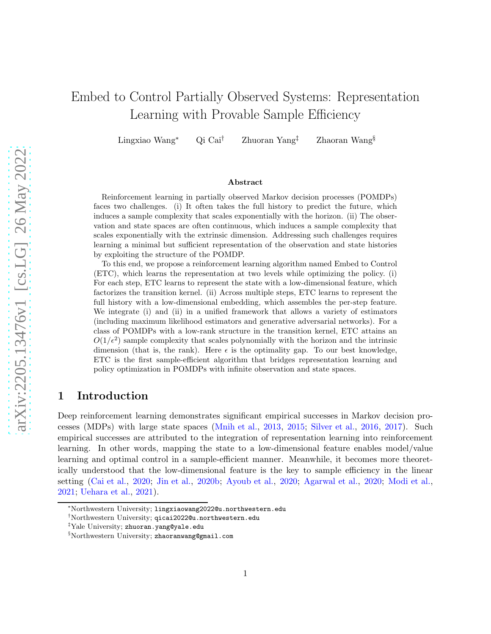# Embed to Control Partially Observed Systems: Representation Learning with Provable Sample Efficiency

Lingxiao Wang<sup>∗</sup> Qi Cai† Zhuoran Yang‡ Zhaoran Wang§

#### Abstract

Reinforcement learning in partially observed Markov decision processes (POMDPs) faces two challenges. (i) It often takes the full history to predict the future, which induces a sample complexity that scales exponentially with the horizon. (ii) The observation and state spaces are often continuous, which induces a sample complexity that scales exponentially with the extrinsic dimension. Addressing such challenges requires learning a minimal but sufficient representation of the observation and state histories by exploiting the structure of the POMDP.

To this end, we propose a reinforcement learning algorithm named Embed to Control (ETC), which learns the representation at two levels while optimizing the policy. (i) For each step, ETC learns to represent the state with a low-dimensional feature, which factorizes the transition kernel. (ii) Across multiple steps, ETC learns to represent the full history with a low-dimensional embedding, which assembles the per-step feature. We integrate (i) and (ii) in a unified framework that allows a variety of estimators (including maximum likelihood estimators and generative adversarial networks). For a class of POMDPs with a low-rank structure in the transition kernel, ETC attains an  $O(1/\epsilon^2)$  sample complexity that scales polynomially with the horizon and the intrinsic dimension (that is, the rank). Here  $\epsilon$  is the optimality gap. To our best knowledge, ETC is the first sample-efficient algorithm that bridges representation learning and policy optimization in POMDPs with infinite observation and state spaces.

# 1 Introduction

Deep reinforcement learning demonstrates significant empirical successes in Markov decision processes (MDPs) with large state spaces [\(Mnih et al.](#page-14-0), [2013](#page-14-0), [2015](#page-14-1); [Silver et al.](#page-15-0), [2016](#page-15-0), [2017\)](#page-15-1). Such empirical successes are attributed to the integration of representation learning into reinforcement learning. In other words, mapping the state to a low-dimensional feature enables model/value learning and optimal control in a sample-efficient manner. Meanwhile, it becomes more theoretically understood that the low-dimensional feature is the key to sample efficiency in the linear setting [\(Cai et al.,](#page-13-0) [2020](#page-13-2); [Jin et al.](#page-14-2), [2020b](#page-14-2); [Ayoub et al.](#page-13-1), 2020; [Agarwal et al.](#page-13-2), 2020; [Modi et al.](#page-14-3), [2021;](#page-14-3) [Uehara et al.](#page-15-2), [2021](#page-15-2)).

<sup>∗</sup>Northwestern University; lingxiaowang2022@u.northwestern.edu

<sup>†</sup>Northwestern University; qicai2022@u.northwestern.edu

<sup>‡</sup>Yale University; zhuoran.yang@yale.edu

<sup>§</sup>Northwestern University; zhaoranwang@gmail.com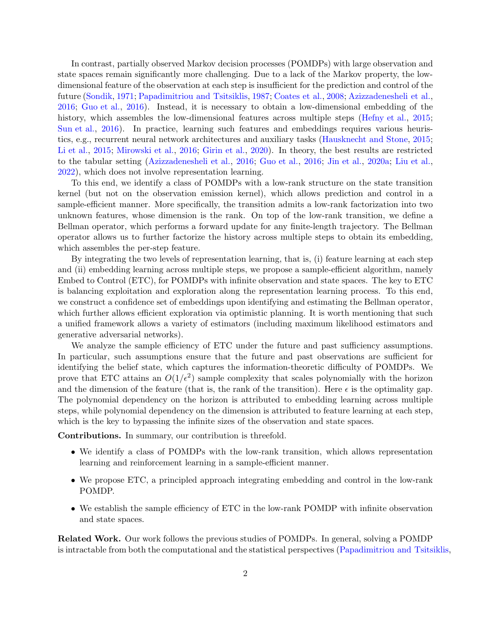In contrast, partially observed Markov decision processes (POMDPs) with large observation and state spaces remain significantly more challenging. Due to a lack of the Markov property, the lowdimensional feature of the observation at each step is insufficient for the prediction and control of the future [\(Sondik](#page-15-3), [1971](#page-15-3); [Papadimitriou and Tsitsiklis](#page-15-4), [1987](#page-15-4); [Coates et al.,](#page-13-3) [2008](#page-13-3); [Azizzadenesheli et al.](#page-13-4), [2016;](#page-13-4) [Guo et al.,](#page-14-4) [2016](#page-14-4)). Instead, it is necessary to obtain a low-dimensional embedding of the history, which assembles the low-dimensional features across multiple steps [\(Hefny et al.](#page-14-5), [2015](#page-14-5); [Sun et al.](#page-15-5), [2016](#page-15-5)). In practice, learning such features and embeddings requires various heuristics, e.g., recurrent neural network architectures and auxiliary tasks [\(Hausknecht and Stone,](#page-14-6) [2015](#page-14-6); [Li et al.,](#page-14-7) [2015](#page-14-7); [Mirowski et al.,](#page-14-8) [2016;](#page-14-8) [Girin et al.,](#page-14-9) [2020](#page-14-9)). In theory, the best results are restricted to the tabular setting [\(Azizzadenesheli et al.](#page-13-4), [2016](#page-13-4); [Guo et al.](#page-14-4), [2016](#page-14-4); [Jin et al.](#page-14-10), [2020a;](#page-14-10) [Liu et al.](#page-14-11), [2022\)](#page-14-11), which does not involve representation learning.

To this end, we identify a class of POMDPs with a low-rank structure on the state transition kernel (but not on the observation emission kernel), which allows prediction and control in a sample-efficient manner. More specifically, the transition admits a low-rank factorization into two unknown features, whose dimension is the rank. On top of the low-rank transition, we define a Bellman operator, which performs a forward update for any finite-length trajectory. The Bellman operator allows us to further factorize the history across multiple steps to obtain its embedding, which assembles the per-step feature.

By integrating the two levels of representation learning, that is, (i) feature learning at each step and (ii) embedding learning across multiple steps, we propose a sample-efficient algorithm, namely Embed to Control (ETC), for POMDPs with infinite observation and state spaces. The key to ETC is balancing exploitation and exploration along the representation learning process. To this end, we construct a confidence set of embeddings upon identifying and estimating the Bellman operator, which further allows efficient exploration via optimistic planning. It is worth mentioning that such a unified framework allows a variety of estimators (including maximum likelihood estimators and generative adversarial networks).

We analyze the sample efficiency of ETC under the future and past sufficiency assumptions. In particular, such assumptions ensure that the future and past observations are sufficient for identifying the belief state, which captures the information-theoretic difficulty of POMDPs. We prove that ETC attains an  $O(1/\epsilon^2)$  sample complexity that scales polynomially with the horizon and the dimension of the feature (that is, the rank of the transition). Here  $\epsilon$  is the optimality gap. The polynomial dependency on the horizon is attributed to embedding learning across multiple steps, while polynomial dependency on the dimension is attributed to feature learning at each step, which is the key to bypassing the infinite sizes of the observation and state spaces.

Contributions. In summary, our contribution is threefold.

- We identify a class of POMDPs with the low-rank transition, which allows representation learning and reinforcement learning in a sample-efficient manner.
- We propose ETC, a principled approach integrating embedding and control in the low-rank POMDP.
- We establish the sample efficiency of ETC in the low-rank POMDP with infinite observation and state spaces.

Related Work. Our work follows the previous studies of POMDPs. In general, solving a POMDP is intractable from both the computational and the statistical perspectives [\(Papadimitriou and Tsitsiklis,](#page-15-4)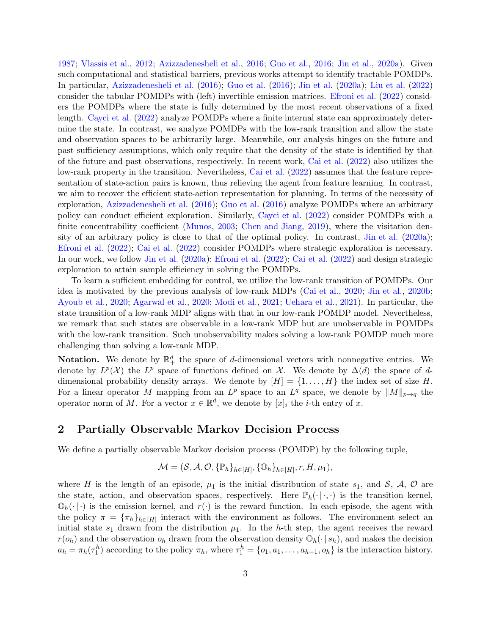[1987;](#page-15-4) [Vlassis et al.,](#page-15-6) [2012](#page-15-6); [Azizzadenesheli et al.](#page-13-4), [2016](#page-13-4); [Guo et al.](#page-14-4), [2016](#page-14-4); [Jin et al.](#page-14-10), [2020a](#page-14-10)). Given such computational and statistical barriers, previous works attempt to identify tractable POMDPs. In particular, [Azizzadenesheli et al.](#page-13-4) [\(2016](#page-13-4)); [Guo et al.](#page-14-4) [\(2016](#page-14-4)); [Jin et al.](#page-14-10) [\(2020a](#page-14-10)); [Liu et al.](#page-14-11) [\(2022](#page-14-11)) consider the tabular POMDPs with (left) invertible emission matrices. [Efroni et al.](#page-14-12) [\(2022\)](#page-14-12) considers the POMDPs where the state is fully determined by the most recent observations of a fixed length. [Cayci et al.](#page-13-5) [\(2022](#page-13-5)) analyze POMDPs where a finite internal state can approximately determine the state. In contrast, we analyze POMDPs with the low-rank transition and allow the state and observation spaces to be arbitrarily large. Meanwhile, our analysis hinges on the future and past sufficiency assumptions, which only require that the density of the state is identified by that of the future and past observations, respectively. In recent work, [Cai et al.](#page-13-6) [\(2022](#page-13-6)) also utilizes the low-rank property in the transition. Nevertheless, [Cai et al.](#page-13-6) [\(2022](#page-13-6)) assumes that the feature representation of state-action pairs is known, thus relieving the agent from feature learning. In contrast, we aim to recover the efficient state-action representation for planning. In terms of the necessity of exploration, [Azizzadenesheli et al.](#page-13-4) [\(2016](#page-13-4)); [Guo et al.](#page-14-4) [\(2016](#page-14-4)) analyze POMDPs where an arbitrary policy can conduct efficient exploration. Similarly, [Cayci et al.](#page-13-5) [\(2022](#page-13-5)) consider POMDPs with a finite concentrability coefficient [\(Munos](#page-14-13), [2003](#page-14-13); [Chen and Jiang](#page-13-7), [2019\)](#page-13-7), where the visitation density of an arbitrary policy is close to that of the optimal policy. In contrast, [Jin et al.](#page-14-10) [\(2020a](#page-14-10)); [Efroni et al.](#page-14-12) [\(2022](#page-14-12)); [Cai et al.](#page-13-6) [\(2022](#page-13-6)) consider POMDPs where strategic exploration is necessary. In our work, we follow [Jin et al.](#page-14-10) [\(2020a](#page-14-10)); [Efroni et al.](#page-14-12) [\(2022](#page-14-12)); [Cai et al.](#page-13-6) [\(2022](#page-13-6)) and design strategic exploration to attain sample efficiency in solving the POMDPs.

To learn a sufficient embedding for control, we utilize the low-rank transition of POMDPs. Our idea is motivated by the previous analysis of low-rank MDPs [\(Cai et al.](#page-13-0), [2020](#page-13-0); [Jin et al.,](#page-14-2) [2020b](#page-14-2); [Ayoub et al.](#page-13-1), [2020](#page-13-1); [Agarwal et al.](#page-13-2), [2020](#page-13-2); [Modi et al.,](#page-14-3) [2021](#page-14-3); [Uehara et al.,](#page-15-2) [2021](#page-15-2)). In particular, the state transition of a low-rank MDP aligns with that in our low-rank POMDP model. Nevertheless, we remark that such states are observable in a low-rank MDP but are unobservable in POMDPs with the low-rank transition. Such unobservability makes solving a low-rank POMDP much more challenging than solving a low-rank MDP.

**Notation.** We denote by  $\mathbb{R}^d_+$  the space of d-dimensional vectors with nonnegative entries. We denote by  $L^p(\mathcal{X})$  the  $L^p$  space of functions defined on  $\mathcal{X}$ . We denote by  $\Delta(d)$  the space of ddimensional probability density arrays. We denote by  $[H] = \{1, \ldots, H\}$  the index set of size H. For a linear operator M mapping from an  $L^p$  space to an  $L^q$  space, we denote by  $||M||_{p\mapsto q}$  the operator norm of M. For a vector  $x \in \mathbb{R}^d$ , we denote by  $[x]_i$  the *i*-th entry of x.

## 2 Partially Observable Markov Decision Process

We define a partially observable Markov decision process (POMDP) by the following tuple,

$$
\mathcal{M} = (\mathcal{S}, \mathcal{A}, \mathcal{O}, \{\mathbb{P}_h\}_{h \in [H]}, \{\mathbb{O}_h\}_{h \in [H]}, r, H, \mu_1),
$$

where H is the length of an episode,  $\mu_1$  is the initial distribution of state  $s_1$ , and S, A, O are the state, action, and observation spaces, respectively. Here  $\mathbb{P}_h(\cdot | \cdot, \cdot)$  is the transition kernel,  $\mathbb{O}_h(\cdot | \cdot)$  is the emission kernel, and  $r(\cdot)$  is the reward function. In each episode, the agent with the policy  $\pi = {\{\pi_h\}_h\in[H]}$  interact with the environment as follows. The environment select an initial state  $s_1$  drawn from the distribution  $\mu_1$ . In the h-th step, the agent receives the reward  $r(o_h)$  and the observation  $o_h$  drawn from the observation density  $\mathbb{O}_h(\cdot | s_h)$ , and makes the decision  $a_h = \pi_h(\tau_1^h)$  according to the policy  $\pi_h$ , where  $\tau_1^h = \{o_1, a_1, \ldots, a_{h-1}, o_h\}$  is the interaction history.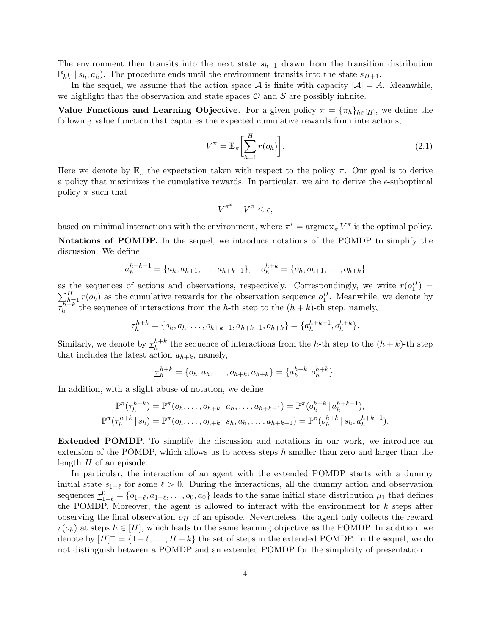The environment then transits into the next state  $s_{h+1}$  drawn from the transition distribution  $\mathbb{P}_h(\cdot | s_h, a_h)$ . The procedure ends until the environment transits into the state  $s_{H+1}$ .

In the sequel, we assume that the action space A is finite with capacity  $|\mathcal{A}| = A$ . Meanwhile, we highlight that the observation and state spaces  $\mathcal O$  and  $\mathcal S$  are possibly infinite.

Value Functions and Learning Objective. For a given policy  $\pi = {\pi_h}_{h \in [H]}$ , we define the following value function that captures the expected cumulative rewards from interactions,

$$
V^{\pi} = \mathbb{E}_{\pi} \left[ \sum_{h=1}^{H} r(o_h) \right]. \tag{2.1}
$$

Here we denote by  $\mathbb{E}_{\pi}$  the expectation taken with respect to the policy  $\pi$ . Our goal is to derive a policy that maximizes the cumulative rewards. In particular, we aim to derive the  $\epsilon$ -suboptimal policy  $\pi$  such that

$$
V^{\pi^*} - V^{\pi} \le \epsilon,
$$

based on minimal interactions with the environment, where  $\pi^* = \arg \max_{\pi} V^{\pi}$  is the optimal policy.

Notations of POMDP. In the sequel, we introduce notations of the POMDP to simplify the discussion. We define

$$
a_h^{h+k-1} = \{a_h, a_{h+1}, \dots, a_{h+k-1}\}, \quad o_h^{h+k} = \{o_h, o_{h+1}, \dots, o_{h+k}\}\
$$

as the sequences of actions and observations, respectively. Correspondingly, we write  $r(o_1^H)$  =  $\sum_{k=1}^{H} r(o_k)$  as the cumulative rewards for the observation sequence  $o_1^H$ . Meanwhile, we denote by  $\overline{\tau_h^{h+k}}$  the sequence of interactions from the h-th step to the  $(h+k)$ -th step, namely,

$$
\tau_h^{h+k} = \{o_h, a_h, \ldots, o_{h+k-1}, a_{h+k-1}, o_{h+k}\} = \{a_h^{h+k-1}, o_h^{h+k}\}.
$$

Similarly, we denote by  $\frac{\tau_h^{h+k}}{\tau_h}$  the sequence of interactions from the h-th step to the  $(h+k)$ -th step that includes the latest action  $a_{h+k}$ , namely,

$$
\underline{\tau}_h^{h+k} = \{o_h, a_h, \dots, o_{h+k}, a_{h+k}\} = \{a_h^{h+k}, o_h^{h+k}\}.
$$

In addition, with a slight abuse of notation, we define

$$
\mathbb{P}^{\pi}(\tau_h^{h+k}) = \mathbb{P}^{\pi}(o_h, \dots, o_{h+k} \mid a_h, \dots, a_{h+k-1}) = \mathbb{P}^{\pi}(o_h^{h+k} \mid a_h^{h+k-1}),
$$
  

$$
\mathbb{P}^{\pi}(\tau_h^{h+k} \mid s_h) = \mathbb{P}^{\pi}(o_h, \dots, o_{h+k} \mid s_h, a_h, \dots, a_{h+k-1}) = \mathbb{P}^{\pi}(o_h^{h+k} \mid s_h, a_h^{h+k-1}).
$$

Extended POMDP. To simplify the discussion and notations in our work, we introduce an extension of the POMDP, which allows us to access steps  $h$  smaller than zero and larger than the length  $H$  of an episode.

In particular, the interaction of an agent with the extended POMDP starts with a dummy initial state  $s_{1-\ell}$  for some  $\ell > 0$ . During the interactions, all the dummy action and observation sequences  $\underline{\tau}_{1-\ell}^0 = \{o_{1-\ell}, a_{1-\ell}, \ldots, o_0, a_0\}$  leads to the same initial state distribution  $\mu_1$  that defines the POMDP. Moreover, the agent is allowed to interact with the environment for  $k$  steps after observing the final observation  $\rho_H$  of an episode. Nevertheless, the agent only collects the reward  $r(o_h)$  at steps  $h \in [H]$ , which leads to the same learning objective as the POMDP. In addition, we denote by  $[H]^+ = \{1 - \ell, \ldots, H + k\}$  the set of steps in the extended POMDP. In the sequel, we do not distinguish between a POMDP and an extended POMDP for the simplicity of presentation.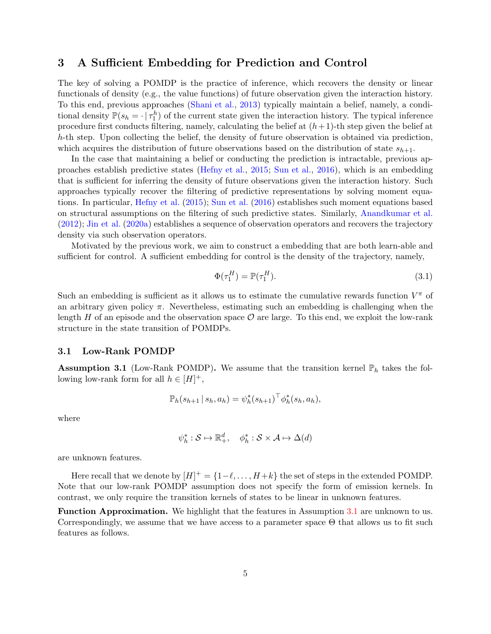# <span id="page-4-2"></span>3 A Sufficient Embedding for Prediction and Control

The key of solving a POMDP is the practice of inference, which recovers the density or linear functionals of density (e.g., the value functions) of future observation given the interaction history. To this end, previous approaches [\(Shani et al.](#page-15-7), [2013](#page-15-7)) typically maintain a belief, namely, a conditional density  $\mathbb{P}(s_h = \cdot | \tau_1^h)$  of the current state given the interaction history. The typical inference procedure first conducts filtering, namely, calculating the belief at  $(h+1)$ -th step given the belief at h-th step. Upon collecting the belief, the density of future observation is obtained via prediction, which acquires the distribution of future observations based on the distribution of state  $s_{h+1}$ .

In the case that maintaining a belief or conducting the prediction is intractable, previous approaches establish predictive states [\(Hefny et al.,](#page-14-5) [2015;](#page-14-5) [Sun et al.](#page-15-5), [2016](#page-15-5)), which is an embedding that is sufficient for inferring the density of future observations given the interaction history. Such approaches typically recover the filtering of predictive representations by solving moment equations. In particular, [Hefny et al.](#page-14-5) [\(2015](#page-14-5)); [Sun et al.](#page-15-5) [\(2016\)](#page-15-5) establishes such moment equations based on structural assumptions on the filtering of such predictive states. Similarly, [Anandkumar et al.](#page-13-8) [\(2012](#page-13-8)); [Jin et al.](#page-14-10) [\(2020a\)](#page-14-10) establishes a sequence of observation operators and recovers the trajectory density via such observation operators.

Motivated by the previous work, we aim to construct a embedding that are both learn-able and sufficient for control. A sufficient embedding for control is the density of the trajectory, namely,

<span id="page-4-1"></span>
$$
\Phi(\tau_1^H) = \mathbb{P}(\tau_1^H). \tag{3.1}
$$

Such an embedding is sufficient as it allows us to estimate the cumulative rewards function  $V^{\pi}$  of an arbitrary given policy  $\pi$ . Nevertheless, estimating such an embedding is challenging when the length H of an episode and the observation space  $\mathcal O$  are large. To this end, we exploit the low-rank structure in the state transition of POMDPs.

### 3.1 Low-Rank POMDP

<span id="page-4-0"></span>**Assumption 3.1** (Low-Rank POMDP). We assume that the transition kernel  $\mathbb{P}_h$  takes the following low-rank form for all  $h \in [H]^+,$ 

$$
\mathbb{P}_h(s_{h+1} | s_h, a_h) = \psi_h^*(s_{h+1})^\top \phi_h^*(s_h, a_h),
$$

where

$$
\psi_h^* : \mathcal{S} \mapsto \mathbb{R}_+^d, \quad \phi_h^* : \mathcal{S} \times \mathcal{A} \mapsto \Delta(d)
$$

are unknown features.

Here recall that we denote by  $[H]^+ = \{1-\ell, \ldots, H+k\}$  the set of steps in the extended POMDP. Note that our low-rank POMDP assumption does not specify the form of emission kernels. In contrast, we only require the transition kernels of states to be linear in unknown features.

Function Approximation. We highlight that the features in Assumption [3.1](#page-4-0) are unknown to us. Correspondingly, we assume that we have access to a parameter space Θ that allows us to fit such features as follows.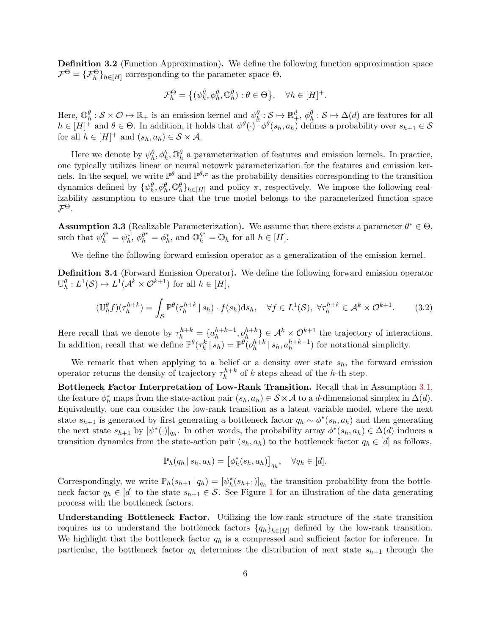<span id="page-5-1"></span>Definition 3.2 (Function Approximation). We define the following function approximation space  $\mathcal{F}^{\Theta} = {\{\mathcal{F}^{\Theta}_h\}}_{h \in [H]}$  corresponding to the parameter space  $\Theta$ ,

$$
\mathcal{F}_h^{\Theta} = \left\{ (\psi_h^{\theta}, \phi_h^{\theta}, \mathbb{O}_h^{\theta}) : \theta \in \Theta \right\}, \quad \forall h \in [H]^+.
$$

Here,  $\mathbb{O}_h^{\theta}: \mathcal{S} \times \mathcal{O} \mapsto \mathbb{R}_+$  is an emission kernel and  $\psi_{\frac{h}{\epsilon}}^{\theta}: \mathcal{S} \mapsto \mathbb{R}_+^d$ ,  $\phi_h^{\theta}: \mathcal{S} \mapsto \Delta(d)$  are features for all  $h \in [H]^+$  and  $\theta \in \Theta$ . In addition, it holds that  $\psi^{\theta}(\cdot)^{\top} \phi^{\theta}(s_h, a_h)$  defines a probability over  $s_{h+1} \in \mathcal{S}$ for all  $h \in [H]^+$  and  $(s_h, a_h) \in S \times A$ .

Here we denote by  $\psi_h^{\theta}, \phi_h^{\theta}, \mathbb{O}_h^{\theta}$  a parameterization of features and emission kernels. In practice, one typically utilizes linear or neural netowrk parameterization for the features and emission kernels. In the sequel, we write  $\mathbb{P}^{\theta}$  and  $\mathbb{P}^{\theta,\pi}$  as the probability densities corresponding to the transition dynamics defined by  $\{\psi_h^{\theta}, \phi_h^{\theta}\}_{h \in [H]}$  and policy  $\pi$ , respectively. We impose the following realizability assumption to ensure that the true model belongs to the parameterized function space  $\mathcal{F}^{\Theta}$ .

**Assumption 3.3** (Realizable Parameterization). We assume that there exists a parameter  $\theta^* \in \Theta$ , such that  $\psi_h^{\theta^*} = \psi_h^*, \ \phi_h^{\theta^*} = \phi_h^*$ , and  $\mathbb{O}_h^{\theta^*} = \mathbb{O}_h$  for all  $h \in [H]$ .

We define the following forward emission operator as a generalization of the emission kernel.

<span id="page-5-0"></span>Definition 3.4 (Forward Emission Operator). We define the following forward emission operator  $\mathbb{U}_h^{\theta}: L^1(\mathcal{S}) \mapsto L^1(\mathcal{A}^k \times \mathcal{O}^{k+1})$  for all  $h \in [H],$ 

$$
(\mathbb{U}_{h}^{\theta}f)(\tau_{h}^{h+k}) = \int_{\mathcal{S}} \mathbb{P}^{\theta}(\tau_{h}^{h+k} \mid s_{h}) \cdot f(s_{h}) \mathrm{d}s_{h}, \quad \forall f \in L^{1}(\mathcal{S}), \ \forall \tau_{h}^{h+k} \in \mathcal{A}^{k} \times \mathcal{O}^{k+1}.
$$
 (3.2)

Here recall that we denote by  $\tau_h^{h+k} = \{a_h^{h+k-1}, o_h^{h+k}\}\in \mathcal{A}^k \times \mathcal{O}^{k+1}$  the trajectory of interactions. In addition, recall that we define  $\mathbb{P}^{\theta}(\tau_h^k | s_h) = \mathbb{P}^{\theta}(\rho_h^{h+k} | s_h, a_h^{h+k-1})$  for notational simplicity.

We remark that when applying to a belief or a density over state  $s_h$ , the forward emission operator returns the density of trajectory  $\tau_h^{h+k}$  of k steps ahead of the h-th step.

Bottleneck Factor Interpretation of Low-Rank Transition. Recall that in Assumption [3.1,](#page-4-0) the feature  $\phi_h^*$  maps from the state-action pair  $(s_h, a_h) \in S \times A$  to a d-dimensional simplex in  $\Delta(d)$ . Equivalently, one can consider the low-rank transition as a latent variable model, where the next state  $s_{h+1}$  is generated by first generating a bottleneck factor  $q_h \sim \phi^*(s_h, a_h)$  and then generating the next state  $s_{h+1}$  by  $[\psi^*(\cdot)]_{q_h}$ . In other words, the probability array  $\phi^*(s_h, a_h) \in \Delta(d)$  induces a transition dynamics from the state-action pair  $(s_h, a_h)$  to the bottleneck factor  $q_h \in [d]$  as follows,

<span id="page-5-2"></span>
$$
\mathbb{P}_h(q_h \,|\, s_h, a_h) = \left[\phi_h^*(s_h, a_h)\right]_{q_h}, \quad \forall q_h \in [d].
$$

Correspondingly, we write  $\mathbb{P}_h(s_{h+1} | q_h) = [\psi_h^*(s_{h+1})]_{q_h}$  the transition probability from the bottleneck factor  $q_h \in [d]$  to the state  $s_{h+1} \in \mathcal{S}$  $s_{h+1} \in \mathcal{S}$  $s_{h+1} \in \mathcal{S}$ . See Figure 1 for an illustration of the data generating process with the bottleneck factors.

Understanding Bottleneck Factor. Utilizing the low-rank structure of the state transition requires us to understand the bottleneck factors  $\{q_h\}_{h\in[H]}$  defined by the low-rank transition. We highlight that the bottleneck factor  $q_h$  is a compressed and sufficient factor for inference. In particular, the bottleneck factor  $q_h$  determines the distribution of next state  $s_{h+1}$  through the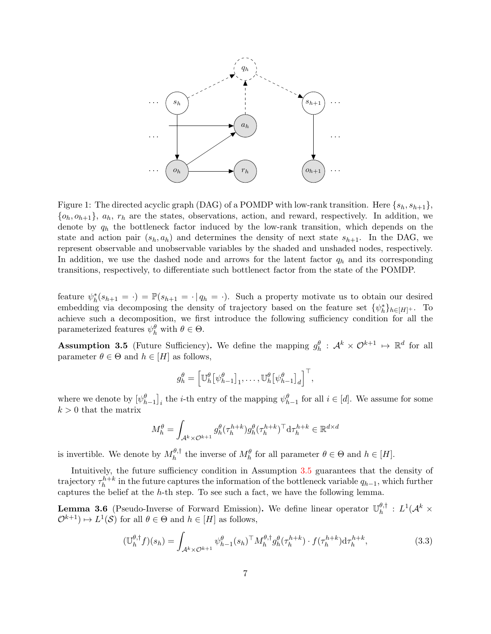<span id="page-6-0"></span>

Figure 1: The directed acyclic graph (DAG) of a POMDP with low-rank transition. Here  $\{s_h, s_{h+1}\},$  $\{o_h, o_{h+1}\}\$ ,  $a_h$ ,  $r_h$  are the states, observations, action, and reward, respectively. In addition, we denote by  $q_h$  the bottleneck factor induced by the low-rank transition, which depends on the state and action pair  $(s_h, a_h)$  and determines the density of next state  $s_{h+1}$ . In the DAG, we represent observable and unobservable variables by the shaded and unshaded nodes, respectively. In addition, we use the dashed node and arrows for the latent factor  $q_h$  and its corresponding transitions, respectively, to differentiate such bottlenect factor from the state of the POMDP.

feature  $\psi_h^*(s_{h+1} = \cdot) = \mathbb{P}(s_{h+1} = \cdot | q_h = \cdot)$ . Such a property motivate us to obtain our desired embedding via decomposing the density of trajectory based on the feature set  $\{\psi_h^*\}_{h\in[H]^+}$ . To achieve such a decomposition, we first introduce the following sufficiency condition for all the parameterized features  $\psi_h^{\theta}$  with  $\theta \in \Theta$ .

<span id="page-6-1"></span>**Assumption 3.5** (Future Sufficiency). We define the mapping  $g_h^{\theta}: A^k \times \mathcal{O}^{k+1} \mapsto \mathbb{R}^d$  for all parameter  $\theta \in \Theta$  and  $h \in [H]$  as follows,

$$
g_h^{\theta} = \left[ \mathbb{U}_h^{\theta} \big[ \psi_{h-1}^{\theta} \big]_1, \ldots, \mathbb{U}_h^{\theta} \big[ \psi_{h-1}^{\theta} \big]_d \right]^\top,
$$

where we denote by  $[\psi_{h-1}^{\theta}]_i$  the *i*-th entry of the mapping  $\psi_{h-1}^{\theta}$  for all  $i \in [d]$ . We assume for some  $k > 0$  that the matrix

<span id="page-6-3"></span>
$$
M_h^{\theta} = \int_{\mathcal{A}^k \times \mathcal{O}^{k+1}} g_h^{\theta}(\tau_h^{h+k}) g_h^{\theta}(\tau_h^{h+k})^{\top} d\tau_h^{h+k} \in \mathbb{R}^{d \times d}
$$

is invertible. We denote by  $M_h^{\theta, \dagger}$  the inverse of  $M_h^{\theta}$  for all parameter  $\theta \in \Theta$  and  $h \in [H]$ .

Intuitively, the future sufficiency condition in Assumption [3.5](#page-6-1) guarantees that the density of trajectory  $\tau_h^{h+k}$  in the future captures the information of the bottleneck variable  $q_{h-1}$ , which further captures the belief at the h-th step. To see such a fact, we have the following lemma.

<span id="page-6-2"></span>**Lemma 3.6** (Pseudo-Inverse of Forward Emission). We define linear operator  $\mathbb{U}_{h}^{\theta, \dagger}$  $h^{0,\dagger}$  :  $L^1(\mathcal{A}^k\times$  $\mathcal{O}^{k+1}$   $\mapsto L^1(\mathcal{S})$  for all  $\theta \in \Theta$  and  $h \in [H]$  as follows,

$$
(\mathbb{U}_{h}^{\theta,\dagger}f)(s_{h}) = \int_{\mathcal{A}^{k}\times\mathcal{O}^{k+1}} \psi_{h-1}^{\theta}(s_{h})^{\top} M_{h}^{\theta,\dagger} g_{h}^{\theta}(\tau_{h}^{h+k}) \cdot f(\tau_{h}^{h+k}) \mathrm{d}\tau_{h}^{h+k}, \tag{3.3}
$$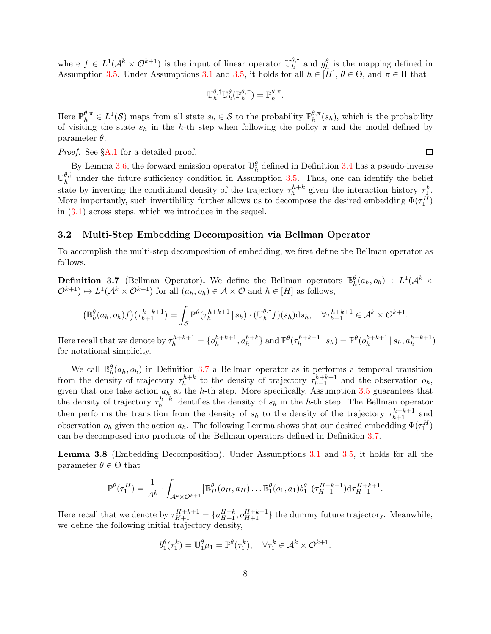where  $f \in L^1(\mathcal{A}^k \times \mathcal{O}^{k+1})$  is the input of linear operator  $\mathbb{U}_h^{\theta, \dagger}$  $\frac{\theta, \dagger}{h}$  and  $g_h^{\theta}$  is the mapping defined in Assumption [3.5.](#page-6-1) Under Assumptions [3.1](#page-4-0) and [3.5,](#page-6-1) it holds for all  $h \in [H]$ ,  $\theta \in \Theta$ , and  $\pi \in \Pi$  that

$$
\mathbb{U}_{h}^{\theta,\dagger}\mathbb{U}_{h}^{\theta}(\mathbb{P}_{h}^{\theta,\pi})=\mathbb{P}_{h}^{\theta,\pi}.
$$

Here  $\mathbb{P}_{h}^{\theta,\pi} \in L^1(\mathcal{S})$  maps from all state  $s_h \in \mathcal{S}$  to the probability  $\mathbb{P}_{h}^{\theta,\pi}$  $h^{\sigma,\pi}(s_h)$ , which is the probability of visiting the state  $s_h$  in the h-th step when following the policy  $\pi$  and the model defined by parameter  $\theta$ .

 $\Box$ 

*Proof.* See §[A.1](#page-17-0) for a detailed proof.

By Lemma [3.6,](#page-6-2) the forward emission operator  $\mathbb{U}_h^{\theta}$  defined in Definition [3.4](#page-5-0) has a pseudo-inverse  $\mathbb{U}^{\theta,\dagger}$  $h_h^{\sigma, \dagger}$  under the future sufficiency condition in Assumption [3.5.](#page-6-1) Thus, one can identify the belief state by inverting the conditional density of the trajectory  $\tau_h^{h+k}$  given the interaction history  $\tau_{\perp}^h$ . More importantly, such invertibility further allows us to decompose the desired embedding  $\Phi(\tau_1^H)$ in [\(3.1\)](#page-4-1) across steps, which we introduce in the sequel.

#### 3.2 Multi-Step Embedding Decomposition via Bellman Operator

To accomplish the multi-step decomposition of embedding, we first define the Bellman operator as follows.

<span id="page-7-0"></span>**Definition 3.7** (Bellman Operator). We define the Bellman operators  $\mathbb{B}_{h}^{\theta}(a_{h}, o_{h}) : L^{1}(\mathcal{A}^{k} \times$  $\mathcal{O}^{k+1}) \mapsto L^1(\mathcal{A}^k \times \mathcal{O}^{k+1})$  for all  $(a_h, o_h) \in \mathcal{A} \times \mathcal{O}$  and  $h \in [H]$  as follows,

$$
\left(\mathbb{B}_{h}^{\theta}(a_h, o_h)f\right)(\tau_{h+1}^{h+k+1}) = \int_{\mathcal{S}} \mathbb{P}^{\theta}(\tau_h^{h+k+1} | s_h) \cdot (\mathbb{U}_h^{\theta, \dagger} f)(s_h) \mathrm{d} s_h, \quad \forall \tau_{h+1}^{h+k+1} \in \mathcal{A}^k \times \mathcal{O}^{k+1}.
$$

Here recall that we denote by  $\tau_h^{h+k+1} = \{o_h^{h+k+1}, a_h^{h+k}\}$  and  $\mathbb{P}^{\theta}(\tau_h^{h+k+1} | s_h) = \mathbb{P}^{\theta}(o_h^{h+k+1} | s_h, a_h^{h+k+1})$ for notational simplicity.

We call  $\mathbb{B}_{h}^{\theta}(a_{h}, o_{h})$  in Definition [3.7](#page-7-0) a Bellman operator as it performs a temporal transition from the density of trajectory  $\tau_h^{h+k}$  to the density of trajectory  $\tau_{h+1}^{h+k+1}$  and the observation  $o_h$ , given that one take action  $a_h$  at the h-th step. More specifically, Assumption [3.5](#page-6-1) guarantees that the density of trajectory  $\tau_h^{h+k}$  identifies the density of  $s_h$  in the h-th step. The Bellman operator then performs the transition from the density of  $s_h$  to the density of the trajectory  $\tau_{h+1}^{h+k+1}$  and observation  $o_h$  given the action  $a_h$ . The following Lemma shows that our desired embedding  $\Phi(\tau_1^H)$ can be decomposed into products of the Bellman operators defined in Definition [3.7.](#page-7-0)

<span id="page-7-1"></span>Lemma 3.8 (Embedding Decomposition). Under Assumptions [3.1](#page-4-0) and [3.5,](#page-6-1) it holds for all the parameter  $\theta \in \Theta$  that

$$
\mathbb{P}^{\theta}(\tau_1^H) = \frac{1}{A^k} \cdot \int_{\mathcal{A}^k \times \mathcal{O}^{k+1}} \left[ \mathbb{B}_{H}^{\theta}(\rho_H, a_H) \dots \mathbb{B}_{1}^{\theta}(\rho_1, a_1) b_1^{\theta} \right] (\tau_{H+1}^{H+k+1}) d\tau_{H+1}^{H+k+1}.
$$

Here recall that we denote by  $\tau_{H+1}^{H+k+1} = \{a_{H+1}^{H+k}, o_{H+1}^{H+k+1}\}$  the dummy future trajectory. Meanwhile, we define the following initial trajectory density,

$$
b_1^{\theta}(\tau_1^k) = \mathbb{U}_1^{\theta} \mu_1 = \mathbb{P}^{\theta}(\tau_1^k), \quad \forall \tau_1^k \in \mathcal{A}^k \times \mathcal{O}^{k+1}.
$$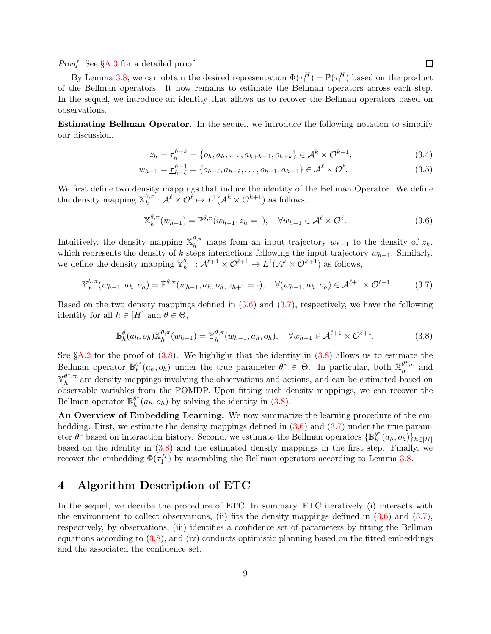*Proof.* See §[A.3](#page-19-0) for a detailed proof.

By Lemma [3.8,](#page-7-1) we can obtain the desired representation  $\Phi(\tau_1^H) = \mathbb{P}(\tau_1^H)$  based on the product of the Bellman operators. It now remains to estimate the Bellman operators across each step. In the sequel, we introduce an identity that allows us to recover the Bellman operators based on observations.

Estimating Bellman Operator. In the sequel, we introduce the following notation to simplify our discussion,

$$
z_h = \tau_h^{h+k} = \{o_h, a_h, \dots, a_{h+k-1}, o_{h+k}\} \in \mathcal{A}^k \times \mathcal{O}^{k+1},
$$
\n(3.4)

$$
w_{h-1} = \underline{\tau}_{h-\ell}^{h-1} = \{o_{h-\ell}, a_{h-\ell}, \dots, o_{h-1}, a_{h-1}\} \in \mathcal{A}^{\ell} \times \mathcal{O}^{\ell}.
$$
\n(3.5)

We first define two density mappings that induce the identity of the Bellman Operator. We define the density mapping  $\mathbb{X}_{h}^{\theta,\pi}$  $h_h^{\theta,\pi}: \mathcal{A}^{\ell} \times \mathcal{O}^{\ell} \mapsto L^1(\mathcal{A}^k \times \mathcal{O}^{k+1})$  as follows,

<span id="page-8-2"></span><span id="page-8-1"></span><span id="page-8-0"></span>
$$
\mathbb{X}_{h}^{\theta,\pi}(w_{h-1}) = \mathbb{P}^{\theta,\pi}(w_{h-1},z_h=\cdot), \quad \forall w_{h-1} \in \mathcal{A}^{\ell} \times \mathcal{O}^{\ell}.
$$
\n(3.6)

Intuitively, the density mapping  $\mathbb{X}_{h}^{\theta,\pi}$  maps from an input trajectory  $w_{h-1}$  to the density of  $z_h$ , which represents the density of k-steps interactions following the input trajectory  $w_{h-1}$ . Similarly, we define the density mapping  $\mathbb{Y}_{h}^{\theta,\pi}$  $h_h^{\theta,\pi}: \mathcal{A}^{\ell+1} \times \mathcal{O}^{\ell+1} \mapsto L^1(\mathcal{A}^k \times \mathcal{O}^{k+1})$  as follows,

$$
\mathbb{Y}_{h}^{\theta,\pi}(w_{h-1},a_{h},o_{h}) = \mathbb{P}^{\theta,\pi}(w_{h-1},a_{h},o_{h},z_{h+1}=\cdot), \quad \forall (w_{h-1},a_{h},o_{h}) \in \mathcal{A}^{\ell+1} \times \mathcal{O}^{\ell+1}
$$
(3.7)

Based on the two density mappings defined in  $(3.6)$  and  $(3.7)$ , respectively, we have the following identity for all  $h \in [H]$  and  $\theta \in \Theta$ ,

$$
\mathbb{B}_{h}^{\theta}(a_h, o_h) \mathbb{X}_{h}^{\theta, \pi}(w_{h-1}) = \mathbb{Y}_{h}^{\theta, \pi}(w_{h-1}, a_h, o_h), \quad \forall w_{h-1} \in \mathcal{A}^{\ell+1} \times \mathcal{O}^{\ell+1}.
$$
 (3.8)

See  $\S$ [A.2](#page-18-0) for the proof of  $(3.8)$ . We highlight that the identity in  $(3.8)$  allows us to estimate the Bellman operator  $\mathbb{B}_{h}^{\theta^*}$  $\theta^*_{h}(a_h, o_h)$  under the true parameter  $\theta^* \in \Theta$ . In particular, both  $\mathbb{X}_{h}^{\theta^*, \pi}$ llman operator  $\mathbb{B}_{h}^{\theta^{*}}(a_{h}, o_{h})$  under the true parameter  $\theta^{*} \in \Theta$ . In particular, both  $\mathbb{X}_{h}^{\theta^{*}, \pi}$  and  $\mathbb{Y}^{\theta^*,\pi}_\iota$  $h<sup>o</sup>$ ,<sup> $\pi$ </sup> are density mappings involving the observations and actions, and can be estimated based on observable variables from the POMDP. Upon fitting such density mappings, we can recover the Bellman operator  $\mathbb{B}_{h}^{\theta^*}$  $h^{\theta^*}(a_h, o_h)$  by solving the identity in  $(3.8)$ .

An Overview of Embedding Learning. We now summarize the learning procedure of the embedding. First, we estimate the density mappings defined in  $(3.6)$  and  $(3.7)$  under the true parameter  $\theta^*$  based on interaction history. Second, we estimate the Bellman operators  $\{\mathbb{B}_{h}^{\theta^*}\}$  $_{h}^{\theta^{*}}(a_{h},o_{h})\}_{h\in[H]}$ based on the identity in [\(3.8\)](#page-8-2) and the estimated density mappings in the first step. Finally, we recover the embedding  $\Phi(\tau_1^H)$  by assembling the Bellman operators according to Lemma [3.8.](#page-7-1)

# 4 Algorithm Description of ETC

In the sequel, we decribe the procedure of ETC. In summary, ETC iteratively (i) interacts with the environment to collect observations, (ii) fits the density mappings defined in  $(3.6)$  and  $(3.7)$ , respectively, by observations, (iii) identifies a confidence set of parameters by fitting the Bellman equations according to [\(3.8\)](#page-8-2), and (iv) conducts optimistic planning based on the fitted embeddings and the associated the confidence set.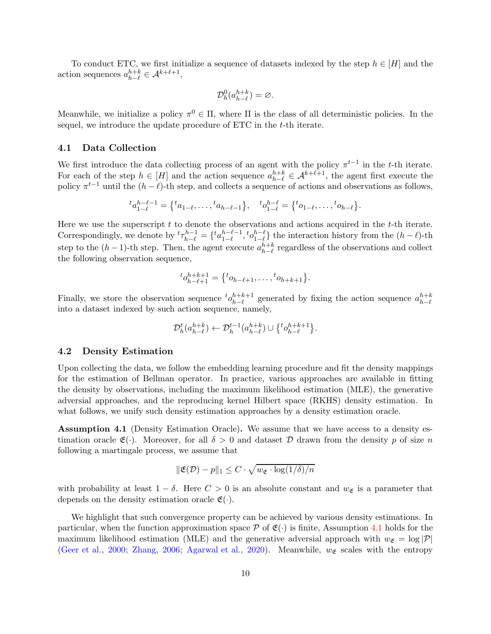To conduct ETC, we first initialize a sequence of datasets indexed by the step  $h \in [H]$  and the action sequences  $a_{h-\ell}^{h+k} \in \mathcal{A}^{k+\ell+1}$ ,

$$
\mathcal{D}_h^0(a_{h-\ell}^{h+k}) = \varnothing.
$$

Meanwhile, we initialize a policy  $\pi^0 \in \Pi$ , where  $\Pi$  is the class of all deterministic policies. In the sequel, we introduce the update procedure of ETC in the t-th iterate.

#### <span id="page-9-1"></span>4.1 Data Collection

We first introduce the data collecting process of an agent with the policy  $\pi^{t-1}$  in the t-th iterate. For each of the step  $h \in [H]$  and the action sequence  $a_{h-\ell}^{h+k} \in \mathcal{A}^{k+\ell+1}$ , the agent first execute the policy  $\pi^{t-1}$  until the  $(h - \ell)$ -th step, and collects a sequence of actions and observations as follows,

$$
{}^{t}a_{1-\ell}^{h-\ell-1} = \left\{ {}^{t}a_{1-\ell}, \ldots, {}^{t}a_{h-\ell-1} \right\}, \quad {}^{t}o_{1-\ell}^{h-\ell} = \left\{ {}^{t}o_{1-\ell}, \ldots, {}^{t}o_{h-\ell} \right\}.
$$

Here we use the superscript  $t$  to denote the observations and actions acquired in the  $t$ -th iterate. Correspondingly, we denote by  ${}^t\tau_{h-\ell}^{h-1} = \{ {}^t a_{1-\ell}^{h-\ell-1}$  $_{\vphantom{A}1-\ell}^{h-\ell-1},\,_{\vphantom{A}0}^{h-\ell}$  $\binom{n-\ell}{1-\ell}$  the interaction history from the  $(h-\ell)$ -th step to the  $(h-1)$ -th step. Then, the agent execute  $a_{h-\ell}^{h+k}$  regardless of the observations and collect the following observation sequence,

$$
{}^{t}o_{h-\ell+1}^{h+k+1} = \{ {}^{t}o_{h-\ell+1}, \ldots, {}^{t}o_{h+k+1} \}.
$$

Finally, we store the observation sequence  ${}^t o_{h-\ell}^{h+k+1}$  generated by fixing the action sequence  $a_{h-\ell}^{h+k}$ into a dataset indexed by such action sequence, namely,

$$
\mathcal{D}_h^t(a_{h-\ell}^{h+k}) \leftarrow \mathcal{D}_h^{t-1}(a_{h-\ell}^{h+k}) \cup \{ {}^t o_{h-\ell}^{h+k+1} \}.
$$

#### 4.2 Density Estimation

Upon collecting the data, we follow the embedding learning procedure and fit the density mappings for the estimation of Bellman operator. In practice, various approaches are available in fitting the density by observations, including the maximum likelihood estimation (MLE), the generative adversial approaches, and the reproducing kernel Hilbert space (RKHS) density estimation. In what follows, we unify such density estimation approaches by a density estimation oracle.

<span id="page-9-0"></span>Assumption 4.1 (Density Estimation Oracle). We assume that we have access to a density estimation oracle  $\mathfrak{E}(\cdot)$ . Moreover, for all  $\delta > 0$  and dataset D drawn from the density p of size n following a martingale process, we assume that

$$
\|\mathfrak{E}(\mathcal{D})-p\|_1 \leq C\cdot \sqrt{w_{\mathfrak{E}}\cdot \log(1/\delta)/n}
$$

with probability at least  $1 - \delta$ . Here  $C > 0$  is an absolute constant and  $w_{\mathfrak{E}}$  is a parameter that depends on the density estimation oracle  $\mathfrak{E}(\cdot)$ .

We highlight that such convergence property can be achieved by various density estimations. In particular, when the function approximation space  $\mathcal P$  of  $\mathfrak{E}(\cdot)$  is finite, Assumption [4.1](#page-9-0) holds for the maximum likelihood estimation (MLE) and the generative adversial approach with  $w_{\mathfrak{E}} = \log |\mathcal{P}|$ [\(Geer et al.](#page-14-14), [2000](#page-14-14); [Zhang,](#page-15-8) [2006](#page-15-8); [Agarwal et al.](#page-13-2), [2020](#page-13-2)). Meanwhile,  $w_{\mathfrak{E}}$  scales with the entropy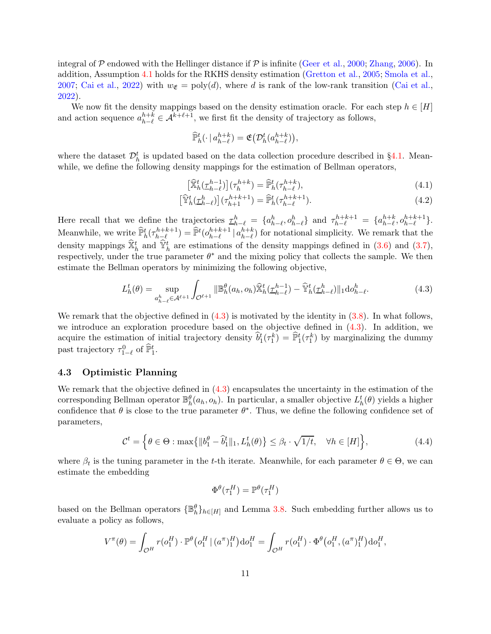integral of P endowed with the Hellinger distance if P is infinite [\(Geer et al.](#page-14-14), [2000](#page-14-14); [Zhang,](#page-15-8) [2006](#page-15-8)). In addition, Assumption [4.1](#page-9-0) holds for the RKHS density estimation [\(Gretton et al.,](#page-14-15) [2005](#page-14-15); [Smola et al.](#page-15-9), [2007;](#page-15-9) [Cai et al.](#page-13-6), [2022](#page-13-6)) with  $w_{\mathfrak{E}} = \text{poly}(d)$ , where d is rank of the low-rank transition [\(Cai et al.](#page-13-6), [2022\)](#page-13-6).

We now fit the density mappings based on the density estimation oracle. For each step  $h \in [H]$ and action sequence  $a_{h-\ell}^{h+k} \in \mathcal{A}^{k+\ell+1}$ , we first fit the density of trajectory as follows,

<span id="page-10-2"></span>
$$
\widehat{\mathbb{P}}_h^t(\cdot \mid a_{h-\ell}^{h+k}) = \mathfrak{E}\big(\mathcal{D}_h^t(a_{h-\ell}^{h+k})\big),\,
$$

where the dataset  $\mathcal{D}_{h}^{t}$  is updated based on the data collection procedure described in §[4.1.](#page-9-1) Meanwhile, we define the following density mappings for the estimation of Bellman operators,

<span id="page-10-3"></span>
$$
\left[\widehat{\mathbb{X}}_h^t(\underline{\tau}_{h-\ell}^{h-1})\right](\tau_h^{h+k}) = \widehat{\mathbb{P}}_h^t(\tau_{h-\ell}^{h+k}),\tag{4.1}
$$

<span id="page-10-0"></span>
$$
\left[\widehat{\mathbb{Y}}_h^t(\underline{\tau}_{h-\ell}^h)\right](\tau_{h+1}^{h+k+1}) = \widehat{\mathbb{P}}_h^t(\tau_{h-\ell}^{h+k+1}).\tag{4.2}
$$

Here recall that we define the trajectories  $\underline{\tau}_{h-\ell}^h = \{a_{h-\ell}^h, o_{h-\ell}^h\}$  and  $\tau_{h-\ell}^{h+k+1} = \{a_{h-\ell}^{h+k}, o_{h-\ell}^{h+k+1}\}$ . Meanwhile, we write  $\hat{\mathbb{P}}_h^t(\tau_{h-\ell}^{h+k+1}) = \hat{\mathbb{P}}^t(o_{h-\ell}^{h+k+1} | a_{h-\ell}^{h+k})$  for notational simplicity. We remark that the density mappings  $\hat{\mathbb{X}}_h^t$  and  $\hat{\mathbb{Y}}_h^t$  are estimations of the density mappings defined in [\(3.6\)](#page-8-0) and [\(3.7\)](#page-8-1), respectively, under the true parameter  $\theta^*$  and the mixing policy that collects the sample. We then estimate the Bellman operators by minimizing the following objective,

$$
L_h^t(\theta) = \sup_{a_{h-\ell}^h \in \mathcal{A}^{\ell+1}} \int_{\mathcal{O}^{\ell+1}} ||\mathbb{B}_h^\theta(a_h, o_h)\hat{\mathbb{X}}_h^t(\underline{\tau}_{h-\ell}^{h-1}) - \hat{\mathbb{Y}}_h^t(\underline{\tau}_{h-\ell}^h) ||_1 \mathrm{d}o_{h-\ell}^h. \tag{4.3}
$$

We remark that the objective defined in  $(4.3)$  is motivated by the identity in  $(3.8)$ . In what follows, we introduce an exploration procedure based on the objective defined in  $(4.3)$ . In addition, we acquire the estimation of initial trajectory density  $\hat{b}_1^t(\tau_1^k) = \hat{F}_1^t(\tau_1^k)$  by marginalizing the dummy past trajectory  $\tau_{1-\ell}^0$  of  $\widehat{\mathbb{P}}_1^t$ .

### 4.3 Optimistic Planning

We remark that the objective defined in  $(4.3)$  encapsulates the uncertainty in the estimation of the corresponding Bellman operator  $\mathbb{B}_{h}^{\theta}(a_h, o_h)$ . In particular, a smaller objective  $L_h^t(\theta)$  yields a higher confidence that  $\theta$  is close to the true parameter  $\theta^*$ . Thus, we define the following confidence set of parameters,

$$
\mathcal{C}^t = \left\{ \theta \in \Theta : \max\{ \|b_1^{\theta} - \hat{b}_1^t\|_1, L_h^t(\theta) \} \le \beta_t \cdot \sqrt{1/t}, \quad \forall h \in [H] \right\},\tag{4.4}
$$

where  $\beta_t$  is the tuning parameter in the t-th iterate. Meanwhile, for each parameter  $\theta \in \Theta$ , we can estimate the embedding

<span id="page-10-1"></span>
$$
\Phi^\theta(\tau_1^H) = \mathbb{P}^\theta(\tau_1^H)
$$

based on the Bellman operators  $\{\mathbb{B}_{h}^{\theta}\}_{h\in[H]}$  and Lemma [3.8.](#page-7-1) Such embedding further allows us to evaluate a policy as follows,

$$
V^{\pi}(\theta) = \int_{\mathcal{O}^H} r(o_1^H) \cdot \mathbb{P}^{\theta}(o_1^H \mid (a^{\pi})_1^H) \, d o_1^H = \int_{\mathcal{O}^H} r(o_1^H) \cdot \Phi^{\theta}(o_1^H, (a^{\pi})_1^H) \, d o_1^H,
$$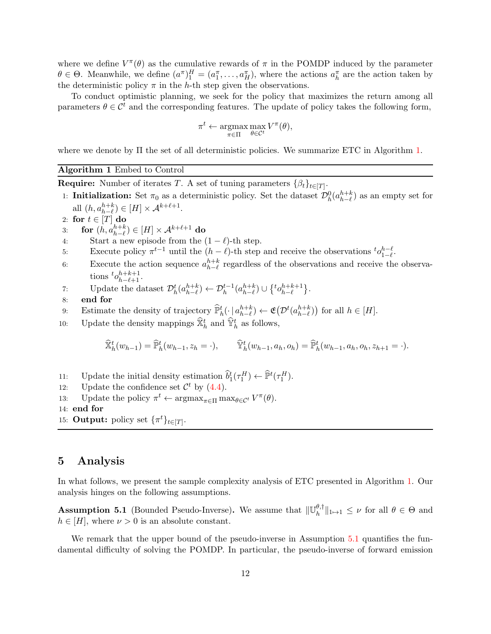where we define  $V^{\pi}(\theta)$  as the cumulative rewards of  $\pi$  in the POMDP induced by the parameter  $\theta \in \Theta$ . Meanwhile, we define  $(a^{\pi})_1^H = (a_1^{\pi}, \dots, a_H^{\pi})$ , where the actions  $a_h^{\pi}$  are the action taken by the deterministic policy  $\pi$  in the h-th step given the observations.

To conduct optimistic planning, we seek for the policy that maximizes the return among all parameters  $\theta \in \mathcal{C}^t$  and the corresponding features. The update of policy takes the following form,

$$
\pi^t \leftarrow \operatorname*{argmax}_{\pi \in \Pi} \max_{\theta \in \mathcal{C}^t} V^{\pi}(\theta),
$$

<span id="page-11-0"></span>where we denote by Π the set of all deterministic policies. We summarize ETC in Algorithm [1.](#page-11-0)

## Algorithm 1 Embed to Control

**Require:** Number of iterates T. A set of tuning parameters  $\{\beta_t\}_{t\in[T]}$ .

- 1: **Initialization:** Set  $\pi_0$  as a deterministic policy. Set the dataset  $\mathcal{D}_h^0(a_{h-\ell}^{h+k})$  as an empty set for all  $(h, a_{h-\ell}^{h+k}) \in [H] \times \mathcal{A}^{k+\ell+1}$ .
- 2: for  $t \in [T]$  do
- 3: for  $(h, a_{h-\ell}^{h+k}) \in [H] \times \mathcal{A}^{k+\ell+1}$  do
- 4: Start a new episode from the  $(1 \ell)$ -th step.
- 5: Execute policy  $\pi^{t-1}$  until the  $(h \ell)$ -th step and receive the observations  ${}^t o_{1-\ell}^{h-\ell}$  $n-\ell \n1-\ell$ .
- 6: Execute the action sequence  $a_{h-\ell}^{h+k}$  regardless of the observations and receive the observations  ${}^t\mathcal{O}_{h-\ell+1}^{h+k+1}$ .
- 7: Update the dataset  $\mathcal{D}_h^t(a_{h-\ell}^{h+k}) \leftarrow \mathcal{D}_h^{t-1}(a_{h-\ell}^{h+k}) \cup \{ {}^t o_{h-\ell}^{h+k+1} \}.$
- 8: end for
- 9: Estimate the density of trajectory  $\widehat{\mathbb{P}}_h^t(\cdot | a_{h-\ell}^{h+k}) \leftarrow \mathfrak{E}(\mathcal{D}^t(a_{h-\ell}^{h+k}))$  for all  $h \in [H]$ .
- 10: Update the density mappings  $\hat{\mathbb{X}}_h^t$  and  $\hat{\mathbb{Y}}_h^t$  as follows,

$$
\widehat{\mathbb{X}}_h^t(w_{h-1}) = \widehat{\mathbb{P}}_h^t(w_{h-1}, z_h = \cdot), \qquad \widehat{\mathbb{Y}}_h^t(w_{h-1}, a_h, o_h) = \widehat{\mathbb{P}}_h^t(w_{h-1}, a_h, o_h, z_{h+1} = \cdot).
$$

- 11: Update the initial density estimation  $\widehat{b}_1^t(\tau_1^H) \leftarrow \widehat{\mathbb{P}}^t(\tau_1^H)$ .
- 12: Update the confidence set  $\mathcal{C}^t$  by [\(4.4\)](#page-10-1).
- 13: Update the policy  $\pi^t \leftarrow \operatorname{argmax}_{\pi \in \Pi} \max_{\theta \in \mathcal{C}^t} V^{\pi}(\theta)$ .
- 14: end for
- 15: **Output:** policy set  $\{\pi^t\}_{t\in[T]}.$

# <span id="page-11-2"></span>5 Analysis

In what follows, we present the sample complexity analysis of ETC presented in Algorithm [1.](#page-11-0) Our analysis hinges on the following assumptions.

<span id="page-11-1"></span>**Assumption 5.1** (Bounded Pseudo-Inverse). We assume that  $\|\mathbb{U}_h^{\theta,\dagger}\|$  $||\theta_h||_{1\mapsto 1} \leq \nu$  for all  $\theta \in \Theta$  and  $h \in [H]$ , where  $\nu > 0$  is an absolute constant.

We remark that the upper bound of the pseudo-inverse in Assumption [5.1](#page-11-1) quantifies the fundamental difficulty of solving the POMDP. In particular, the pseudo-inverse of forward emission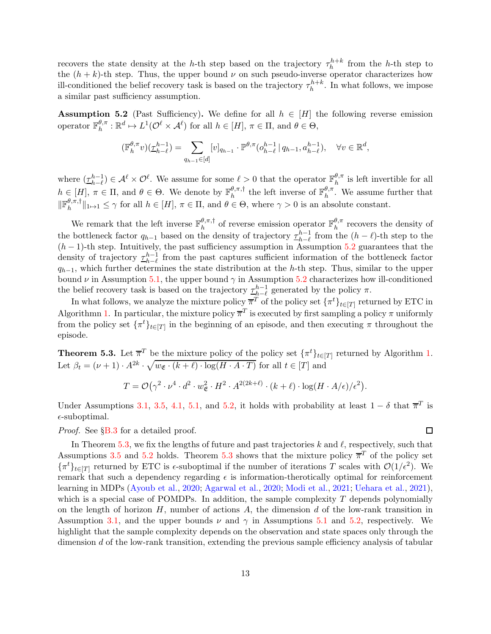recovers the state density at the h-th step based on the trajectory  $\tau_h^{h+k}$  from the h-th step to the  $(h + k)$ -th step. Thus, the upper bound  $\nu$  on such pseudo-inverse operator characterizes how ill-conditioned the belief recovery task is based on the trajectory  $\tau_h^{h+k}$ . In what follows, we impose a similar past sufficiency assumption.

<span id="page-12-0"></span>**Assumption 5.2** (Past Sufficiency). We define for all  $h \in [H]$  the following reverse emission operator  $\mathbb{F}_h^{\theta,\pi}$  $h_h^{\theta,\pi}: \mathbb{R}^d \mapsto L^1(\mathcal{O}^{\ell} \times \mathcal{A}^{\ell})$  for all  $h \in [H], \pi \in \Pi$ , and  $\theta \in \Theta$ ,

$$
(\mathbb{F}_{h}^{\theta,\pi}v)(\underline{\tau}_{h-\ell}^{h-1})=\sum_{q_{h-1}\in [d]}[v]_{q_{h-1}}\cdot \mathbb{P}^{\theta,\pi}(o_{h-\ell}^{h-1}\,|\,q_{h-1},a_{h-\ell}^{h-1}),\quad \forall v\in \mathbb{R}^d,
$$

where  $(\underline{\tau}_{h-\ell}^{h-1}) \in \mathcal{A}^{\ell} \times \mathcal{O}^{\ell}$ . We assume for some  $\ell > 0$  that the operator  $\mathbb{F}_h^{\theta,\pi}$  $h^{\theta,\pi}$  is left invertible for all  $h \in [H], \pi \in \Pi$ , and  $\theta \in \Theta$ . We denote by  $\mathbb{F}_{h}^{\theta,\pi,\dagger}$  $\frac{\theta, \pi, \dagger}{h}$  the left inverse of  $\mathbb{F}_h^{\theta, \pi}$  $h^{\sigma,\pi}$ . We assume further that  $\Vert \mathbb{F}_{h}^{\theta,\pi,\dagger}$  $\|h_n^{\sigma,\pi,\perp}\|_{1\mapsto 1}\leq \gamma$  for all  $h\in[H], \pi\in\Pi$ , and  $\theta\in\Theta$ , where  $\gamma>0$  is an absolute constant.

We remark that the left inverse  $\mathbb{F}_{h}^{\theta,\pi,\dagger}$  $\frac{\theta, \pi, \dagger}{h}$  of reverse emission operator  $\mathbb{F}_h^{\theta, \pi}$  $h^{\sigma,\pi}$  recovers the density of the bottleneck factor  $q_{h-1}$  based on the density of trajectory  $\underline{\tau}_{h-\ell}^{h-1}$  from the  $(h-\ell)$ -th step to the  $(h-1)$ -th step. Intuitively, the past sufficiency assumption in Assumption [5.2](#page-12-0) guarantees that the density of trajectory  $\frac{\tau_{h-1}^{h-1}}{\tau_{h-1}}$  from the past captures sufficient information of the bottleneck factor  $q_{h-1}$ , which further determines the state distribution at the h-th step. Thus, similar to the upper bound  $\nu$  in Assumption [5.1,](#page-11-1) the upper bound  $\gamma$  in Assumption [5.2](#page-12-0) characterizes how ill-conditioned the belief recovery task is based on the trajectory  $\underline{\tau}_{h-\ell}^{h-1}$  generated by the policy  $\pi$ .

In what follows, we analyze the mixture policy  $\overline{\pi}^T$  of the policy set  $\{\pi^t\}_{t\in[T]}$  returned by ETC in Algorithmn [1.](#page-11-0) In particular, the mixture policy  $\overline{\pi}^T$  is executed by first sampling a policy  $\pi$  uniformly from the policy set  $\{\pi^t\}_{t\in[T]}$  in the beginning of an episode, and then executing  $\pi$  throughout the episode.

<span id="page-12-1"></span>**Theorem 5.3.** Let  $\overline{\pi}^T$  be the mixture policy of the policy set  $\{\pi^t\}_{t\in[T]}$  returned by Algorithm [1.](#page-11-0) Let  $\beta_t = (\nu + 1) \cdot A^{2k} \cdot \sqrt{w_{\mathfrak{E}} \cdot (k + \ell) \cdot \log(H \cdot A \cdot T)}$  for all  $t \in [T]$  and

$$
T = \mathcal{O}(\gamma^2 \cdot \nu^4 \cdot d^2 \cdot w_{\mathfrak{E}}^2 \cdot H^2 \cdot A^{2(2k+\ell)} \cdot (k+\ell) \cdot \log(H \cdot A/\epsilon)/\epsilon^2).
$$

Under Assumptions [3.1,](#page-4-0) [3.5,](#page-6-1) [4.1,](#page-9-0) [5.1,](#page-11-1) and [5.2,](#page-12-0) it holds with probability at least  $1 - \delta$  that  $\overline{\pi}^T$  is  $\epsilon$ -suboptimal.

*Proof.* See §[B.3](#page-22-0) for a detailed proof.

 $\Box$ 

In Theorem [5.3,](#page-12-1) we fix the lengths of future and past trajectories k and  $\ell$ , respectively, such that Assumptions [3.5](#page-6-1) and [5.2](#page-12-0) holds. Theorem [5.3](#page-12-1) shows that the mixture policy  $\overline{\pi}^T$  of the policy set  $\{\pi^t\}_{t\in[T]}$  returned by ETC is  $\epsilon$ -suboptimal if the number of iterations T scales with  $\mathcal{O}(1/\epsilon^2)$ . We remark that such a dependency regarding  $\epsilon$  is information-therotically optimal for reinforcement learning in MDPs [\(Ayoub et al.](#page-13-1), [2020](#page-13-1); [Agarwal et al.](#page-13-2), [2020](#page-13-2); [Modi et al.](#page-14-3), [2021;](#page-14-3) [Uehara et al.,](#page-15-2) [2021\)](#page-15-2), which is a special case of POMDPs. In addition, the sample complexity  $T$  depends polynomially on the length of horizon  $H$ , number of actions  $A$ , the dimension  $d$  of the low-rank transition in Assumption [3.1,](#page-4-0) and the upper bounds  $\nu$  and  $\gamma$  in Assumptions [5.1](#page-11-1) and [5.2,](#page-12-0) respectively. We highlight that the sample complexity depends on the observation and state spaces only through the dimension d of the low-rank transition, extending the previous sample efficiency analysis of tabular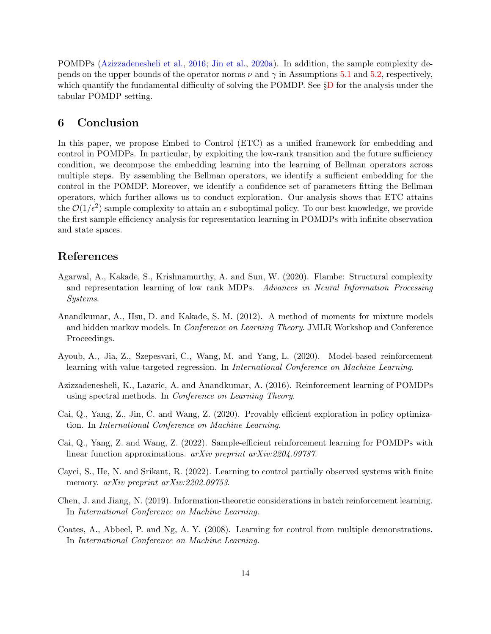POMDPs [\(Azizzadenesheli et al.](#page-13-4), [2016](#page-13-4); [Jin et al.](#page-14-10), [2020a](#page-14-10)). In addition, the sample complexity depends on the upper bounds of the operator norms  $\nu$  and  $\gamma$  in Assumptions [5.1](#page-11-1) and [5.2,](#page-12-0) respectively, which quantify the fundamental difficulty of solving the POM[D](#page-33-0)P. See §D for the analysis under the tabular POMDP setting.

# 6 Conclusion

In this paper, we propose Embed to Control (ETC) as a unified framework for embedding and control in POMDPs. In particular, by exploiting the low-rank transition and the future sufficiency condition, we decompose the embedding learning into the learning of Bellman operators across multiple steps. By assembling the Bellman operators, we identify a sufficient embedding for the control in the POMDP. Moreover, we identify a confidence set of parameters fitting the Bellman operators, which further allows us to conduct exploration. Our analysis shows that ETC attains the  $\mathcal{O}(1/\epsilon^2)$  sample complexity to attain an  $\epsilon$ -suboptimal policy. To our best knowledge, we provide the first sample efficiency analysis for representation learning in POMDPs with infinite observation and state spaces.

# References

- <span id="page-13-2"></span>Agarwal, A., Kakade, S., Krishnamurthy, A. and Sun, W. (2020). Flambe: Structural complexity and representation learning of low rank MDPs. *Advances in Neural Information Processing Systems*.
- <span id="page-13-8"></span>Anandkumar, A., Hsu, D. and Kakade, S. M. (2012). A method of moments for mixture models and hidden markov models. In *Conference on Learning Theory*. JMLR Workshop and Conference Proceedings.
- <span id="page-13-1"></span>Ayoub, A., Jia, Z., Szepesvari, C., Wang, M. and Yang, L. (2020). Model-based reinforcement learning with value-targeted regression. In *International Conference on Machine Learning*.
- <span id="page-13-4"></span>Azizzadenesheli, K., Lazaric, A. and Anandkumar, A. (2016). Reinforcement learning of POMDPs using spectral methods. In *Conference on Learning Theory*.
- <span id="page-13-0"></span>Cai, Q., Yang, Z., Jin, C. and Wang, Z. (2020). Provably efficient exploration in policy optimization. In *International Conference on Machine Learning*.
- <span id="page-13-6"></span>Cai, Q., Yang, Z. and Wang, Z. (2022). Sample-efficient reinforcement learning for POMDPs with linear function approximations. *arXiv preprint arXiv:2204.09787*.
- <span id="page-13-5"></span>Cayci, S., He, N. and Srikant, R. (2022). Learning to control partially observed systems with finite memory. *arXiv preprint arXiv:2202.09753*.
- <span id="page-13-7"></span>Chen, J. and Jiang, N. (2019). Information-theoretic considerations in batch reinforcement learning. In *International Conference on Machine Learning*.
- <span id="page-13-3"></span>Coates, A., Abbeel, P. and Ng, A. Y. (2008). Learning for control from multiple demonstrations. In *International Conference on Machine Learning*.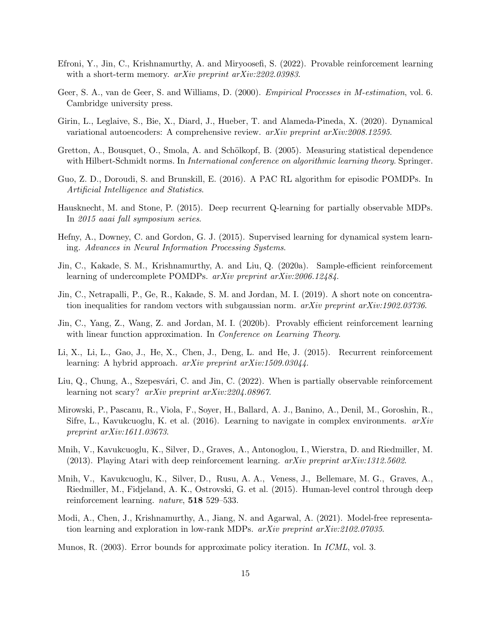- <span id="page-14-12"></span>Efroni, Y., Jin, C., Krishnamurthy, A. and Miryoosefi, S. (2022). Provable reinforcement learning with a short-term memory. *arXiv preprint arXiv:2202.03983*.
- <span id="page-14-14"></span>Geer, S. A., van de Geer, S. and Williams, D. (2000). *Empirical Processes in M-estimation*, vol. 6. Cambridge university press.
- <span id="page-14-9"></span>Girin, L., Leglaive, S., Bie, X., Diard, J., Hueber, T. and Alameda-Pineda, X. (2020). Dynamical variational autoencoders: A comprehensive review. *arXiv preprint arXiv:2008.12595*.
- <span id="page-14-15"></span>Gretton, A., Bousquet, O., Smola, A. and Schölkopf, B. (2005). Measuring statistical dependence with Hilbert-Schmidt norms. In *International conference on algorithmic learning theory*. Springer.
- <span id="page-14-4"></span>Guo, Z. D., Doroudi, S. and Brunskill, E. (2016). A PAC RL algorithm for episodic POMDPs. In *Artificial Intelligence and Statistics*.
- <span id="page-14-6"></span>Hausknecht, M. and Stone, P. (2015). Deep recurrent Q-learning for partially observable MDPs. In *2015 aaai fall symposium series*.
- <span id="page-14-5"></span>Hefny, A., Downey, C. and Gordon, G. J. (2015). Supervised learning for dynamical system learning. *Advances in Neural Information Processing Systems*.
- <span id="page-14-10"></span>Jin, C., Kakade, S. M., Krishnamurthy, A. and Liu, Q. (2020a). Sample-efficient reinforcement learning of undercomplete POMDPs. *arXiv preprint arXiv:2006.12484*.
- <span id="page-14-16"></span>Jin, C., Netrapalli, P., Ge, R., Kakade, S. M. and Jordan, M. I. (2019). A short note on concentration inequalities for random vectors with subgaussian norm. *arXiv preprint arXiv:1902.03736*.
- <span id="page-14-2"></span>Jin, C., Yang, Z., Wang, Z. and Jordan, M. I. (2020b). Provably efficient reinforcement learning with linear function approximation. In *Conference on Learning Theory*.
- <span id="page-14-7"></span>Li, X., Li, L., Gao, J., He, X., Chen, J., Deng, L. and He, J. (2015). Recurrent reinforcement learning: A hybrid approach. *arXiv preprint arXiv:1509.03044*.
- <span id="page-14-11"></span>Liu, Q., Chung, A., Szepesvári, C. and Jin, C. (2022). When is partially observable reinforcement learning not scary? *arXiv preprint arXiv:2204.08967*.
- <span id="page-14-8"></span>Mirowski, P., Pascanu, R., Viola, F., Soyer, H., Ballard, A. J., Banino, A., Denil, M., Goroshin, R., Sifre, L., Kavukcuoglu, K. et al. (2016). Learning to navigate in complex environments. *arXiv preprint arXiv:1611.03673*.
- <span id="page-14-0"></span>Mnih, V., Kavukcuoglu, K., Silver, D., Graves, A., Antonoglou, I., Wierstra, D. and Riedmiller, M. (2013). Playing Atari with deep reinforcement learning. *arXiv preprint arXiv:1312.5602*.
- <span id="page-14-1"></span>Mnih, V., Kavukcuoglu, K., Silver, D., Rusu, A. A., Veness, J., Bellemare, M. G., Graves, A., Riedmiller, M., Fidjeland, A. K., Ostrovski, G. et al. (2015). Human-level control through deep reinforcement learning. *nature*, 518 529–533.
- <span id="page-14-3"></span>Modi, A., Chen, J., Krishnamurthy, A., Jiang, N. and Agarwal, A. (2021). Model-free representation learning and exploration in low-rank MDPs. *arXiv preprint arXiv:2102.07035*.
- <span id="page-14-13"></span>Munos, R. (2003). Error bounds for approximate policy iteration. In *ICML*, vol. 3.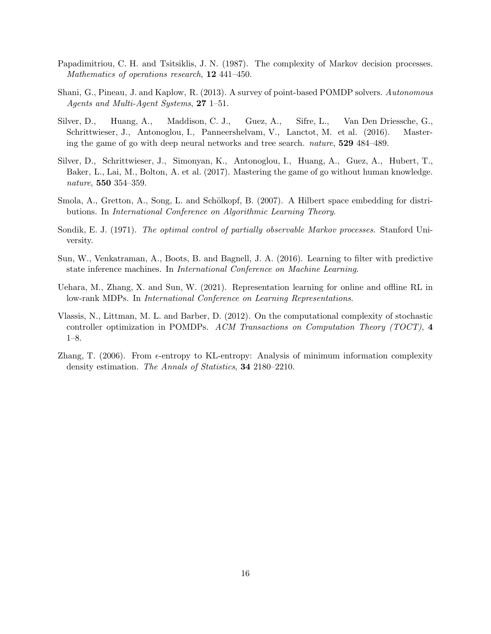- <span id="page-15-4"></span>Papadimitriou, C. H. and Tsitsiklis, J. N. (1987). The complexity of Markov decision processes. *Mathematics of operations research*, 12 441–450.
- <span id="page-15-7"></span>Shani, G., Pineau, J. and Kaplow, R. (2013). A survey of point-based POMDP solvers. *Autonomous Agents and Multi-Agent Systems*, 27 1–51.
- <span id="page-15-0"></span>Silver, D., Huang, A., Maddison, C. J., Guez, A., Sifre, L., Van Den Driessche, G., Schrittwieser, J., Antonoglou, I., Panneershelvam, V., Lanctot, M. et al. (2016). Mastering the game of go with deep neural networks and tree search. *nature*, 529 484–489.
- <span id="page-15-1"></span>Silver, D., Schrittwieser, J., Simonyan, K., Antonoglou, I., Huang, A., Guez, A., Hubert, T., Baker, L., Lai, M., Bolton, A. et al. (2017). Mastering the game of go without human knowledge. *nature*, 550 354–359.
- <span id="page-15-9"></span>Smola, A., Gretton, A., Song, L. and Schölkopf, B. (2007). A Hilbert space embedding for distributions. In *International Conference on Algorithmic Learning Theory*.
- <span id="page-15-3"></span>Sondik, E. J. (1971). *The optimal control of partially observable Markov processes*. Stanford University.
- <span id="page-15-5"></span>Sun, W., Venkatraman, A., Boots, B. and Bagnell, J. A. (2016). Learning to filter with predictive state inference machines. In *International Conference on Machine Learning*.
- <span id="page-15-2"></span>Uehara, M., Zhang, X. and Sun, W. (2021). Representation learning for online and offline RL in low-rank MDPs. In *International Conference on Learning Representations*.
- <span id="page-15-6"></span>Vlassis, N., Littman, M. L. and Barber, D. (2012). On the computational complexity of stochastic controller optimization in POMDPs. *ACM Transactions on Computation Theory (TOCT)*, 4 1–8.
- <span id="page-15-8"></span>Zhang, T.  $(2006)$ . From  $\epsilon$ -entropy to KL-entropy: Analysis of minimum information complexity density estimation. *The Annals of Statistics*, 34 2180–2210.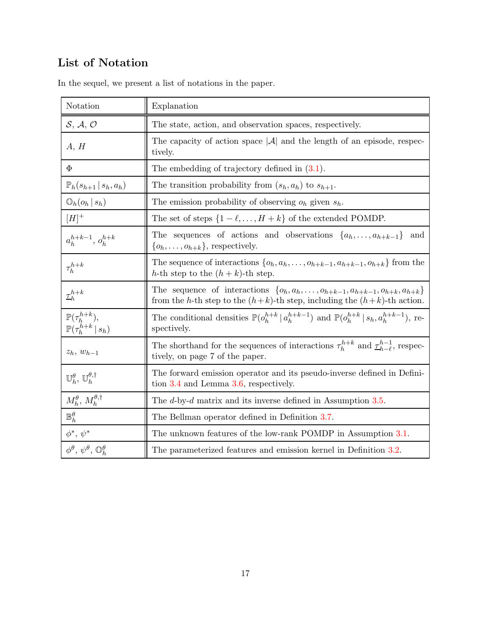# List of Notation

| Notation                                                                                                             | Explanation                                                                                                                                                                   |  |  |  |  |
|----------------------------------------------------------------------------------------------------------------------|-------------------------------------------------------------------------------------------------------------------------------------------------------------------------------|--|--|--|--|
| S, A, O                                                                                                              | The state, action, and observation spaces, respectively.                                                                                                                      |  |  |  |  |
| A, H                                                                                                                 | The capacity of action space $ \mathcal{A} $ and the length of an episode, respec-<br>tively.                                                                                 |  |  |  |  |
| $\Phi$                                                                                                               | The embedding of trajectory defined in $(3.1)$ .                                                                                                                              |  |  |  |  |
| $\mathbb{P}_h(s_{h+1}   s_h, a_h)$                                                                                   | The transition probability from $(s_h, a_h)$ to $s_{h+1}$ .                                                                                                                   |  |  |  |  |
| $\mathbb{O}_h(o_h s_h)$                                                                                              | The emission probability of observing $o_h$ given $s_h$ .                                                                                                                     |  |  |  |  |
| $[H]^{+}$                                                                                                            | The set of steps $\{1 - \ell, \ldots, H + k\}$ of the extended POMDP.                                                                                                         |  |  |  |  |
| $a_h^{h+k-1}, a_h^{h+k}$                                                                                             | The sequences of actions and observations $\{a_h, \ldots, a_{h+k-1}\}\$<br>and<br>$\{o_h, \ldots, o_{h+k}\}\$ , respectively.                                                 |  |  |  |  |
| $\tau_h^{h+k}$                                                                                                       | The sequence of interactions $\{o_h, a_h, \ldots, o_{h+k-1}, a_{h+k-1}, o_{h+k}\}\$ from the<br>h-th step to the $(h + k)$ -th step.                                          |  |  |  |  |
| $\underline{\tau}_h^{h+k}$                                                                                           | The sequence of interactions $\{o_h, a_h, \ldots, o_{h+k-1}, a_{h+k-1}, o_{h+k}, a_{h+k}\}\$<br>from the h-th step to the $(h+k)$ -th step, including the $(h+k)$ -th action. |  |  |  |  |
| $\label{eq:expansion} \begin{array}{l} \mathbb{P}(\tau_h^{h+k}),\\ \mathbb{P}(\tau_h^{h+k} \,   \, s_h) \end{array}$ | The conditional densities $\mathbb{P}(o_h^{h+k}   a_h^{h+k-1})$ and $\mathbb{P}(o_h^{h+k}   s_h, a_h^{h+k-1}),$ re-<br>spectively.                                            |  |  |  |  |
| $z_h$ , $w_{h-1}$                                                                                                    | The shorthand for the sequences of interactions $\tau_h^{h+k}$ and $\underline{\tau}_{h-\ell}^{h-1}$ , respec-<br>tively, on page 7 of the paper.                             |  |  |  |  |
| $\mathbb{U}_h^{\theta}$ , $\mathbb{U}_h^{\theta,\dagger}$                                                            | The forward emission operator and its pseudo-inverse defined in Defini-<br>tion $3.4$ and Lemma $3.6$ , respectively.                                                         |  |  |  |  |
| $M_h^{\theta}$ , $M_h^{\theta,\dagger}$                                                                              | The $d$ -by- $d$ matrix and its inverse defined in Assumption 3.5.                                                                                                            |  |  |  |  |
| $\mathbb{B}_h^{\theta}$                                                                                              | The Bellman operator defined in Definition 3.7.                                                                                                                               |  |  |  |  |
| $\phi^*,\,\psi^*$                                                                                                    | The unknown features of the low-rank POMDP in Assumption 3.1.                                                                                                                 |  |  |  |  |
| $\phi^{\theta}, \psi^{\theta}, \mathbb{O}^{\theta}_h$                                                                | The parameterized features and emission kernel in Definition 3.2.                                                                                                             |  |  |  |  |

In the sequel, we present a list of notations in the paper.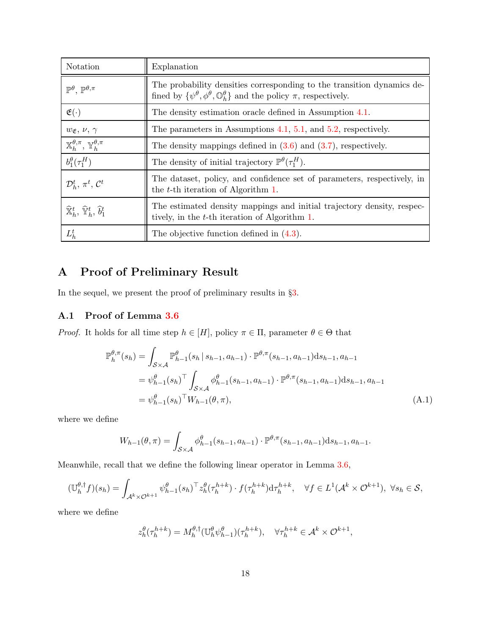| Notation                                                              | Explanation                                                                                                                                                                          |
|-----------------------------------------------------------------------|--------------------------------------------------------------------------------------------------------------------------------------------------------------------------------------|
| $\mathbb{P}^{\theta}$ , $\mathbb{P}^{\theta,\pi}$                     | The probability densities corresponding to the transition dynamics de-<br>fined by $\{\psi^{\theta}, \phi^{\theta}, \mathbb{O}_{h}^{\theta}\}\$ and the policy $\pi$ , respectively. |
| $\mathfrak{E}(\cdot)$                                                 | The density estimation oracle defined in Assumption 4.1.                                                                                                                             |
| $w_{\mathfrak{E}}, v, \gamma$                                         | The parameters in Assumptions $4.1$ , $5.1$ , and $5.2$ , respectively.                                                                                                              |
| $\mathbb{X}_{h}^{\theta,\pi}, \mathbb{Y}_{h}^{\theta,\pi}$            | The density mappings defined in $(3.6)$ and $(3.7)$ , respectively.                                                                                                                  |
| $b_1^{\theta}(\tau_1^H)$                                              | The density of initial trajectory $\mathbb{P}^{\theta}(\tau_1^H)$ .                                                                                                                  |
| $\mathcal{D}_h^t$ , $\pi^t$ , $\mathcal{C}^t$                         | The dataset, policy, and confidence set of parameters, respectively, in<br>the $t$ -th iteration of Algorithm 1.                                                                     |
| $\widehat{\mathbb{X}}_h^t, \widehat{\mathbb{Y}}_h^t, \widehat{b}_1^t$ | The estimated density mappings and initial trajectory density, respec-<br>tively, in the t-th iteration of Algorithm 1.                                                              |
| $L_h^t$                                                               | The objective function defined in $(4.3)$ .                                                                                                                                          |

# A Proof of Preliminary Result

In the sequel, we present the proof of preliminary results in §[3.](#page-4-2)

# <span id="page-17-0"></span>A.1 Proof of Lemma [3.6](#page-6-2)

*Proof.* It holds for all time step  $h \in [H]$ , policy  $\pi \in \Pi$ , parameter  $\theta \in \Theta$  that

$$
\mathbb{P}_{h}^{\theta,\pi}(s_{h}) = \int_{\mathcal{S}\times\mathcal{A}} \mathbb{P}_{h-1}^{\theta}(s_{h} | s_{h-1}, a_{h-1}) \cdot \mathbb{P}^{\theta,\pi}(s_{h-1}, a_{h-1}) ds_{h-1}, a_{h-1}
$$
\n
$$
= \psi_{h-1}^{\theta}(s_{h})^{\top} \int_{\mathcal{S}\times\mathcal{A}} \phi_{h-1}^{\theta}(s_{h-1}, a_{h-1}) \cdot \mathbb{P}^{\theta,\pi}(s_{h-1}, a_{h-1}) ds_{h-1}, a_{h-1}
$$
\n
$$
= \psi_{h-1}^{\theta}(s_{h})^{\top} W_{h-1}(\theta, \pi), \qquad (A.1)
$$

where we define

<span id="page-17-1"></span>
$$
W_{h-1}(\theta, \pi) = \int_{\mathcal{S} \times \mathcal{A}} \phi_{h-1}^{\theta}(s_{h-1}, a_{h-1}) \cdot \mathbb{P}^{\theta, \pi}(s_{h-1}, a_{h-1}) ds_{h-1}, a_{h-1}.
$$

Meanwhile, recall that we define the following linear operator in Lemma [3.6,](#page-6-2)

$$
(\mathbb{U}_{h}^{\theta,\dagger}f)(s_{h}) = \int_{\mathcal{A}^{k}\times\mathcal{O}^{k+1}} \psi_{h-1}^{\theta}(s_{h})^{\top} z_{h}^{\theta}(\tau_{h}^{h+k}) \cdot f(\tau_{h}^{h+k}) d\tau_{h}^{h+k}, \quad \forall f \in L^{1}(\mathcal{A}^{k}\times\mathcal{O}^{k+1}), \ \forall s_{h} \in \mathcal{S},
$$

where we define

$$
z_h^{\theta}(\tau_h^{h+k}) = M_h^{\theta,\dagger}(\mathbb{U}_h^{\theta}\psi_{h-1}^{\theta})(\tau_h^{h+k}), \quad \forall \tau_h^{h+k} \in \mathcal{A}^k \times \mathcal{O}^{k+1},
$$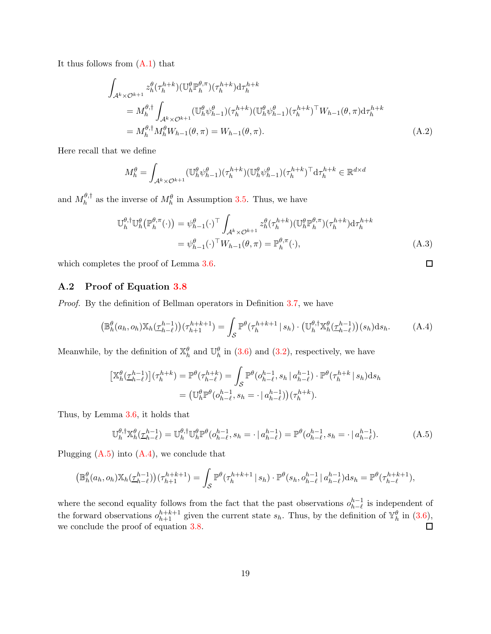It thus follows from [\(A.1\)](#page-17-1) that

$$
\int_{\mathcal{A}^k \times \mathcal{O}^{k+1}} z_h^{\theta}(\tau_h^{h+k})(\mathbb{U}_h^{\theta} \mathbb{P}_h^{\theta,\pi})(\tau_h^{h+k}) d\tau_h^{h+k}
$$
\n
$$
= M_h^{\theta,\dagger} \int_{\mathcal{A}^k \times \mathcal{O}^{k+1}} (\mathbb{U}_h^{\theta} \psi_{h-1}^{\theta})(\tau_h^{h+k})(\mathbb{U}_h^{\theta} \psi_{h-1}^{\theta})(\tau_h^{h+k})^{\top} W_{h-1}(\theta,\pi) d\tau_h^{h+k}
$$
\n
$$
= M_h^{\theta,\dagger} M_h^{\theta} W_{h-1}(\theta,\pi) = W_{h-1}(\theta,\pi).
$$
\n(A.2)

Here recall that we define

$$
M_h^{\theta} = \int_{\mathcal{A}^k \times \mathcal{O}^{k+1}} (\mathbb{U}_h^{\theta} \psi_{h-1}^{\theta}) (\tau_h^{h+k}) (\mathbb{U}_h^{\theta} \psi_{h-1}^{\theta}) (\tau_h^{h+k})^\top \mathrm{d} \tau_h^{h+k} \in \mathbb{R}^{d \times d}
$$

and  $M_h^{\theta,\dagger}$  $h_h^{\theta, \dagger}$  as the inverse of  $M_h^{\theta}$  in Assumption [3.5.](#page-6-1) Thus, we have

$$
\mathbb{U}_{h}^{\theta,\dagger} \mathbb{U}_{h}^{\theta}(\mathbb{P}_{h}^{\theta,\pi}(\cdot)) = \psi_{h-1}^{\theta}(\cdot)^{\top} \int_{\mathcal{A}^{k} \times \mathcal{O}^{k+1}} z_{h}^{\theta}(\tau_{h}^{h+k})(\mathbb{U}_{h}^{\theta}\mathbb{P}_{h}^{\theta,\pi})(\tau_{h}^{h+k}) d\tau_{h}^{h+k}
$$

$$
= \psi_{h-1}^{\theta}(\cdot)^{\top} W_{h-1}(\theta,\pi) = \mathbb{P}_{h}^{\theta,\pi}(\cdot), \tag{A.3}
$$

<span id="page-18-2"></span><span id="page-18-1"></span> $\Box$ 

which completes the proof of Lemma [3.6.](#page-6-2)

### <span id="page-18-0"></span>A.2 Proof of Equation [3.8](#page-8-2)

*Proof.* By the definition of Bellman operators in Definition [3.7,](#page-7-0) we have

$$
\left(\mathbb{B}_{h}^{\theta}(a_{h},o_{h})\mathbb{X}_{h}(\underline{\tau}_{h-\ell}^{h-1})\right)(\tau_{h+1}^{h+k+1}) = \int_{\mathcal{S}}\mathbb{P}^{\theta}(\tau_{h}^{h+k+1} \mid s_{h}) \cdot \left(\mathbb{U}_{h}^{\theta,\dagger}\mathbb{X}_{h}^{\theta}(\underline{\tau}_{h-\ell}^{h-1})\right)(s_{h})ds_{h}.\tag{A.4}
$$

Meanwhile, by the definition of  $\mathbb{X}_{h}^{\theta}$  and  $\mathbb{U}_{h}^{\theta}$  in [\(3.6\)](#page-8-0) and [\(3.2\)](#page-5-2), respectively, we have

$$
\begin{aligned} \left[\mathbb{X}_{h}^{\theta}(\underline{\tau}_{h-\ell}^{h-1})\right](\tau_{h}^{h+k}) &= \mathbb{P}^{\theta}(\tau_{h-\ell}^{h+k}) = \int_{\mathcal{S}} \mathbb{P}^{\theta}(o_{h-\ell}^{h-1}, s_h \mid a_{h-\ell}^{h-1}) \cdot \mathbb{P}^{\theta}(\tau_{h}^{h+k} \mid s_h) \mathrm{d}s_h \\ &= \left(\mathbb{U}_{h}^{\theta} \mathbb{P}^{\theta}(o_{h-\ell}^{h-1}, s_h = \cdot \mid a_{h-\ell}^{h-1})\right)(\tau_{h}^{h+k}). \end{aligned}
$$

Thus, by Lemma [3.6,](#page-6-2) it holds that

$$
\mathbb{U}_{h}^{\theta,\dagger} \mathbb{X}_{h}^{\theta}(\underline{\tau}_{h-\ell}^{h-1}) = \mathbb{U}_{h}^{\theta,\dagger} \mathbb{U}_{h}^{\theta} \mathbb{P}^{\theta} (o_{h-\ell}^{h-1}, s_{h} = \cdot \, | \, a_{h-\ell}^{h-1}) = \mathbb{P}^{\theta} (o_{h-\ell}^{h-1}, s_{h} = \cdot \, | \, a_{h-\ell}^{h-1}). \tag{A.5}
$$

Plugging  $(A.5)$  into  $(A.4)$ , we conclude that

$$
\left(\mathbb{B}_{h}^{\theta}(a_h, o_h)\mathbb{X}_{h}(\underline{\tau}_{h-\ell}^{h-1})\right)(\tau_{h+1}^{h+k+1}) = \int_{\mathcal{S}} \mathbb{P}^{\theta}(\tau_h^{h+k+1} | s_h) \cdot \mathbb{P}^{\theta}(s_h, o_{h-\ell}^{h-1} | a_{h-\ell}^{h-1}) ds_h = \mathbb{P}^{\theta}(\tau_{h-\ell}^{h+k+1}),
$$

where the second equality follows from the fact that the past observations  $o_{h-\ell}^{h-1}$  is independent of the forward observations  $o_{h+1}^{h+k+1}$  given the current state  $s_h$ . Thus, by the definition of  $\mathbb{Y}_h^{\theta}$  in  $(3.6)$ , we conclude the proof of equation [3.8.](#page-8-2)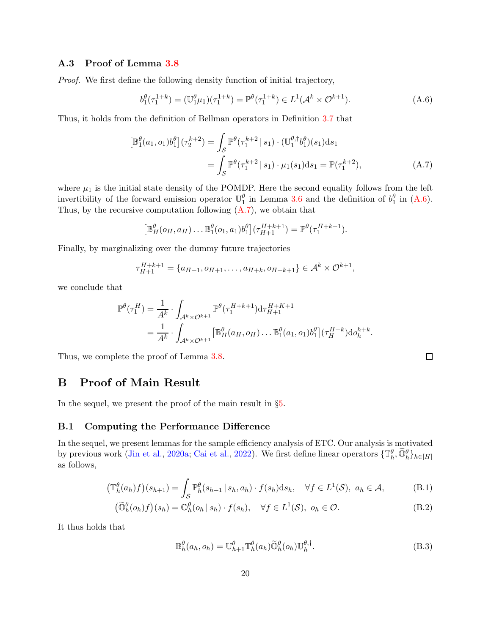## <span id="page-19-0"></span>A.3 Proof of Lemma [3.8](#page-7-1)

*Proof.* We first define the following density function of initial trajectory,

$$
b_1^{\theta}(\tau_1^{1+k}) = (\mathbb{U}_1^{\theta}\mu_1)(\tau_1^{1+k}) = \mathbb{P}^{\theta}(\tau_1^{1+k}) \in L^1(\mathcal{A}^k \times \mathcal{O}^{k+1}).
$$
\n(A.6)

Thus, it holds from the definition of Bellman operators in Definition [3.7](#page-7-0) that

$$
\begin{aligned} \left[\mathbb{B}_{1}^{\theta}(a_{1},o_{1})b_{1}^{\theta}\right](\tau_{2}^{k+2}) &= \int_{\mathcal{S}} \mathbb{P}^{\theta}(\tau_{1}^{k+2} \mid s_{1}) \cdot (\mathbb{U}_{1}^{\theta,\dagger} b_{1}^{\theta})(s_{1}) \mathrm{d}s_{1} \\ &= \int_{\mathcal{S}} \mathbb{P}^{\theta}(\tau_{1}^{k+2} \mid s_{1}) \cdot \mu_{1}(s_{1}) \mathrm{d}s_{1} = \mathbb{P}(\tau_{1}^{k+2}), \end{aligned} \tag{A.7}
$$

where  $\mu_1$  is the initial state density of the POMDP. Here the second equality follows from the left invertibility of the forward emission operator  $\mathbb{U}_1^{\theta}$  in Lemma [3.6](#page-6-2) and the definition of  $b_1^{\theta}$  in [\(A.6\)](#page-19-1). Thus, by the recursive computation following  $(A.7)$ , we obtain that

$$
\left[\mathbb{B}_{H}^{\theta}(o_{H}, a_{H})\dots\mathbb{B}_{1}^{\theta}(o_{1}, a_{1})b_{1}^{\theta}\right](\tau_{H+1}^{H+k+1})=\mathbb{P}^{\theta}(\tau_{1}^{H+k+1}).
$$

Finally, by marginalizing over the dummy future trajectories

$$
\tau_{H+1}^{H+k+1} = \{a_{H+1}, o_{H+1}, \dots, a_{H+k}, o_{H+k+1}\} \in \mathcal{A}^k \times \mathcal{O}^{k+1},
$$

we conclude that

$$
\mathbb{P}^{\theta}(\tau_1^H) = \frac{1}{A^k} \cdot \int_{\mathcal{A}^k \times \mathcal{O}^{k+1}} \mathbb{P}^{\theta}(\tau_1^{H+k+1}) d\tau_{H+1}^{H+K+1}
$$
  
= 
$$
\frac{1}{A^k} \cdot \int_{\mathcal{A}^k \times \mathcal{O}^{k+1}} \left[ \mathbb{B}^{\theta}_H(a_H, o_H) \dots \mathbb{B}^{\theta}_1(a_1, o_1) b_1^{\theta} \right] (\tau_H^{H+k}) d o_h^{h+k}.
$$

Thus, we complete the proof of Lemma [3.8.](#page-7-1)

# <span id="page-19-6"></span>B Proof of Main Result

In the sequel, we present the proof of the main result in §[5.](#page-11-2)

### B.1 Computing the Performance Difference

In the sequel, we present lemmas for the sample efficiency analysis of ETC. Our analysis is motivated by previous work [\(Jin et al.](#page-14-10), [2020a](#page-14-10); [Cai et al.](#page-13-6), [2022\)](#page-13-6). We first define linear operators  $\{\mathbb{T}_h^{\theta}, \widetilde{\mathbb{O}}_h^{\theta}\}_{h \in [H]}$ as follows,

$$
\left(\mathbb{T}_{h}^{\theta}(a_{h})f\right)(s_{h+1}) = \int_{\mathcal{S}} \mathbb{P}_{h}^{\theta}(s_{h+1} \,|\, s_{h}, a_{h}) \cdot f(s_{h}) \mathrm{d}s_{h}, \quad \forall f \in L^{1}(\mathcal{S}), \ a_{h} \in \mathcal{A}, \tag{B.1}
$$

$$
\left(\widetilde{\mathbb{O}}_{h}^{\theta}(o_{h})f\right)(s_{h}) = \mathbb{O}_{h}^{\theta}(o_{h} \mid s_{h}) \cdot f(s_{h}), \quad \forall f \in L^{1}(\mathcal{S}), \ o_{h} \in \mathcal{O}.\tag{B.2}
$$

It thus holds that

$$
\mathbb{B}_{h}^{\theta}(a_h, o_h) = \mathbb{U}_{h+1}^{\theta} \mathbb{T}_{h}^{\theta}(a_h) \widetilde{\mathbb{O}}_h^{\theta}(o_h) \mathbb{U}_{h}^{\theta,\dagger}.
$$
\n(B.3)

<span id="page-19-5"></span><span id="page-19-4"></span><span id="page-19-3"></span><span id="page-19-2"></span><span id="page-19-1"></span>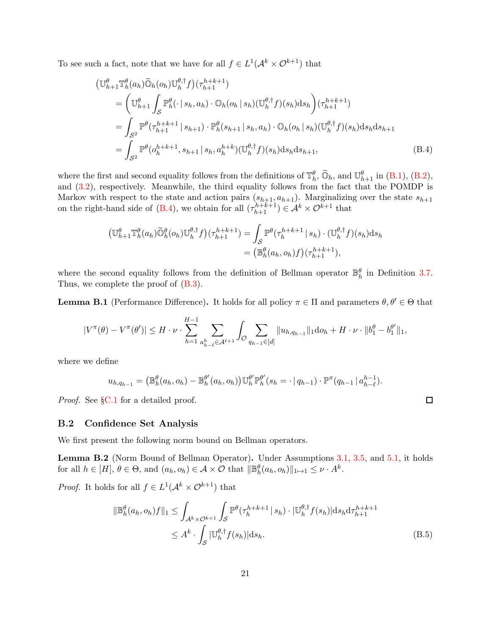To see such a fact, note that we have for all  $f \in L^1(\mathcal{A}^k \times \mathcal{O}^{k+1})$  that

$$
\begin{split}\n\left(\mathbb{U}_{h+1}^{\theta}\mathbb{T}_{h}^{\theta}(a_{h})\widetilde{\mathbb{O}}_{h}(o_{h})\mathbb{U}_{h}^{\theta,\dagger}f\right)(\tau_{h+1}^{h+k+1}) \\
&= \left(\mathbb{U}_{h+1}^{\theta}\int_{\mathcal{S}}\mathbb{P}_{h}^{\theta}(\cdot|s_{h},a_{h})\cdot\mathbb{O}_{h}(o_{h}|s_{h})(\mathbb{U}_{h}^{\theta,\dagger}f)(s_{h})ds_{h}\right)(\tau_{h+1}^{h+k+1}) \\
&= \int_{\mathcal{S}^{2}}\mathbb{P}^{\theta}(\tau_{h+1}^{h+k+1}|s_{h+1})\cdot\mathbb{P}_{h}^{\theta}(s_{h+1}|s_{h},a_{h})\cdot\mathbb{O}_{h}(o_{h}|s_{h})(\mathbb{U}_{h}^{\theta,\dagger}f)(s_{h})ds_{h}ds_{h+1} \\
&= \int_{\mathcal{S}^{2}}\mathbb{P}^{\theta}(o_{h}^{h+k+1},s_{h+1}|s_{h},a_{h}^{h+k})(\mathbb{U}_{h}^{\theta,\dagger}f)(s_{h})ds_{h}ds_{h+1},\n\end{split} \tag{B.4}
$$

where the first and second equality follows from the definitions of  $\mathbb{T}_{h}^{\theta}$ ,  $\widetilde{\mathbb{O}}_{h}$ , and  $\mathbb{U}_{h+1}^{\theta}$  in [\(B.1\)](#page-19-3), [\(B.2\)](#page-19-4), and [\(3.2\)](#page-5-2), respectively. Meanwhile, the third equality follows from the fact that the POMDP is Markov with respect to the state and action pairs  $(s_{h+1}, a_{h+1})$ . Marginalizing over the state  $s_{h+1}$ on the right-hand side of [\(B.4\)](#page-20-0), we obtain for all  $(\tau_{h+1}^{h+k+1}) \in \mathcal{A}^k \times \mathcal{O}^{k+1}$  that

<span id="page-20-0"></span>
$$
\begin{split} \left(\mathbb{U}_{h+1}^{\theta}\mathbb{T}_{h}^{\theta}(a_{h})\widetilde{\mathbb{O}}_{h}^{\theta}(o_{h})\mathbb{U}_{h}^{\theta,\dagger}f\right)(\tau_{h+1}^{h+k+1}) &= \int_{\mathcal{S}}\mathbb{P}^{\theta}(\tau_{h}^{h+k+1} \mid s_{h})\cdot(\mathbb{U}_{h}^{\theta,\dagger}f)(s_{h})\mathrm{d}s_{h} \\ &= \left(\mathbb{B}_{h}^{\theta}(a_{h},o_{h})f\right)(\tau_{h+1}^{h+k+1}), \end{split}
$$

where the second equality follows from the definition of Bellman operator  $\mathbb{B}_{h}^{\theta}$  in Definition [3.7.](#page-7-0) Thus, we complete the proof of  $(B.3)$ .

<span id="page-20-3"></span>**Lemma B.1** (Performance Difference). It holds for all policy  $\pi \in \Pi$  and parameters  $\theta, \theta' \in \Theta$  that

$$
|V^{\pi}(\theta) - V^{\pi}(\theta')| \leq H \cdot \nu \cdot \sum_{h=1}^{H-1} \sum_{a_{h-\ell}^h \in \mathcal{A}^{\ell+1}} \int_{\mathcal{O}} \sum_{q_{h-1} \in [d]} \|u_{h,q_{h-1}}\|_1 \mathrm{d}a_h + H \cdot \nu \cdot \|b_1^{\theta} - b_1^{\theta'}\|_1,
$$

where we define

$$
u_{h,q_{h-1}} = (\mathbb{B}_{h}^{\theta}(a_{h},o_{h}) - \mathbb{B}_{h}^{\theta'}(a_{h},o_{h}))\mathbb{U}_{h}^{\theta'}\mathbb{P}_{h}^{\theta'}(s_{h} = \cdot | q_{h-1}) \cdot \mathbb{P}^{\pi}(q_{h-1} | a_{h-\ell}^{h-1}).
$$

*Proof.* See §[C.1](#page-24-0) for a detailed proof.

#### B.2 Confidence Set Analysis

We first present the following norm bound on Bellman operators.

<span id="page-20-2"></span>Lemma B.2 (Norm Bound of Bellman Operator). Under Assumptions [3.1,](#page-4-0) [3.5,](#page-6-1) and [5.1,](#page-11-1) it holds for all  $h \in [H]$ ,  $\theta \in \Theta$ , and  $(a_h, o_h) \in \mathcal{A} \times \mathcal{O}$  that  $\|\mathbb{B}_h^{\theta}(a_h, o_h)\|_{1 \mapsto 1} \leq \nu \cdot A^k$ .

*Proof.* It holds for all  $f \in L^1(\mathcal{A}^k \times \mathcal{O}^{k+1})$  that

<span id="page-20-1"></span>
$$
\|\mathbb{B}_{h}^{\theta}(a_{h},o_{h})f\|_{1} \leq \int_{\mathcal{A}^{k} \times \mathcal{O}^{k+1}} \int_{\mathcal{S}} \mathbb{P}^{\theta}(\tau_{h}^{h+k+1} | s_{h}) \cdot |\mathbb{U}_{h}^{\theta,\dagger}f(s_{h})| \mathrm{d}s_{h} \mathrm{d}\tau_{h+1}^{h+k+1}
$$
  

$$
\leq A^{k} \cdot \int_{\mathcal{S}} |\mathbb{U}_{h}^{\theta,\dagger}f(s_{h})| \mathrm{d}s_{h}.
$$
 (B.5)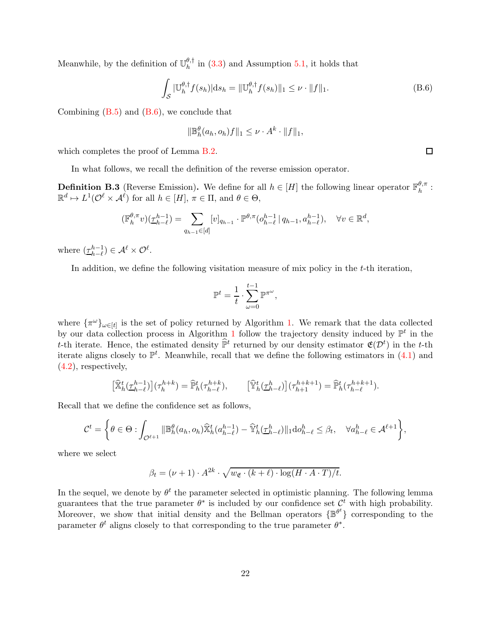Meanwhile, by the definition of  $\mathbb{U}_h^{\theta,\dagger}$  $h<sup>0,1</sup>$  in [\(3.3\)](#page-6-3) and Assumption [5.1,](#page-11-1) it holds that

$$
\int_{S} |\mathbb{U}_{h}^{\theta,\dagger} f(s_{h})| \mathrm{d}s_{h} = ||\mathbb{U}_{h}^{\theta,\dagger} f(s_{h})||_{1} \leq \nu \cdot ||f||_{1}.
$$
\n(B.6)

Combining  $(B.5)$  and  $(B.6)$ , we conclude that

<span id="page-21-0"></span>
$$
\|\mathbb{B}_h^{\theta}(a_h, o_h)f\|_1 \leq \nu \cdot A^k \cdot \|f\|_1,
$$

which completes the proof of Lemma [B.2.](#page-20-2)

In what follows, we recall the definition of the reverse emission operator.

**Definition B.3** (Reverse Emission). We define for all  $h \in [H]$  the following linear operator  $\mathbb{F}_h^{\theta,\pi}$  $\frac{\sigma,\pi}{h}$  :  $\mathbb{R}^d \mapsto L^1(\mathcal{O}^{\ell} \times \mathcal{A}^{\ell})$  for all  $h \in [H], \pi \in \Pi$ , and  $\theta \in \Theta$ ,

$$
(\mathbb{F}_{h}^{\theta,\pi}v)(\underline{\tau}_{h-\ell}^{h-1}) = \sum_{q_{h-1}\in[d]} [v]_{q_{h-1}} \cdot \mathbb{P}^{\theta,\pi}(o_{h-\ell}^{h-1} | q_{h-1}, a_{h-\ell}^{h-1}), \quad \forall v \in \mathbb{R}^{d},
$$

where  $(\underline{\tau}_{h-\ell}^{h-1}) \in \mathcal{A}^{\ell} \times \mathcal{O}^{\ell}$ .

In addition, we define the following visitation measure of mix policy in the  $t$ -th iteration,

$$
\mathbb{P}^t = \frac{1}{t} \cdot \sum_{\omega=0}^{t-1} \mathbb{P}^{\pi^{\omega}},
$$

where  $\{\pi^{\omega}\}_{\omega \in [t]}$  is the set of policy returned by Algorithm [1.](#page-11-0) We remark that the data collected by our data collection process in Algorithm [1](#page-11-0) follow the trajectory density induced by  $\mathbb{P}^t$  in the t-th iterate. Hence, the estimated density  $\hat{\mathbb{P}}^t$  returned by our density estimator  $\mathfrak{E}(\mathcal{D}^t)$  in the t-th iterate aligns closely to  $\mathbb{P}^t$ . Meanwhile, recall that we define the following estimators in  $(4.1)$  and [\(4.2\)](#page-10-3), respectively,

$$
\left[\widehat{\mathbb{X}}_h^t(\underline{\tau}_{h-\ell}^{h-1})\right](\tau_h^{h+k}) = \widehat{\mathbb{P}}_h^t(\tau_{h-\ell}^{h+k}), \qquad \left[\widehat{\mathbb{Y}}_h^t(\underline{\tau}_{h-\ell}^h)\right](\tau_{h+1}^{h+k+1}) = \widehat{\mathbb{P}}_h^t(\tau_{h-\ell}^{h+k+1}).
$$

Recall that we define the confidence set as follows,

$$
\mathcal{C}^t = \left\{\theta \in \Theta : \int_{\mathcal{O}^{\ell+1}} \|\mathbb{B}_h^{\theta}(a_h, o_h)\widehat{\mathbb{X}}_h^t(a_{h-\ell}^{h-1}) - \widehat{\mathbb{Y}}_h^t(\underline{\tau}_{h-\ell}^h) \|\mathbf{1} \mathrm{d} o_{h-\ell}^h \leq \beta_t, \quad \forall a_{h-\ell}^h \in \mathcal{A}^{\ell+1} \right\},\
$$

where we select

$$
\beta_t = (\nu + 1) \cdot A^{2k} \cdot \sqrt{w_{\mathfrak{E}} \cdot (k + \ell) \cdot \log(H \cdot A \cdot T)/t}.
$$

In the sequel, we denote by  $\theta^t$  the parameter selected in optimistic planning. The following lemma guarantees that the true parameter  $\theta^*$  is included by our confidence set  $\mathcal{C}^t$  with high probability. Moreover, we show that initial density and the Bellman operators  $\{\mathbb{B}^{\theta^t}\}\$  corresponding to the parameter  $\theta^t$  aligns closely to that corresponding to the true parameter  $\theta^*$ .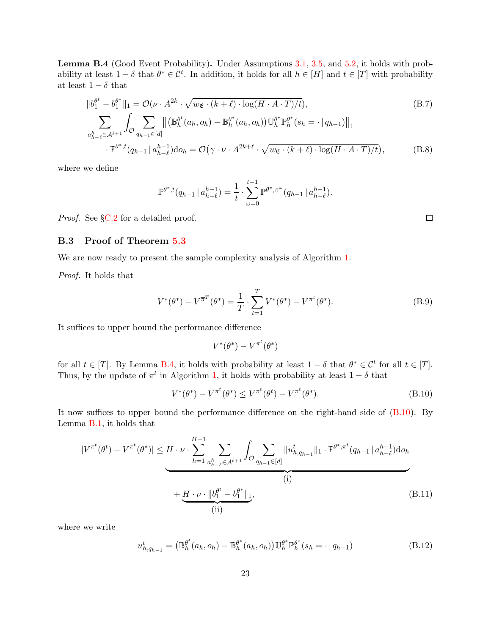<span id="page-22-1"></span>Lemma B.4 (Good Event Probability). Under Assumptions [3.1,](#page-4-0) [3.5,](#page-6-1) and [5.2,](#page-12-0) it holds with probability at least  $1 - \delta$  that  $\theta^* \in \mathcal{C}^t$ . In addition, it holds for all  $h \in [H]$  and  $t \in [T]$  with probability at least  $1-\delta$  that

$$
||b_1^{\theta^t} - b_1^{\theta^*}||_1 = \mathcal{O}(\nu \cdot A^{2k} \cdot \sqrt{w_{\mathfrak{E}} \cdot (k+\ell) \cdot \log(H \cdot A \cdot T)/t}),
$$
\n
$$
\sum_{a_{h-\ell}^k \in \mathcal{A}^{\ell+1}} \int_{\mathcal{O}} \sum_{q_{h-1} \in [d]} \left\| \left( \mathbb{B}_h^{\theta^t}(a_h, o_h) - \mathbb{B}_h^{\theta^*}(a_h, o_h) \right) \mathbb{U}_h^{\theta^*} \mathbb{P}_h^{\theta^*}(s_h = \cdot | q_{h-1}) \right\|_1
$$
\n
$$
\cdot \mathbb{P}^{\theta^*;t}(q_{h-1} | a_{h-\ell}^{h-1}) \mathrm{d}o_h = \mathcal{O}(\gamma \cdot \nu \cdot A^{2k+\ell} \cdot \sqrt{w_{\mathfrak{E}} \cdot (k+\ell) \cdot \log(H \cdot A \cdot T)/t}),
$$
\n(B.8)

where we define

<span id="page-22-5"></span><span id="page-22-3"></span>
$$
\mathbb{P}^{\theta^*,t}(q_{h-1} | a_{h-\ell}^{h-1}) = \frac{1}{t} \cdot \sum_{\omega=0}^{t-1} \mathbb{P}^{\theta^*,\pi^{\omega}}(q_{h-1} | a_{h-\ell}^{h-1}).
$$

<span id="page-22-0"></span>*Proof.* See §[C.2](#page-26-0) for a detailed proof.

#### B.3 Proof of Theorem [5.3](#page-12-1)

We are now ready to present the sample complexity analysis of Algorithm [1.](#page-11-0)

*Proof.* It holds that

$$
V^*(\theta^*) - V^{\overline{\pi}^T}(\theta^*) = \frac{1}{T} \cdot \sum_{t=1}^T V^*(\theta^*) - V^{\pi^t}(\theta^*).
$$
 (B.9)

It suffices to upper bound the performance difference

<span id="page-22-4"></span><span id="page-22-2"></span>
$$
V^*(\theta^*) - V^{\pi^t}(\theta^*)
$$

for all  $t \in [T]$ . By Lemma [B.4,](#page-22-1) it holds with probability at least  $1 - \delta$  that  $\theta^* \in \mathcal{C}^t$  for all  $t \in [T]$ . Thus, by the update of  $\pi^t$  in Algorithm [1,](#page-11-0) it holds with probability at least  $1 - \delta$  that

$$
V^*(\theta^*) - V^{\pi^t}(\theta^*) \le V^{\pi^t}(\theta^t) - V^{\pi^t}(\theta^*).
$$
 (B.10)

It now suffices to upper bound the performance difference on the right-hand side of [\(B.10\)](#page-22-2). By Lemma [B.1,](#page-20-3) it holds that

$$
|V^{\pi^t}(\theta^t) - V^{\pi^t}(\theta^*)| \le H \cdot \nu \cdot \sum_{h=1}^{H-1} \sum_{\substack{a_{h-\ell}^h \in \mathcal{A}^{\ell+1}}} \int_{\mathcal{O}} \sum_{q_{h-1} \in [d]} \|u_{h,q_{h-1}}^t\|_1 \cdot \mathbb{P}^{\theta^*, \pi^t}(q_{h-1} \mid a_{h-\ell}^{h-1}) \text{d}o_h
$$
  
\n(i)  
\n
$$
+ \underbrace{H \cdot \nu \cdot \|b_1^{\theta^t} - b_1^{\theta^*}\|_1}_{\text{(ii)}},
$$
\n(B.11)

where we write

$$
u_{h,q_{h-1}}^{t} = (\mathbb{B}_{h}^{\theta^{t}}(a_{h},o_{h}) - \mathbb{B}_{h}^{\theta^{*}}(a_{h},o_{h}))\mathbb{U}_{h}^{\theta^{*}}\mathbb{P}_{h}^{\theta^{*}}(s_{h} = \cdot | q_{h-1})
$$
(B.12)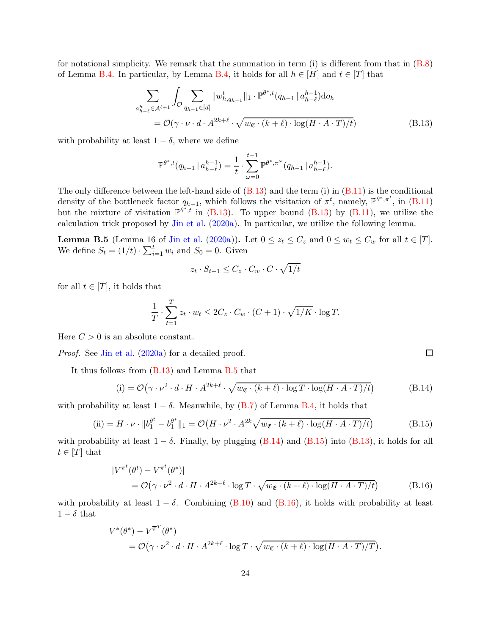for notational simplicity. We remark that the summation in term (i) is different from that in  $(B.8)$ of Lemma [B.4.](#page-22-1) In particular, by Lemma [B.4,](#page-22-1) it holds for all  $h \in [H]$  and  $t \in [T]$  that

$$
\sum_{\substack{a_{h-\ell}^h \in \mathcal{A}^{\ell+1}}} \int_{\mathcal{O}} \sum_{q_{h-1} \in [d]} \|w_{h,q_{h-1}}^t\|_1 \cdot \mathbb{P}^{\theta^*,t}(q_{h-1} \mid a_{h-\ell}^{h-1}) \text{d}o_h
$$
\n
$$
= \mathcal{O}(\gamma \cdot \nu \cdot d \cdot A^{2k+\ell} \cdot \sqrt{w_{\mathfrak{E}} \cdot (k+\ell) \cdot \log(H \cdot A \cdot T)/t})
$$
\n(B.13)

with probability at least  $1 - \delta$ , where we define

<span id="page-23-0"></span>
$$
\mathbb{P}^{\theta^*,t}(q_{h-1} | a_{h-\ell}^{h-1}) = \frac{1}{t} \cdot \sum_{\omega=0}^{t-1} \mathbb{P}^{\theta^*,\pi^{\omega}}(q_{h-1} | a_{h-\ell}^{h-1}).
$$

The only difference between the left-hand side of  $(B.13)$  and the term (i) in  $(B.11)$  is the conditional density of the bottleneck factor  $q_{h-1}$ , which follows the visitation of  $\pi^t$ , namely,  $\mathbb{P}^{\theta^*, \pi^t}$ , in [\(B.11\)](#page-22-4) but the mixture of visitation  $\mathbb{P}^{\theta^{*},t}$  in [\(B.13\)](#page-23-0). To upper bound (B.13) by [\(B.11\)](#page-22-4), we utilize the calculation trick proposed by [Jin et al.](#page-14-10) [\(2020a\)](#page-14-10). In particular, we utilize the following lemma.

<span id="page-23-1"></span>**Lemma B.5** (Lemma 16 of [Jin et al.](#page-14-10) [\(2020a](#page-14-10))). Let  $0 \le z_t \le C_z$  and  $0 \le w_t \le C_w$  for all  $t \in [T]$ . We define  $S_t = (1/t) \cdot \sum_{i=1}^t w_i$  and  $S_0 = 0$ . Given

<span id="page-23-3"></span><span id="page-23-2"></span>
$$
z_t \cdot S_{t-1} \le C_z \cdot C_w \cdot C \cdot \sqrt{1/t}
$$

for all  $t \in [T]$ , it holds that

$$
\frac{1}{T} \cdot \sum_{t=1}^{T} z_t \cdot w_t \le 2C_z \cdot C_w \cdot (C+1) \cdot \sqrt{1/K} \cdot \log T.
$$

Here  $C > 0$  is an absolute constant.

*Proof.* See [Jin et al.](#page-14-10) [\(2020a](#page-14-10)) for a detailed proof.

It thus follows from [\(B.13\)](#page-23-0) and Lemma [B.5](#page-23-1) that

(i) = 
$$
\mathcal{O}(\gamma \cdot \nu^2 \cdot d \cdot H \cdot A^{2k+\ell} \cdot \sqrt{w_{\mathfrak{E}} \cdot (k+\ell) \cdot \log T \cdot \log(H \cdot A \cdot T)/t})
$$
 (B.14)

with probability at least  $1 - \delta$ . Meanwhile, by [\(B.7\)](#page-22-5) of Lemma [B.4,](#page-22-1) it holds that

(ii) = 
$$
H \cdot \nu \cdot ||b_1^{\theta^t} - b_1^{\theta^*}||_1 = \mathcal{O}(H \cdot \nu^2 \cdot A^{2k} \sqrt{w_{\mathfrak{E}} \cdot (k+\ell) \cdot \log(H \cdot A \cdot T)/t})
$$
 (B.15)

with probability at least  $1 - \delta$ . Finally, by plugging [\(B.14\)](#page-23-2) and [\(B.15\)](#page-23-3) into [\(B.13\)](#page-23-0), it holds for all  $t \in [T]$  that

<span id="page-23-4"></span>
$$
\begin{split} \left| V^{\pi^t}(\theta^t) - V^{\pi^t}(\theta^*) \right| \\ &= \mathcal{O}\left(\gamma \cdot \nu^2 \cdot d \cdot H \cdot A^{2k+\ell} \cdot \log T \cdot \sqrt{w_{\mathfrak{E}} \cdot (k+\ell) \cdot \log(H \cdot A \cdot T)/t}\right) \end{split} \tag{B.16}
$$

with probability at least  $1 - \delta$ . Combining [\(B.10\)](#page-22-2) and [\(B.16\)](#page-23-4), it holds with probability at least  $1 - \delta$  that

$$
V^*(\theta^*) - V^{\overline{\pi}^T}(\theta^*)
$$
  
=  $\mathcal{O}(\gamma \cdot \nu^2 \cdot d \cdot H \cdot A^{2k+\ell} \cdot \log T \cdot \sqrt{w_{\mathfrak{E}} \cdot (k+\ell) \cdot \log(H \cdot A \cdot T)/T}).$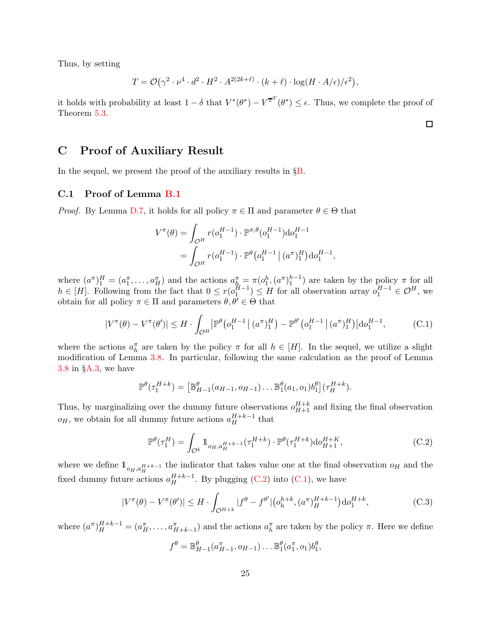Thus, by setting

$$
T = \mathcal{O}(\gamma^2 \cdot \nu^4 \cdot d^2 \cdot H^2 \cdot A^{2(2k+\ell)} \cdot (k+\ell) \cdot \log(H \cdot A/\epsilon)/\epsilon^2),
$$

it holds with probability at least  $1 - \delta$  that  $V^*(\theta^*) - V^{\overline{\pi}^T}(\theta^*) \leq \epsilon$ . Thus, we complete the proof of Theorem [5.3.](#page-12-1)

<span id="page-24-2"></span> $\Box$ 

# C Proof of Auxiliary Result

<span id="page-24-0"></span>In the sequel, we present the proof of the auxiliary results in §[B.](#page-19-6)

### C.1 Proof of Lemma [B.1](#page-20-3)

*Proof.* By Lemma [D.7,](#page-36-0) it holds for all policy  $\pi \in \Pi$  and parameter  $\theta \in \Theta$  that

$$
V^{\pi}(\theta) = \int_{\mathcal{O}^{H}} r(o_1^{H-1}) \cdot \mathbb{P}^{\pi,\theta}(o_1^{H-1}) \text{d}o_1^{H-1}
$$
  
= 
$$
\int_{\mathcal{O}^{H}} r(o_1^{H-1}) \cdot \mathbb{P}^{\theta}(o_1^{H-1} | (a^{\pi})_1^{H}) \text{d}o_1^{H-1},
$$

where  $(a^{\pi})_1^H = (a_1^{\pi}, \ldots, a_H^{\pi})$  and the actions  $a_h^{\pi} = \pi (o_1^h, (a^{\pi})_1^{h-1})$  are taken by the policy  $\pi$  for all  $h \in [H]$ . Following from the fact that  $0 \le r(o_1^{H-1}) \le H$  for all observation array  $o_1^{H-1} \in \mathcal{O}^H$ , we obtain for all policy  $\pi \in \Pi$  and parameters  $\theta, \theta' \in \Theta$  that

$$
|V^{\pi}(\theta) - V^{\pi}(\theta')| \le H \cdot \int_{\mathcal{O}^H} |\mathbb{P}^{\theta} (o_1^{H-1} | (a^{\pi})_1^H) - \mathbb{P}^{\theta'} (o_1^{H-1} | (a^{\pi})_1^H) | do_1^{H-1},
$$
 (C.1)

where the actions  $a_h^{\pi}$  are taken by the policy  $\pi$  for all  $h \in [H]$ . In the sequel, we utilize a slight modification of Lemma [3.8.](#page-7-1) In particular, following the same calculation as the proof of Lemma [3.8](#page-7-1) in §[A.3,](#page-19-0) we have

$$
\mathbb{P}^{\theta}(\tau_1^{H+k}) = \left[\mathbb{B}_{H-1}^{\theta}(a_{H-1}, a_{H-1})\dots\mathbb{B}_{1}^{\theta}(a_1, a_1)b_1^{\theta}\right](\tau_H^{H+k}).
$$

Thus, by marginalizing over the dummy future observations  $o_{H+1}^{H+k}$  and fixing the final observation  $o_H$ , we obtain for all dummy future actions  $a_H^{H+k-1}$  that

<span id="page-24-1"></span>
$$
\mathbb{P}^{\theta}(\tau_1^H) = \int_{\mathcal{O}^k} 1\!\!1_{o_H, a_H^{H+k-1}}(\tau_1^{H+k}) \cdot \mathbb{P}^{\theta}(\tau_1^{H+k}) \text{d}o_{H+1}^{H+k},
$$
\n(C.2)

where we define  $\mathbb{1}_{o_H,a_H^H+k-1}$  the indicator that takes value one at the final observation  $o_H$  and the fixed dummy future actions  $a_H^{H+k-1}$ . By plugging [\(C.2\)](#page-24-1) into [\(C.1\)](#page-24-2), we have

$$
|V^{\pi}(\theta) - V^{\pi}(\theta')| \le H \cdot \int_{\mathcal{O}^{H+k}} |f^{\theta} - f^{\theta'}| \left( o_h^{h+k}, (a^{\pi})_H^{H+k-1} \right) \mathrm{d}o_1^{H+k}, \tag{C.3}
$$

where  $(a^{\pi})_H^{H+k-1} = (a_H^{\pi}, \ldots, a_{H+k-1}^{\pi})$  and the actions  $a_h^{\pi}$  are taken by the policy  $\pi$ . Here we define

<span id="page-24-3"></span>
$$
f^{\theta} = \mathbb{B}_{H-1}^{\theta}(a_{H-1}^{\pi}, o_{H-1}) \dots \mathbb{B}_{1}^{\theta}(a_{1}^{\pi}, o_{1})b_{1}^{\theta},
$$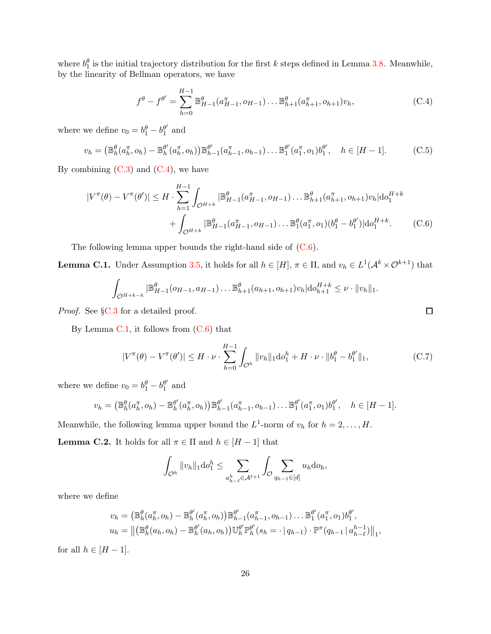where  $b_1^{\theta}$  is the initial trajectory distribution for the first k steps defined in Lemma [3.8.](#page-7-1) Meanwhile, by the linearity of Bellman operators, we have

<span id="page-25-1"></span><span id="page-25-0"></span>
$$
f^{\theta} - f^{\theta'} = \sum_{h=0}^{H-1} \mathbb{B}_{H-1}^{\theta}(a_{H-1}^{\pi}, o_{H-1}) \dots \mathbb{B}_{h+1}^{\theta}(a_{h+1}^{\pi}, o_{h+1})v_h,
$$
 (C.4)

where we define  $v_0 = b_1^{\theta} - b_1^{\theta'}$  $_1^{\theta'}$  and

$$
v_h = (\mathbb{B}_h^{\theta}(a_h^{\pi}, o_h) - \mathbb{B}_h^{\theta'}(a_h^{\pi}, o_h)) \mathbb{B}_{h-1}^{\theta'}(a_{h-1}^{\pi}, o_{h-1}) \dots \mathbb{B}_1^{\theta'}(a_1^{\pi}, o_1) b_1^{\theta'}, \quad h \in [H-1].
$$
 (C.5)

By combining  $(C.3)$  and  $(C.4)$ , we have

$$
|V^{\pi}(\theta) - V^{\pi}(\theta')| \leq H \cdot \sum_{h=1}^{H-1} \int_{\mathcal{O}^{H+k}} |\mathbb{B}_{H-1}^{\theta}(a_{H-1}^{\pi}, o_{H-1})... \mathbb{B}_{h+1}^{\theta}(a_{h+1}^{\pi}, o_{h+1})v_h| \mathrm{d}o_1^{H+k} + \int_{\mathcal{O}^{H+k}} |\mathbb{B}_{H-1}^{\theta}(a_{H-1}^{\pi}, o_{H-1})... \mathbb{B}_{1}^{\theta}(a_{1}^{\pi}, o_{1})(b_{1}^{\theta} - b_{1}^{\theta'})| \mathrm{d}o_1^{H+k}.
$$
 (C.6)

The following lemma upper bounds the right-hand side of  $(C.6)$ .

<span id="page-25-2"></span>**Lemma C.1.** Under Assumption [3.5,](#page-6-1) it holds for all  $h \in [H]$ ,  $\pi \in \Pi$ , and  $v_h \in L^1(\mathcal{A}^k \times \mathcal{O}^{k+1})$  that

$$
\int_{\mathcal{O}^{H+k-h}} |\mathbb{B}_{H-1}^{\theta} (o_{H-1}, a_{H-1}) \dots \mathbb{B}_{h+1}^{\theta} (a_{h+1}, o_{h+1}) v_h | \mathrm{d}o_{h+1}^{H+k} \leq \nu \cdot ||v_h||_1.
$$

*Proof.* See §[C.3](#page-30-0) for a detailed proof.

By Lemma  $C.1$ , it follows from  $(C.6)$  that

$$
|V^{\pi}(\theta) - V^{\pi}(\theta')| \le H \cdot \nu \cdot \sum_{h=0}^{H-1} \int_{\mathcal{O}^h} ||v_h||_1 \mathrm{d}v_1^h + H \cdot \nu \cdot ||b_1^{\theta} - b_1^{\theta'}||_1,
$$
 (C.7)

where we define  $v_0 = b_1^{\theta} - b_1^{\theta'}$  $_1^{\theta'}$  and

$$
v_h = (\mathbb{B}_h^{\theta}(a_h^{\pi}, o_h) - \mathbb{B}_h^{\theta'}(a_h^{\pi}, o_h)) \mathbb{B}_{h-1}^{\theta'}(a_{h-1}^{\pi}, o_{h-1}) \dots \mathbb{B}_1^{\theta'}(a_1^{\pi}, o_1) b_1^{\theta'}, \quad h \in [H-1].
$$

Meanwhile, the following lemma upper bound the  $L^1$ -norm of  $v_h$  for  $h = 2, \ldots, H$ .

<span id="page-25-4"></span>**Lemma C.2.** It holds for all  $\pi \in \Pi$  and  $h \in [H-1]$  that

<span id="page-25-3"></span>
$$
\int_{\mathcal{O}^h} \|v_h\|_1 \mathrm{d} v_1^h \le \sum_{a_{h-\ell}^h \in \mathcal{A}^{\ell+1}} \int_{\mathcal{O}} \sum_{q_{h-1} \in [d]} u_h \mathrm{d} v_h,
$$

where we define

$$
v_h = (\mathbb{B}_h^{\theta}(a_h^{\pi}, o_h) - \mathbb{B}_h^{\theta'}(a_h^{\pi}, o_h)) \mathbb{B}_{h-1}^{\theta'}(a_{h-1}^{\pi}, o_{h-1}) \dots \mathbb{B}_1^{\theta'}(a_1^{\pi}, o_1) b_1^{\theta'},
$$
  

$$
u_h = ||(\mathbb{B}_h^{\theta}(a_h, o_h) - \mathbb{B}_h^{\theta'}(a_h, o_h)) \mathbb{U}_h^{\theta'} \mathbb{P}_h^{\theta'}(s_h = \cdot | q_{h-1}) \cdot \mathbb{P}^{\pi}(q_{h-1} | a_{h-\ell}^{h-1})||_1,
$$

for all  $h \in [H-1]$ .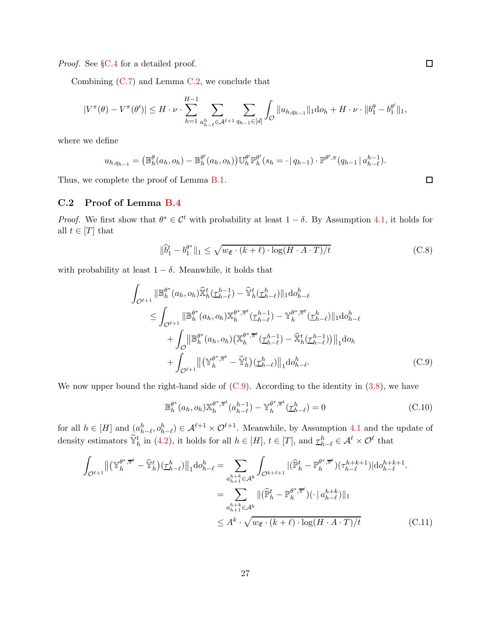*Proof.* See §[C.4](#page-31-0) for a detailed proof.

Combining  $(C.7)$  and Lemma  $C.2$ , we conclude that

$$
|V^{\pi}(\theta) - V^{\pi}(\theta')| \leq H \cdot \nu \cdot \sum_{h=1}^{H-1} \sum_{\substack{a_h^h \in \mathcal{A}^{\ell+1} \\ a_{h-\ell} \in \mathcal{A}^{\ell+1}}} \sum_{q_{h-1} \in [d]} \int_{\mathcal{O}} ||u_{h,q_{h-1}}||_1 \mathrm{d}v_h + H \cdot \nu \cdot ||b_1^{\theta} - b_1^{\theta'}||_1,
$$

where we define

$$
u_{h,q_{h-1}} = (\mathbb{B}_{h}^{\theta}(a_{h},o_{h}) - \mathbb{B}_{h}^{\theta'}(a_{h},o_{h})) \mathbb{U}_{h}^{\theta'} \mathbb{P}_{h}^{\theta'}(s_{h} = \cdot | q_{h-1}) \cdot \mathbb{P}^{\theta',\pi}(q_{h-1} | a_{h-\ell}^{h-1}).
$$

Thus, we complete the proof of Lemma [B.1.](#page-20-3)

### <span id="page-26-0"></span>C.2 Proof of Lemma [B.4](#page-22-1)

*Proof.* We first show that  $\theta^* \in C^t$  with probability at least  $1 - \delta$ . By Assumption [4.1,](#page-9-0) it holds for all  $t \in [T]$  that

$$
\|\hat{b}_1^t - b_1^{\theta^*}\|_1 \le \sqrt{w_{\mathfrak{E}} \cdot (k+\ell) \cdot \log(H \cdot A \cdot T)/t}
$$
 (C.8)

with probability at least  $1 - \delta$ . Meanwhile, it holds that

$$
\int_{\mathcal{O}^{\ell+1}} ||\mathbb{B}_{h}^{\theta^{*}}(a_{h},o_{h})\hat{\mathbb{X}}_{h}^{t}(\underline{\tau}_{h-\ell}^{h-1}) - \hat{\mathbb{Y}}_{h}^{t}(\underline{\tau}_{h-\ell}^{h}) ||_{1} \text{d}o_{h-\ell}^{h}
$$
\n
$$
\leq \int_{\mathcal{O}^{\ell+1}} ||\mathbb{B}_{h}^{\theta^{*}}(a_{h},o_{h})\mathbb{X}_{h}^{\theta^{*},\overline{\pi}^{t}}(\underline{\tau}_{h-\ell}^{h-1}) - \mathbb{Y}_{h}^{\theta^{*},\overline{\pi}^{t}}(\underline{\tau}_{h-\ell}^{h}) ||_{1} \text{d}o_{h-\ell}^{h}
$$
\n
$$
+ \int_{\mathcal{O}} ||\mathbb{B}_{h}^{\theta^{*}}(a_{h},o_{h}) (\mathbb{X}_{h}^{\theta^{*},\overline{\pi}^{t}}(\underline{\tau}_{h-\ell}^{h-1}) - \hat{\mathbb{X}}_{h}^{t}(\underline{\tau}_{h-\ell}^{h-1})) ||_{1} \text{d}o_{h}
$$
\n
$$
+ \int_{\mathcal{O}^{\ell+1}} ||(\mathbb{Y}_{h}^{\theta^{*},\overline{\pi}^{t}} - \hat{\mathbb{Y}}_{h}^{t})(\underline{\tau}_{h-\ell}^{h}) ||_{1} \text{d}o_{h-\ell}^{h}.
$$
\n(C.9)

We now upper bound the right-hand side of  $(C.9)$ . According to the identity in  $(3.8)$ , we have

<span id="page-26-3"></span><span id="page-26-2"></span><span id="page-26-1"></span>
$$
\mathbb{B}_{h}^{\theta^*}(a_h, o_h) \mathbb{X}_{h}^{\theta^*, \overline{\pi}^t}(a_{h-\ell}^{h-1}) - \mathbb{Y}_{h}^{\theta^*, \overline{\pi}^t}(\underline{\tau}_{h-\ell}^h) = 0
$$
\n(C.10)

for all  $h \in [H]$  and  $(a_{h-\ell}^h, o_{h-\ell}^h) \in \mathcal{A}^{\ell+1} \times \mathcal{O}^{\ell+1}$ . Meanwhile, by Assumption [4.1](#page-9-0) and the update of density estimators  $\hat{\mathbb{Y}}_h^t$  in [\(4.2\)](#page-10-3), it holds for all  $h \in [H]$ ,  $t \in [T]$ , and  $\underline{\tau}_h^h_{-\ell} \in \mathcal{A}^{\ell} \times \mathcal{O}^{\ell}$  that

$$
\int_{\mathcal{O}^{\ell+1}} \left\| \left( \mathbb{Y}_{h}^{\theta^{*}, \overline{\pi}^{t}} - \widehat{\mathbb{Y}}_{h}^{t} \right) (\underline{\tau}_{h-\ell}^{h}) \right\|_{1} \mathrm{d} \sigma_{h-\ell}^{h} = \sum_{\substack{a_{h+1}^{h+1} \in \mathcal{A}^{k} \\ a_{h+1}^{h+1} \in \mathcal{A}^{k}}} \int_{\mathcal{O}^{k+\ell+1}} |(\widehat{\mathbb{P}}_{h}^{t} - \mathbb{P}_{h}^{\theta^{*}, \overline{\pi}^{t}}) (\tau_{h-\ell}^{h+k+1}) | \mathrm{d} \sigma_{h-\ell}^{h+k+1}.
$$
\n
$$
= \sum_{\substack{a_{h+1}^{h+1} \in \mathcal{A}^{k} \\ \leq A^{k} \cdot \sqrt{w_{\mathfrak{E}} \cdot (k+\ell) \cdot \log(H \cdot A \cdot T)/t}} \|(\widehat{\mathbb{P}}_{h}^{t} - \mathbb{P}_{h}^{\theta^{*}, \overline{\pi}^{t}}) (\cdot \| a_{h-\ell}^{h+k}) \|_{1} \tag{C.11}
$$

<span id="page-26-4"></span> $\Box$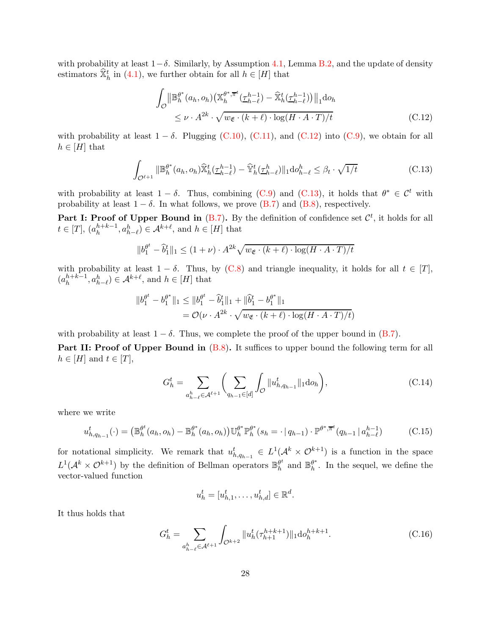with probability at least  $1-\delta$ . Similarly, by Assumption [4.1,](#page-9-0) Lemma [B.2,](#page-20-2) and the update of density estimators  $\hat{\mathbb{X}}_h^t$  in [\(4.1\)](#page-10-2), we further obtain for all  $h \in [H]$  that

<span id="page-27-1"></span><span id="page-27-0"></span>
$$
\int_{\mathcal{O}} \left\| \mathbb{B}_{h}^{\theta^{*}}(a_{h}, o_{h}) \left( \mathbb{X}_{h}^{\theta^{*}, \overline{\pi}^{t}}(\underline{\tau}_{h-\ell}^{h-1}) - \widehat{\mathbb{X}}_{h}^{t}(\underline{\tau}_{h-\ell}^{h-1}) \right) \right\|_{1} \mathrm{d}o_{h}
$$
\n
$$
\leq \nu \cdot A^{2k} \cdot \sqrt{w_{\mathfrak{E}} \cdot (k+\ell) \cdot \log(H \cdot A \cdot T)/t}
$$
\n(C.12)

with probability at least  $1 - \delta$ . Plugging [\(C.10\)](#page-26-2), [\(C.11\)](#page-26-3), and [\(C.12\)](#page-27-0) into [\(C.9\)](#page-26-1), we obtain for all  $h \in [H]$  that

$$
\int_{\mathcal{O}^{\ell+1}} \|\mathbb{B}_h^{\theta^*}(a_h, o_h)\widehat{\mathbb{X}}_h^t(\underline{\tau}_{h-\ell}^{h-1}) - \widehat{\mathbb{Y}}_h^t(\underline{\tau}_{h-\ell}^h)\|_1 \mathrm{d}o_{h-\ell}^h \leq \beta_t \cdot \sqrt{1/t} \tag{C.13}
$$

with probability at least  $1 - \delta$ . Thus, combining [\(C.9\)](#page-26-1) and [\(C.13\)](#page-27-1), it holds that  $\theta^* \in C^t$  with probability at least  $1 - \delta$ . In what follows, we prove [\(B.7\)](#page-22-5) and [\(B.8\)](#page-22-3), respectively.

**Part I: Proof of Upper Bound in** [\(B.7\)](#page-22-5). By the definition of confidence set  $\mathcal{C}^t$ , it holds for all  $t \in [T], (a_h^{h+k-1}, a_{h-\ell}^h) \in \mathcal{A}^{k+\ell}$ , and  $h \in [H]$  that

$$
||b_1^{\theta^t} - \hat{b}_1^t||_1 \le (1 + \nu) \cdot A^{2k} \sqrt{w_{\mathfrak{E}} \cdot (k + \ell) \cdot \log(H \cdot A \cdot T)/t}
$$

with probability at least  $1 - \delta$ . Thus, by [\(C.8\)](#page-26-4) and triangle inequality, it holds for all  $t \in [T]$ ,  $(a_h^{h+k-1}, a_{h-\ell}^h) \in \mathcal{A}^{k+\ell}$ , and  $h \in [H]$  that

$$
\begin{aligned} \|b_1^{\theta^t} - b_1^{\theta^*}\|_1 &\le \|b_1^{\theta^t} - \hat{b}_1^t\|_1 + \|\hat{b}_1^t - b_1^{\theta^*}\|_1 \\ &= \mathcal{O}(\nu \cdot A^{2k} \cdot \sqrt{w_{\mathfrak{E}} \cdot (k+\ell) \cdot \log(H \cdot A \cdot T) / t}) \end{aligned}
$$

with probability at least  $1 - \delta$ . Thus, we complete the proof of the upper bound in [\(B.7\)](#page-22-5).

Part II: Proof of Upper Bound in  $(B.8)$ . It suffices to upper bound the following term for all  $h \in [H]$  and  $t \in [T]$ ,

$$
G_h^t = \sum_{a_{h-\ell}^h \in \mathcal{A}^{\ell+1}} \bigg( \sum_{q_{h-1} \in [d]} \int_{\mathcal{O}} ||u_{h,q_{h-1}}^t||_1 \mathrm{d}o_h \bigg),\tag{C.14}
$$

where we write

$$
u_{h,q_{h-1}}^{t}(\cdot) = (\mathbb{B}_{h}^{\theta^{t}}(a_{h},o_{h}) - \mathbb{B}_{h}^{\theta^{*}}(a_{h},o_{h}))\mathbb{U}_{h}^{\theta^{*}}\mathbb{P}_{h}^{\theta^{*}}(s_{h} = \cdot | q_{h-1}) \cdot \mathbb{P}^{\theta^{*},\overline{\pi}^{t}}(q_{h-1} | a_{h-\ell}^{h-1})
$$
(C.15)

for notational simplicity. We remark that  $u_{h,q_{h-1}}^t \in L^1(\mathcal{A}^k \times \mathcal{O}^{k+1})$  is a function in the space  $L^1(\mathcal{A}^k \times \mathcal{O}^{k+1})$  by the definition of Bellman operators  $\mathbb{B}_h^{\theta^k}$  $\frac{\theta^t}{h}$  and  $\mathbb{B}_h^{\theta^*}$  $h^*$ . In the sequel, we define the vector-valued function

<span id="page-27-4"></span><span id="page-27-3"></span><span id="page-27-2"></span>
$$
u_h^t = [u_{h,1}^t, \dots, u_{h,d}^t] \in \mathbb{R}^d.
$$

It thus holds that

$$
G_h^t = \sum_{a_{h-\ell}^h \in \mathcal{A}^{\ell+1}} \int_{\mathcal{O}^{k+2}} \|u_h^t(\tau_{h+1}^{h+k+1})\|_1 \mathrm{d}o_h^{h+k+1}.
$$
 (C.16)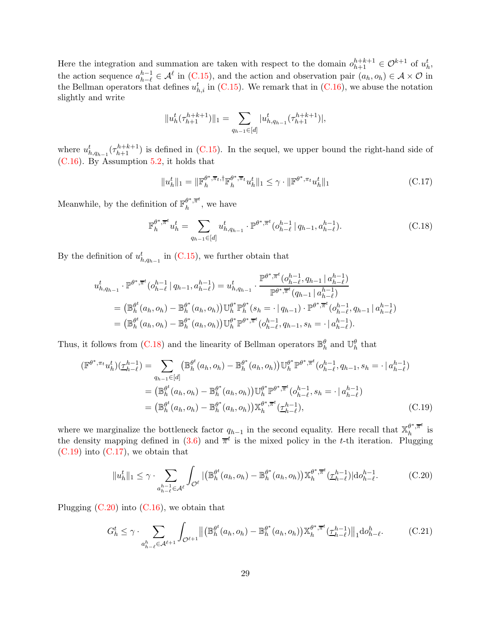Here the integration and summation are taken with respect to the domain  $o_{h+1}^{h+k+1} \in \mathcal{O}^{k+1}$  of  $u_h^t$ , the action sequence  $a_{h-\ell}^{h-1} \in \mathcal{A}^{\ell}$  in [\(C.15\)](#page-27-2), and the action and observation pair  $(a_h, o_h) \in \mathcal{A} \times \mathcal{O}$  in the Bellman operators that defines  $u_{h,i}^t$  in [\(C.15\)](#page-27-2). We remark that in [\(C.16\)](#page-27-3), we abuse the notation slightly and write

$$
||u^t_h(\tau^{h+k+1}_{h+1})||_1 = \sum_{q_{h-1}\in [d]} |u^t_{h,q_{h-1}}(\tau^{h+k+1}_{h+1})|,
$$

where  $u_{h,q_{h-1}}^t(\tau_{h+1}^{h+k+1})$  is defined in [\(C.15\)](#page-27-2). In the sequel, we upper bound the right-hand side of [\(C.16\)](#page-27-3). By Assumption [5.2,](#page-12-0) it holds that

<span id="page-28-2"></span><span id="page-28-0"></span>
$$
||u_h^t||_1 = ||\mathbb{F}_h^{\theta^*, \overline{\pi}_t, \dagger} \mathbb{F}_h^{\theta^*, \overline{\pi}_t} u_h^t||_1 \leq \gamma \cdot ||\mathbb{F}^{\theta^*, \pi_t} u_h^t||_1
$$
\n(C.17)

Meanwhile, by the definition of  $\mathbb{F}_h^{\theta^*,\overline{\pi}^t}$  $\frac{\sigma}{h}$ <sup> $\frac{\pi}{h}$ </sup>, we have

$$
\mathbb{F}_{h}^{\theta^*, \overline{\pi}^t} u_h^t = \sum_{q_{h-1} \in [d]} u_{h, q_{h-1}}^t \cdot \mathbb{P}^{\theta^*, \overline{\pi}^t} (o_{h-\ell}^{h-1} | q_{h-1}, a_{h-\ell}^{h-1}). \tag{C.18}
$$

By the definition of  $u_{h,q_{h-1}}^{t}$  in [\(C.15\)](#page-27-2), we further obtain that

$$
u_{h,q_{h-1}}^{t} \cdot \mathbb{P}^{\theta^{*},\overline{\pi}^{t}}(o_{h-\ell}^{h-1} | q_{h-1}, a_{h-\ell}^{h-1}) = u_{h,q_{h-1}}^{t} \cdot \frac{\mathbb{P}^{\theta^{*},\overline{\pi}^{t}}(o_{h-\ell}^{h-1}, q_{h-1} | a_{h-\ell}^{h-1})}{\mathbb{P}^{\theta^{*},\overline{\pi}^{t}}(q_{h-1} | a_{h-\ell}^{h-1})}
$$
  
= 
$$
(\mathbb{B}_{h}^{\theta^{t}}(a_{h}, o_{h}) - \mathbb{B}_{h}^{\theta^{*}}(a_{h}, o_{h})) \mathbb{U}_{h}^{\theta^{*}} \mathbb{P}_{h}^{\theta^{*}}(s_{h} = \cdot | q_{h-1}) \cdot \mathbb{P}^{\theta^{*},\overline{\pi}^{t}}(o_{h-\ell}^{h-1}, q_{h-1} | a_{h-\ell}^{h-1})
$$
  
= 
$$
(\mathbb{B}_{h}^{\theta^{t}}(a_{h}, o_{h}) - \mathbb{B}_{h}^{\theta^{*}}(a_{h}, o_{h})) \mathbb{U}_{h}^{\theta^{*}} \mathbb{P}^{\theta^{*},\overline{\pi}^{t}}(o_{h-\ell}^{h-1}, q_{h-1}, s_{h} = \cdot | a_{h-\ell}^{h-1}).
$$

Thus, it follows from [\(C.18\)](#page-28-0) and the linearity of Bellman operators  $\mathbb{B}_{h}^{\theta}$  and  $\mathbb{U}_{h}^{\theta}$  that

$$
(\mathbb{F}^{\theta^*, \pi_t} u_h^t)(\underline{\tau}_{h-\ell}^{h-1}) = \sum_{q_{h-1} \in [d]} (\mathbb{B}_h^{\theta^*}(a_h, o_h) - \mathbb{B}_h^{\theta^*}(a_h, o_h)) \mathbb{U}_h^{\theta^*} \mathbb{P}^{\theta^*, \overline{\pi}^t}(o_{h-\ell}^{h-1}, q_{h-1}, s_h = \cdot | a_{h-\ell}^{h-1})
$$
  
\n
$$
= (\mathbb{B}_h^{\theta^t}(a_h, o_h) - \mathbb{B}_h^{\theta^*}(a_h, o_h)) \mathbb{U}_h^{\theta^*} \mathbb{P}^{\theta^*, \overline{\pi}^t}(o_{h-\ell}^{h-1}, s_h = \cdot | a_{h-\ell}^{h-1})
$$
  
\n
$$
= (\mathbb{B}_h^{\theta^t}(a_h, o_h) - \mathbb{B}_h^{\theta^*}(a_h, o_h)) \mathbb{X}_h^{\theta^*, \overline{\pi}^t}(\underline{\tau}_{h-\ell}^{h-1}),
$$
\n(C.19)

where we marginalize the bottleneck factor  $q_{h-1}$  in the second equality. Here recall that  $\mathbb{X}_{h}^{\theta^*,\overline{\pi}^t}$  $\frac{\sigma}{h}$ ,<sup> $\pi$ </sup> is the density mapping defined in  $(3.6)$  and  $\bar{\pi}^t$  is the mixed policy in the t-th iteration. Plugging  $(C.19)$  into  $(C.17)$ , we obtain that

<span id="page-28-3"></span><span id="page-28-1"></span>
$$
||u_h^t||_1 \leq \gamma \cdot \sum_{\substack{a_{h-\ell}^{h-1} \in \mathcal{A}^{\ell}}} \int_{\mathcal{O}^{\ell}} |(\mathbb{B}_h^{\theta^t}(a_h, o_h) - \mathbb{B}_h^{\theta^*}(a_h, o_h)) \mathbb{X}_h^{\theta^*, \overline{\pi}^t}(\underline{\tau}_{h-\ell}^{h-1}) | do_{h-\ell}^{h-1}.
$$
 (C.20)

Plugging  $(C.20)$  into  $(C.16)$ , we obtain that

<span id="page-28-4"></span>
$$
G_h^t \le \gamma \cdot \sum_{a_{h-\ell}^h \in \mathcal{A}^{\ell+1}} \int_{\mathcal{O}^{\ell+1}} \left\| \left( \mathbb{B}_h^{\theta^t}(a_h, o_h) - \mathbb{B}_h^{\theta^*}(a_h, o_h) \right) \mathbb{X}_h^{\theta^*, \overline{\pi}^t}(\underline{\tau}_{h-\ell}^{h-1}) \right\|_1 \mathrm{d}o_{h-\ell}^h. \tag{C.21}
$$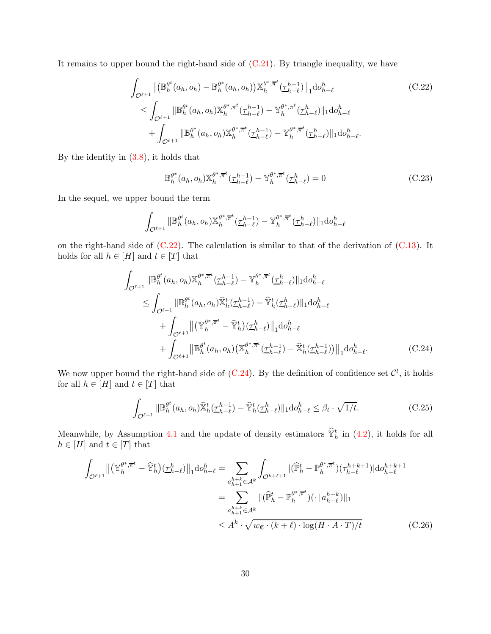It remains to upper bound the right-hand side of  $(C.21)$ . By triangle inequality, we have

$$
\int_{\mathcal{O}^{\ell+1}} \left\| \left( \mathbb{B}_{h}^{\theta^{t}}(a_{h}, o_{h}) - \mathbb{B}_{h}^{\theta^{*}}(a_{h}, o_{h}) \right) \mathbb{X}_{h}^{\theta^{*}, \overline{\pi}^{t}}(\underline{\tau}_{h-\ell}^{h-1}) \right\|_{1} \mathrm{d}o_{h-\ell}^{h} \tag{C.22}
$$
\n
$$
\leq \int_{\mathcal{O}^{\ell+1}} \left\| \mathbb{B}_{h}^{\theta^{t}}(a_{h}, o_{h}) \mathbb{X}_{h}^{\theta^{*}, \overline{\pi}^{t}}(\underline{\tau}_{h-\ell}^{h-1}) - \mathbb{Y}_{h}^{\theta^{*}, \overline{\pi}^{t}}(\underline{\tau}_{h-\ell}^{h}) \right\|_{1} \mathrm{d}o_{h-\ell}^{h} \tag{C.22}
$$
\n
$$
+ \int_{\mathcal{O}^{\ell+1}} \left\| \mathbb{B}_{h}^{\theta^{*}}(a_{h}, o_{h}) \mathbb{X}_{h}^{\theta^{*}, \overline{\pi}^{t}}(\underline{\tau}_{h-\ell}^{h-1}) - \mathbb{Y}_{h}^{\theta^{*}, \overline{\pi}^{t}}(\underline{\tau}_{h-\ell}^{h}) \right\|_{1} \mathrm{d}o_{h-\ell}^{h}.
$$

By the identity in [\(3.8\)](#page-8-2), it holds that

<span id="page-29-3"></span><span id="page-29-0"></span>
$$
\mathbb{B}_h^{\theta^*}(a_h, o_h) \mathbb{X}_h^{\theta^*, \overline{\pi}^t}(\underline{\tau}_{h-\ell}^{h-1}) - \mathbb{Y}_h^{\theta^*, \overline{\pi}^t}(\underline{\tau}_{h-\ell}^h) = 0
$$
\n(C.23)

In the sequel, we upper bound the term

$$
\int_{\mathcal{O}^{\ell+1}} ||\mathbb{B}_h^{\theta^t}(a_h, o_h) \mathbb{X}_h^{\theta^*, \overline{\pi}^t}(\underline{\tau}_{h-\ell}^{h-1}) - \mathbb{Y}_h^{\theta^*, \overline{\pi}^t}(\underline{\tau}_{h-\ell}^h) ||_1 \mathrm{d}o_{h-\ell}^h
$$

on the right-hand side of  $(C.22)$ . The calculation is similar to that of the derivation of  $(C.13)$ . It holds for all  $h \in [H]$  and  $t \in [T]$  that

$$
\int_{\mathcal{O}^{\ell+1}} ||\mathbb{B}_{h}^{\theta^{t}}(a_{h},o_{h}) \mathbb{X}_{h}^{\theta^{*},\overline{\pi}^{t}}(\underline{\tau}_{h-\ell}^{h-1}) - \mathbb{Y}_{h}^{\theta^{*},\overline{\pi}^{t}}(\underline{\tau}_{h-\ell}^{h}) ||_{1} \text{d}o_{h-\ell}^{h}
$$
\n
$$
\leq \int_{\mathcal{O}^{\ell+1}} ||\mathbb{B}_{h}^{\theta^{t}}(a_{h},o_{h}) \hat{\mathbb{X}}_{h}^{t}(\underline{\tau}_{h-\ell}^{h-1}) - \hat{\mathbb{Y}}_{h}^{t}(\underline{\tau}_{h-\ell}^{h}) ||_{1} \text{d}o_{h-\ell}^{h}
$$
\n
$$
+ \int_{\mathcal{O}^{\ell+1}} ||(\mathbb{Y}_{h}^{\theta^{*},\overline{\pi}^{t}} - \hat{\mathbb{Y}}_{h}^{t})(\underline{\tau}_{h-\ell}^{h}) ||_{1} \text{d}o_{h-\ell}^{h}
$$
\n
$$
+ \int_{\mathcal{O}^{\ell+1}} ||\mathbb{B}_{h}^{\theta^{t}}(a_{h},o_{h})(\mathbb{X}_{h}^{\theta^{*},\overline{\pi}^{t}}(\underline{\tau}_{h-\ell}^{h-1}) - \hat{\mathbb{X}}_{h}^{t}(\underline{\tau}_{h-\ell}^{h-1})) ||_{1} \text{d}o_{h-\ell}^{h}.
$$
\n(C.24)

We now upper bound the right-hand side of  $(C.24)$ . By the definition of confidence set  $\mathcal{C}^t$ , it holds for all  $h\in[H]$  and  $t\in[T]$  that

<span id="page-29-2"></span><span id="page-29-1"></span>
$$
\int_{\mathcal{O}^{\ell+1}} \|\mathbb{B}_h^{\theta^t}(a_h, o_h)\widehat{\mathbb{X}}_h^t(\underline{\tau}_{h-\ell}^{h-1}) - \widehat{\mathbb{Y}}_h^t(\underline{\tau}_{h-\ell}^h) \|_1 \mathrm{d}o_{h-\ell}^h \leq \beta_t \cdot \sqrt{1/t}.\tag{C.25}
$$

Meanwhile, by Assumption [4.1](#page-9-0) and the update of density estimators  $\hat{\mathbb{Y}}_h^t$  in [\(4.2\)](#page-10-3), it holds for all  $h\in[H]$  and  $t\in[T]$  that

$$
\int_{\mathcal{O}^{\ell+1}} \left\| \left( \mathbb{Y}_{h}^{\theta^{*}, \overline{\pi}^{t}} - \widehat{\mathbb{Y}}_{h}^{t} \right) (\underline{\tau}_{h-\ell}^{h}) \right\|_{1} \mathrm{d}o_{h-\ell}^{h} = \sum_{\substack{a_{h+1}^{h+1} \in \mathcal{A}^{k} \\ a_{h+1}^{h+1} \in \mathcal{A}^{k}}} \int_{\mathcal{O}^{k+\ell+1}} |(\widehat{\mathbb{P}}_{h}^{t} - \mathbb{P}_{h}^{\theta^{*}, \overline{\pi}^{t}}) (\tau_{h-\ell}^{h+k+1}) | \mathrm{d}o_{h-\ell}^{h+k+1}
$$
\n
$$
= \sum_{\substack{a_{h+1}^{h+1} \in \mathcal{A}^{k} \\ \leq A^{k} \cdot \sqrt{w_{\mathfrak{E}} \cdot (k+\ell) \cdot \log(H \cdot A \cdot T)/t}} \|(\widehat{\mathbb{P}}_{h}^{t} - \mathbb{P}_{h}^{\theta^{*}, \overline{\pi}^{t}}) (\cdot | a_{h-\ell}^{h+k}) \|_{1}
$$
\n(C.26)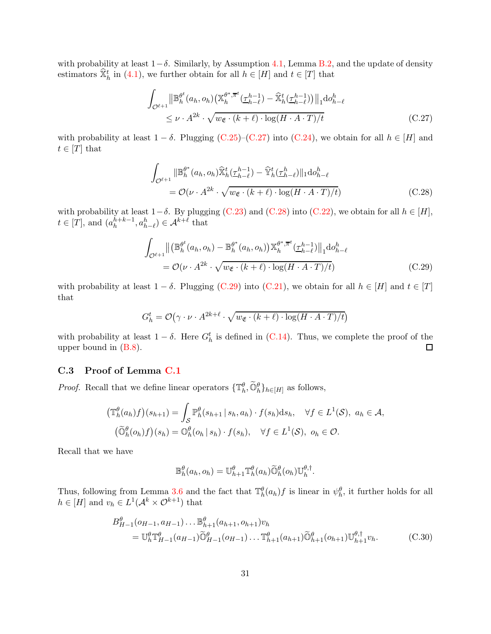with probability at least  $1-\delta$ . Similarly, by Assumption [4.1,](#page-9-0) Lemma [B.2,](#page-20-2) and the update of density estimators  $\widehat{\mathbb{X}}_h^t$  in [\(4.1\)](#page-10-2), we further obtain for all  $h \in [H]$  and  $t \in [T]$  that

<span id="page-30-1"></span>
$$
\int_{\mathcal{O}^{\ell+1}} \left\| \mathbb{B}_{h}^{\theta^{t}}(a_{h}, o_{h}) \left( \mathbb{X}_{h}^{\theta^{*}, \overline{\pi}^{t}}(\underline{\tau}_{h-\ell}^{h-1}) - \widehat{\mathbb{X}}_{h}^{t}(\underline{\tau}_{h-\ell}^{h-1}) \right) \right\|_{1} \mathrm{d}o_{h-\ell}^{h}
$$
\n
$$
\leq \nu \cdot A^{2k} \cdot \sqrt{w_{\mathfrak{E}} \cdot (k+\ell) \cdot \log(H \cdot A \cdot T)/t}
$$
\n(C.27)

with probability at least  $1 - \delta$ . Plugging [\(C.25\)](#page-29-2)–[\(C.27\)](#page-30-1) into [\(C.24\)](#page-29-1), we obtain for all  $h \in [H]$  and  $t \in [T]$  that

<span id="page-30-2"></span>
$$
\int_{\mathcal{O}^{\ell+1}} ||\mathbb{B}_h^{\theta^*}(a_h, o_h) \widehat{\mathbb{X}}_h^t(\underline{\tau}_{h-\ell}^{h-1}) - \widehat{\mathbb{Y}}_h^t(\underline{\tau}_{h-\ell}^h) ||_1 \mathrm{d} o_{h-\ell}^h
$$
\n
$$
= \mathcal{O}(\nu \cdot A^{2k} \cdot \sqrt{w_{\mathfrak{E}} \cdot (k+\ell) \cdot \log(H \cdot A \cdot T)/t}) \tag{C.28}
$$

with probability at least  $1-\delta$ . By plugging [\(C.23\)](#page-29-3) and [\(C.28\)](#page-30-2) into [\(C.22\)](#page-29-0), we obtain for all  $h \in [H]$ ,  $t \in [T]$ , and  $(a_h^{h+k-1}, a_{h-\ell}^h) \in \mathcal{A}^{k+\ell}$  that

<span id="page-30-3"></span>
$$
\int_{\mathcal{O}^{\ell+1}} \left\| \left( \mathbb{B}_{h}^{\theta^{t}}(a_{h}, o_{h}) - \mathbb{B}_{h}^{\theta^{*}}(a_{h}, o_{h}) \right) \mathbb{X}_{h}^{\theta^{*}, \overline{\pi}^{t}}(\underline{\tau}_{h-\ell}^{h-1}) \right\|_{1} \mathrm{d}o_{h-\ell}^{h}
$$
\n
$$
= \mathcal{O}(\nu \cdot A^{2k} \cdot \sqrt{w_{\mathfrak{E}} \cdot (k+\ell) \cdot \log(H \cdot A \cdot T)/t}) \tag{C.29}
$$

with probability at least  $1 - \delta$ . Plugging [\(C.29\)](#page-30-3) into [\(C.21\)](#page-28-4), we obtain for all  $h \in [H]$  and  $t \in [T]$ that

$$
G_h^t = \mathcal{O}(\gamma \cdot \nu \cdot A^{2k + \ell} \cdot \sqrt{w_{\mathfrak{E}} \cdot (k + \ell) \cdot \log(H \cdot A \cdot T)/t})
$$

with probability at least  $1 - \delta$ . Here  $G_h^t$  is defined in [\(C.14\)](#page-27-4). Thus, we complete the proof of the upper bound in [\(B.8\)](#page-22-3).  $\Box$ 

### <span id="page-30-0"></span>C.3 Proof of Lemma [C.1](#page-25-2)

*Proof.* Recall that we define linear operators  $\{\mathbb{T}_h^{\theta}, \widetilde{\mathbb{O}}_h^{\theta}\}_{h \in [H]}$  as follows,

$$
\begin{aligned} \left(\mathbb{T}_{h}^{\theta}(a_{h})f\right)(s_{h+1}) &= \int_{\mathcal{S}} \mathbb{P}_{h}^{\theta}(s_{h+1} \mid s_{h}, a_{h}) \cdot f(s_{h}) \mathrm{d}s_{h}, \quad \forall f \in L^{1}(\mathcal{S}), \ a_{h} \in \mathcal{A}, \\ \left(\widetilde{\mathbb{O}}_{h}^{\theta}(o_{h})f\right)(s_{h}) &= \mathbb{O}_{h}^{\theta}(o_{h} \mid s_{h}) \cdot f(s_{h}), \quad \forall f \in L^{1}(\mathcal{S}), \ o_{h} \in \mathcal{O}. \end{aligned}
$$

Recall that we have

<span id="page-30-4"></span>
$$
\mathbb{B}_{h}^{\theta}(a_h, o_h) = \mathbb{U}_{h+1}^{\theta} \mathbb{T}_{h}^{\theta}(a_h) \widetilde{\mathbb{O}}_h^{\theta}(o_h) \mathbb{U}_{h}^{\theta, \dagger}.
$$

Thus, following from Lemma [3.6](#page-6-2) and the fact that  $\mathbb{T}_{h}^{\theta}(a_{h})f$  is linear in  $\psi_{h}^{\theta}$ , it further holds for all  $h \in [H]$  and  $v_h \in L^1(\mathcal{A}^k \times \mathcal{O}^{k+1})$  that

$$
B_{H-1}^{\theta} (o_{H-1}, a_{H-1}) \dots \mathbb{B}_{h+1}^{\theta} (a_{h+1}, o_{h+1}) v_h
$$
  
=  $\mathbb{U}_h^{\theta} \mathbb{T}_{H-1}^{\theta} (a_{H-1}) \widetilde{\mathbb{O}}_{H-1}^{\theta} (o_{H-1}) \dots \mathbb{T}_{h+1}^{\theta} (a_{h+1}) \widetilde{\mathbb{O}}_{h+1}^{\theta} (o_{h+1}) \mathbb{U}_{h+1}^{\theta, \dagger} v_h.$  (C.30)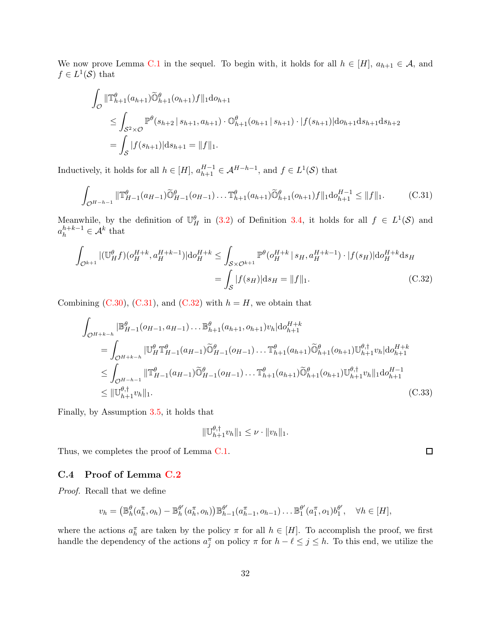We now prove Lemma [C.1](#page-25-2) in the sequel. To begin with, it holds for all  $h \in [H]$ ,  $a_{h+1} \in \mathcal{A}$ , and  $f \in L^1(\mathcal{S})$  that

$$
\int_{\mathcal{O}} \|\mathbb{T}_{h+1}^{\theta}(a_{h+1})\widetilde{\mathbb{O}}_{h+1}^{\theta}(o_{h+1})f\|_{1} \mathrm{d}o_{h+1} \n\leq \int_{S^{2} \times \mathcal{O}} \mathbb{P}^{\theta}(s_{h+2} | s_{h+1}, a_{h+1}) \cdot \mathbb{O}_{h+1}^{\theta}(o_{h+1} | s_{h+1}) \cdot |f(s_{h+1})| \mathrm{d}o_{h+1} \mathrm{d}s_{h+1} \mathrm{d}s_{h+2} \n= \int_{S} |f(s_{h+1})| \mathrm{d}s_{h+1} = \|f\|_{1}.
$$

Inductively, it holds for all  $h \in [H]$ ,  $a_{h+1}^{H-1} \in \mathcal{A}^{H-h-1}$ , and  $f \in L^1(\mathcal{S})$  that

$$
\int_{\mathcal{O}^{H-h-1}} \|\mathbb{T}_{H-1}^{\theta}(a_{H-1})\widetilde{\mathbb{O}}_{H-1}^{\theta}(o_{H-1})\dots\mathbb{T}_{h+1}^{\theta}(a_{h+1})\widetilde{\mathbb{O}}_{h+1}^{\theta}(o_{h+1})f\|_{1}\mathrm{d}o_{h+1}^{H-1} \leq \|f\|_{1}.\tag{C.31}
$$

Meanwhile, by the definition of  $\mathbb{U}_{H}^{\theta}$  in [\(3.2\)](#page-5-2) of Definition [3.4,](#page-5-0) it holds for all  $f \in L^{1}(\mathcal{S})$  and  $a_h^{h+k-1} \in \mathcal{A}^k$  that

$$
\int_{\mathcal{O}^{k+1}} |(\mathbb{U}_{H}^{\theta} f)(o_{H}^{H+k}, a_{H}^{H+k-1})| \text{d}o_{H}^{H+k} \leq \int_{\mathcal{S} \times \mathcal{O}^{k+1}} \mathbb{P}^{\theta}(o_{H}^{H+k} | s_{H}, a_{H}^{H+k-1}) \cdot |f(s_{H})| \text{d}o_{H}^{H+k} \text{d}s_{H}
$$
\n
$$
= \int_{\mathcal{S}} |f(s_{H})| \text{d}s_{H} = ||f||_{1}.
$$
\n(C.32)

Combining [\(C.30\)](#page-30-4), [\(C.31\)](#page-31-1), and [\(C.32\)](#page-31-2) with  $h = H$ , we obtain that

$$
\int_{\mathcal{O}^{H+k-h}} |\mathbb{B}_{H-1}^{\theta}(\mathbf{o}_{H-1}, a_{H-1}) \dots \mathbb{B}_{h+1}^{\theta}(a_{h+1}, o_{h+1}) v_h| \text{d} \mathbf{o}_{h+1}^{H+k}
$$
\n
$$
= \int_{\mathcal{O}^{H+k-h}} |\mathbb{U}_{H}^{\theta} \mathbb{T}_{H-1}^{\theta}(a_{H-1}) \widetilde{\mathbb{O}}_{H-1}^{\theta}(o_{H-1}) \dots \mathbb{T}_{h+1}^{\theta}(a_{h+1}) \widetilde{\mathbb{O}}_{h+1}^{\theta}(o_{h+1}) \mathbb{U}_{h+1}^{\theta, \dagger} v_h| \text{d} \mathbf{o}_{h+1}^{H+k}
$$
\n
$$
\leq \int_{\mathcal{O}^{H-h-1}} |\mathbb{T}_{H-1}^{\theta}(a_{H-1}) \widetilde{\mathbb{O}}_{H-1}^{\theta}(o_{H-1}) \dots \mathbb{T}_{h+1}^{\theta}(a_{h+1}) \widetilde{\mathbb{O}}_{h+1}^{\theta}(o_{h+1}) \mathbb{U}_{h+1}^{\theta, \dagger} v_h| |_{1} \text{d} \mathbf{o}_{h+1}^{H-1}
$$
\n
$$
\leq ||\mathbb{U}_{h+1}^{\theta, \dagger} v_h||_1.
$$
\n(C.33)

Finally, by Assumption [3.5,](#page-6-1) it holds that

<span id="page-31-2"></span><span id="page-31-1"></span>
$$
\|\mathbb{U}_{h+1}^{\theta,\dagger}v_h\|_1 \leq \nu \cdot \|v_h\|_1.
$$

Thus, we completes the proof of Lemma [C.1.](#page-25-2)

## <span id="page-31-0"></span>C.4 Proof of Lemma [C.2](#page-25-4)

*Proof.* Recall that we define

$$
v_h = (\mathbb{B}_h^{\theta}(a_h^{\pi}, o_h) - \mathbb{B}_h^{\theta'}(a_h^{\pi}, o_h)) \mathbb{B}_{h-1}^{\theta'}(a_{h-1}^{\pi}, o_{h-1}) \dots \mathbb{B}_1^{\theta'}(a_1^{\pi}, o_1) b_1^{\theta'}, \quad \forall h \in [H],
$$

where the actions  $a_h^{\pi}$  are taken by the policy  $\pi$  for all  $h \in [H]$ . To accomplish the proof, we first handle the dependency of the actions  $a_j^{\pi}$  on policy  $\pi$  for  $h - \ell \leq j \leq h$ . To this end, we utilize the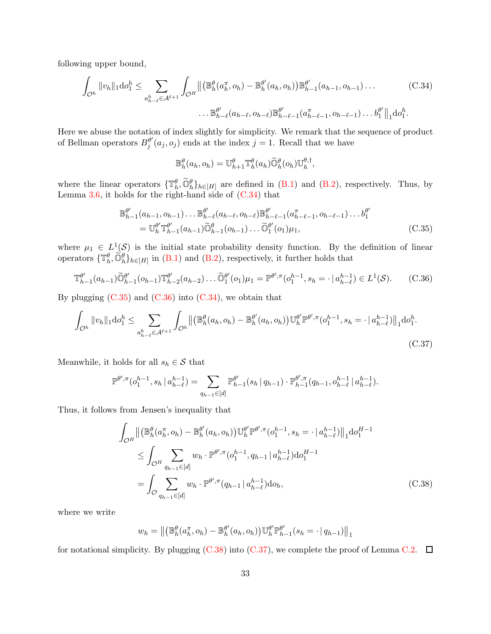following upper bound,

$$
\int_{\mathcal{O}^h} ||v_h||_1 \mathrm{d}v_1^h \leq \sum_{a_{h-\ell}^h \in \mathcal{A}^{\ell+1}} \int_{\mathcal{O}^H} ||\left(\mathbb{B}_h^{\theta}(a_h^{\pi}, o_h) - \mathbb{B}_h^{\theta'}(a_h, o_h)\right) \mathbb{B}_{h-1}^{\theta'}(a_{h-1}, o_{h-1}) \dots \tag{C.34}
$$

$$
\dots \mathbb{B}_{h-\ell}^{\theta'}(a_{h-\ell}, o_{h-\ell}) \mathbb{B}_{h-\ell-1}^{\theta'}(a_{h-\ell-1}, o_{h-\ell-1}) \dots b_1^{\theta'}||_1 \mathrm{d}v_1^h.
$$

Here we abuse the notation of index slightly for simplicity. We remark that the sequence of product of Bellman operators  $B_j^{\theta'}$  $j''(a_j, o_j)$  ends at the index  $j = 1$ . Recall that we have

<span id="page-32-4"></span><span id="page-32-2"></span><span id="page-32-1"></span><span id="page-32-0"></span>
$$
\mathbb{B}_{h}^{\theta}(a_h, o_h) = \mathbb{U}_{h+1}^{\theta} \mathbb{T}_{h}^{\theta}(a_h) \widetilde{\mathbb{O}}_h^{\theta}(o_h) \mathbb{U}_{h}^{\theta, \dagger},
$$

where the linear operators  $\{\mathbb{T}_h^{\theta}, \widetilde{\mathbb{O}}_h^{\theta}\}_{h\in[H]}$  are defined in [\(B.1\)](#page-19-3) and [\(B.2\)](#page-19-4), respectively. Thus, by Lemma  $3.6$ , it holds for the right-hand side of  $(C.34)$  that

$$
\mathbb{B}_{h-1}^{\theta'}(a_{h-1}, o_{h-1}) \dots \mathbb{B}_{h-\ell}^{\theta'}(a_{h-\ell}, o_{h-\ell}) \mathbb{B}_{h-\ell-1}^{\theta'}(a_{h-\ell-1}, o_{h-\ell-1}) \dots b_1^{\theta'} \n= \mathbb{U}_h^{\theta'} \mathbb{T}_{h-1}^{\theta'}(a_{h-1}) \widetilde{\mathbb{O}}_{h-1}^{\theta'}(o_{h-1}) \dots \widetilde{\mathbb{O}}_1^{\theta'}(o_1) \mu_1,
$$
\n(C.35)

where  $\mu_1 \in L^1(\mathcal{S})$  is the initial state probability density function. By the definition of linear operators  $\{\mathbb{T}_h^{\theta}, \widetilde{\mathbb{O}}_h^{\theta}\}_{h\in[H]}$  in [\(B.1\)](#page-19-3) and [\(B.2\)](#page-19-4), respectively, it further holds that

$$
\mathbb{T}_{h-1}^{\theta'}(a_{h-1})\widetilde{\mathbb{O}}_{h-1}^{\theta'}(o_{h-1})\mathbb{T}_{h-2}^{\theta'}(a_{h-2})\dots\widetilde{\mathbb{O}}_{1}^{\theta'}(o_{1})\mu_1 = \mathbb{P}^{\theta',\pi}(o_{1}^{h-1},s_{h}=\cdot\,|\,a_{h-\ell}^{h-1})\in L^{1}(\mathcal{S}).\tag{C.36}
$$

By plugging  $(C.35)$  and  $(C.36)$  into  $(C.34)$ , we obtain that

$$
\int_{\mathcal{O}^h} \|v_h\|_1 \mathrm{d}v_1^h \le \sum_{a_{h-\ell}^h \in \mathcal{A}^{\ell+1}} \int_{\mathcal{O}^h} \left\| \left( \mathbb{B}_h^\theta(a_h, o_h) - \mathbb{B}_h^{\theta'}(a_h, o_h) \right) \mathbb{U}_h^{\theta'} \mathbb{P}^{\theta', \pi}(o_1^{h-1}, s_h = \cdot \, | \, a_{h-\ell}^{h-1}) \right\|_1 \mathrm{d}v_1^h. \tag{C.37}
$$

Meanwhile, it holds for all  $s_h \in \mathcal{S}$  that

$$
\mathbb{P}^{\theta',\pi}(o_1^{h-1}, s_h | a_{h-\ell}^{h-1}) = \sum_{q_{h-1} \in [d]} \mathbb{P}_{h-1}^{\theta'}(s_h | q_{h-1}) \cdot \mathbb{P}_{h-1}^{\theta',\pi}(q_{h-1}, o_{h-\ell}^{h-1} | a_{h-\ell}^{h-1}).
$$

Thus, it follows from Jensen's inequality that

$$
\int_{\mathcal{O}^{H}} \left\| \left( \mathbb{B}_{h}^{\theta}(a_{h}^{\pi}, o_{h}) - \mathbb{B}_{h}^{\theta'}(a_{h}, o_{h}) \right) \mathbb{U}_{h}^{\theta'} \mathbb{P}^{\theta', \pi}(o_{1}^{h-1}, s_{h} = \cdot | a_{h-\ell}^{h-1}) \right\|_{1} \mathrm{d}o_{1}^{H-1}
$$
\n
$$
\leq \int_{\mathcal{O}^{H}} \sum_{q_{h-1} \in [d]} w_{h} \cdot \mathbb{P}^{\theta', \pi}(o_{1}^{h-1}, q_{h-1} | a_{h-\ell}^{h-1}) \mathrm{d}o_{1}^{H-1}
$$
\n
$$
= \int_{\mathcal{O}} \sum_{q_{h-1} \in [d]} w_{h} \cdot \mathbb{P}^{\theta', \pi}(q_{h-1} | a_{h-\ell}^{h-1}) \mathrm{d}o_{h}, \tag{C.38}
$$

where we write

<span id="page-32-3"></span>
$$
w_h = || (\mathbb{B}_h^{\theta}(a_h^{\pi}, o_h) - \mathbb{B}_h^{\theta'}(a_h, o_h)) \mathbb{U}_h^{\theta'} \mathbb{P}_{h-1}^{\theta'}(s_h = \cdot | q_{h-1}) ||_1
$$

for notational simplicity. By plugging  $(C.38)$  into  $(C.37)$ , we complete the proof of Lemma [C.2.](#page-25-4)  $\Box$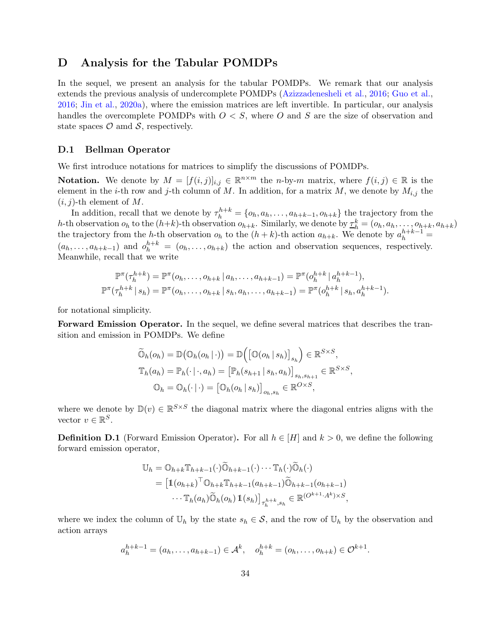# <span id="page-33-0"></span>D Analysis for the Tabular POMDPs

In the sequel, we present an analysis for the tabular POMDPs. We remark that our analysis extends the previous analysis of undercomplete POMDPs [\(Azizzadenesheli et al.](#page-13-4), [2016](#page-13-4); [Guo et al.](#page-14-4), [2016;](#page-14-4) [Jin et al.](#page-14-10), [2020a](#page-14-10)), where the emission matrices are left invertible. In particular, our analysis handles the overcomplete POMDPs with  $O \lt S$ , where O and S are the size of observation and state spaces  $\mathcal O$  amd  $\mathcal S$ , respectively.

### <span id="page-33-1"></span>D.1 Bellman Operator

We first introduce notations for matrices to simplify the discussions of POMDPs.

**Notation.** We denote by  $M = [f(i, j)]_{i,j} \in \mathbb{R}^{n \times m}$  the *n*-by-*m* matrix, where  $f(i, j) \in \mathbb{R}$  is the element in the *i*-th row and *j*-th column of M. In addition, for a matrix M, we denote by  $M_{i,j}$  the  $(i, j)$ -th element of M.

In addition, recall that we denote by  $\tau_h^{h+k} = \{o_h, a_h, \ldots, a_{h+k-1}, o_{h+k}\}\$ the trajectory from the h-th observation  $o_h$  to the  $(h+k)$ -th observation  $o_{h+k}$ . Similarly, we denote by  $\underline{\tau}_h^k = (o_h, a_h, \ldots, o_{h+k}, a_{h+k})$ the trajectory from the h-th observation  $o_h$  to the  $(h + k)$ -th action  $a_{h+k}$ . We denote by  $a_h^{h+k-1}$  $(a_h, \ldots, a_{h+k-1})$  and  $o_h^{h+k} = (o_h, \ldots, o_{h+k})$  the action and observation sequences, respectively. Meanwhile, recall that we write

$$
\mathbb{P}^{\pi}(\tau_h^{h+k}) = \mathbb{P}^{\pi}(o_h, \dots, o_{h+k} \mid a_h, \dots, a_{h+k-1}) = \mathbb{P}^{\pi}(o_h^{h+k} \mid a_h^{h+k-1}),
$$
  

$$
\mathbb{P}^{\pi}(\tau_h^{h+k} \mid s_h) = \mathbb{P}^{\pi}(o_h, \dots, o_{h+k} \mid s_h, a_h, \dots, a_{h+k-1}) = \mathbb{P}^{\pi}(o_h^{h+k} \mid s_h, a_h^{h+k-1}).
$$

for notational simplicity.

Forward Emission Operator. In the sequel, we define several matrices that describes the transition and emission in POMDPs. We define

$$
\widetilde{\mathbb{O}}_h(o_h) = \mathbb{D}(\mathbb{O}_h(o_h | \cdot)) = \mathbb{D}(\left[\mathbb{O}(o_h | s_h)\right]_{s_h}) \in \mathbb{R}^{S \times S},
$$
  

$$
\mathbb{T}_h(a_h) = \mathbb{P}_h(\cdot | \cdot, a_h) = \left[\mathbb{P}_h(s_{h+1} | s_h, a_h)\right]_{s_h, s_{h+1}} \in \mathbb{R}^{S \times S},
$$
  

$$
\mathbb{O}_h = \mathbb{O}_h(\cdot | \cdot) = \left[\mathbb{O}_h(o_h | s_h)\right]_{o_h, s_h} \in \mathbb{R}^{O \times S},
$$

where we denote by  $\mathbb{D}(v) \in \mathbb{R}^{S \times S}$  the diagonal matrix where the diagonal entries aligns with the vector  $v \in \mathbb{R}^S$ .

**Definition D.1** (Forward Emission Operator). For all  $h \in [H]$  and  $k > 0$ , we define the following forward emission operator,

$$
\mathbb{U}_{h} = \mathbb{O}_{h+k} \mathbb{T}_{h+k-1}(\cdot) \widetilde{\mathbb{O}}_{h+k-1}(\cdot) \cdots \mathbb{T}_{h}(\cdot) \widetilde{\mathbb{O}}_{h}(\cdot)
$$
\n
$$
= \left[ \mathbb{1}(o_{h+k})^{\top} \mathbb{O}_{h+k} \mathbb{T}_{h+k-1}(a_{h+k-1}) \widetilde{\mathbb{O}}_{h+k-1}(o_{h+k-1}) \right. \cdots \mathbb{T}_{h}(a_{h}) \widetilde{\mathbb{O}}_{h}(o_{h}) \mathbb{1}(s_{h}) \right]_{\tau_{h}^{h+k}, s_{h}} \in \mathbb{R}^{(O^{k+1} \cdot A^{k}) \times S},
$$

where we index the column of  $\mathbb{U}_h$  by the state  $s_h \in \mathcal{S}$ , and the row of  $\mathbb{U}_h$  by the observation and action arrays

$$
a_h^{h+k-1} = (a_h, \dots, a_{h+k-1}) \in \mathcal{A}^k, \quad o_h^{h+k} = (o_h, \dots, o_{h+k}) \in \mathcal{O}^{k+1}.
$$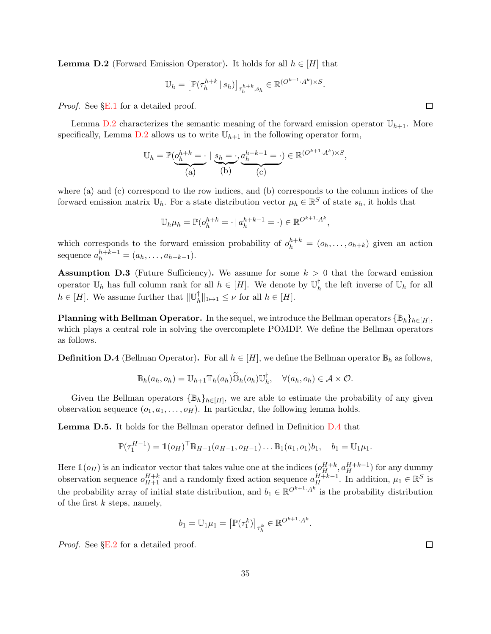<span id="page-34-0"></span>**Lemma D.2** (Forward Emission Operator). It holds for all  $h \in [H]$  that

$$
\mathbb{U}_h = \left[ \mathbb{P}(\tau_h^{h+k} \mid s_h) \right]_{\tau_h^{h+k}, s_h} \in \mathbb{R}^{(O^{k+1} \cdot A^k) \times S}.
$$

*Proof.* See §[E.1](#page-42-0) for a detailed proof.

Lemma [D.2](#page-34-0) characterizes the semantic meaning of the forward emission operator  $\mathbb{U}_{h+1}$ . More specifically, Lemma [D.2](#page-34-0) allows us to write  $\mathbb{U}_{h+1}$  in the following operator form,

$$
\mathbb{U}_h = \mathbb{P}(\underbrace{\underset{(a)}{\underbrace{\scriptstyle{b^{h+k}}=\cdot}}\mid\underbrace{s_h=\cdot,\underset{(b)}{\underbrace{\scriptstyle{a^{h+k-1}_{h=\cdot}}=\cdot}}\in\mathbb{R}^{(O^{k+1}\cdot A^k)\times S}},
$$

where (a) and (c) correspond to the row indices, and (b) corresponds to the column indices of the forward emission matrix  $\mathbb{U}_h$ . For a state distribution vector  $\mu_h \in \mathbb{R}^S$  of state  $s_h$ , it holds that

$$
\mathbb{U}_h \mu_h = \mathbb{P}(o_h^{h+k} = \cdot \mid a_h^{h+k-1} = \cdot) \in \mathbb{R}^{O^{k+1} \cdot A^k},
$$

which corresponds to the forward emission probability of  $o_h^{h+k} = (o_h, \ldots, o_{h+k})$  given an action sequence  $a_h^{h+k-1} = (a_h, \ldots, a_{h+k-1}).$ 

<span id="page-34-3"></span>**Assumption D.3** (Future Sufficiency). We assume for some  $k > 0$  that the forward emission operator  $\mathbb{U}_h$  has full column rank for all  $h \in [H]$ . We denote by  $\mathbb{U}_h^{\dagger}$  $h \atop h$  the left inverse of  $\mathbb{U}_h$  for all  $h \in [H]$ . We assume further that  $\|\mathbb{U}_h^{\dagger}\|$  $\|h\|_{1\mapsto 1} \leq \nu$  for all  $h \in [H].$ 

**Planning with Bellman Operator.** In the sequel, we introduce the Bellman operators  $\{\mathbb{B}_h\}_{h\in[H]}$ , which plays a central role in solving the overcomplete POMDP. We define the Bellman operators as follows.

<span id="page-34-1"></span>**Definition D.4** (Bellman Operator). For all  $h \in [H]$ , we define the Bellman operator  $\mathbb{B}_h$  as follows,

$$
\mathbb{B}_h(a_h, o_h) = \mathbb{U}_{h+1} \mathbb{T}_h(a_h) \widetilde{\mathbb{O}}_h(o_h) \mathbb{U}_h^{\dagger}, \quad \forall (a_h, o_h) \in \mathcal{A} \times \mathcal{O}.
$$

Given the Bellman operators  $\{\mathbb{B}_h\}_{h\in[H]}$ , we are able to estimate the probability of any given observation sequence  $(o_1, a_1, \ldots, o_H)$ . In particular, the following lemma holds.

<span id="page-34-2"></span>Lemma D.5. It holds for the Bellman operator defined in Definition [D.4](#page-34-1) that

$$
\mathbb{P}(\tau_1^{H-1}) = \mathbb{1}(o_H)^\top \mathbb{B}_{H-1}(a_{H-1}, o_{H-1}) \dots \mathbb{B}_1(a_1, o_1) b_1, \quad b_1 = \mathbb{U}_1 \mu_1.
$$

Here  $\mathbb{1}(o_H)$  is an indicator vector that takes value one at the indices  $(o_H^{H+k}, a_H^{H+k-1})$  for any dummy observation sequence  $o_{H+1}^{H+k}$  and a randomly fixed action sequence  $a_H^{H+k-1}$ . In addition,  $\mu_1 \in \mathbb{R}^S$  is the probability array of initial state distribution, and  $b_1 \in \mathbb{R}^{O^{k+1} \cdot A^k}$  is the probability distribution of the first  $k$  steps, namely,

$$
b_1 = \mathbb{U}_1 \mu_1 = \left[ \mathbb{P}(\tau_1^k) \right]_{\tau_h^k} \in \mathbb{R}^{O^{k+1} \cdot A^k}.
$$

*Proof.* See §[E.2](#page-44-0) for a detailed proof.

口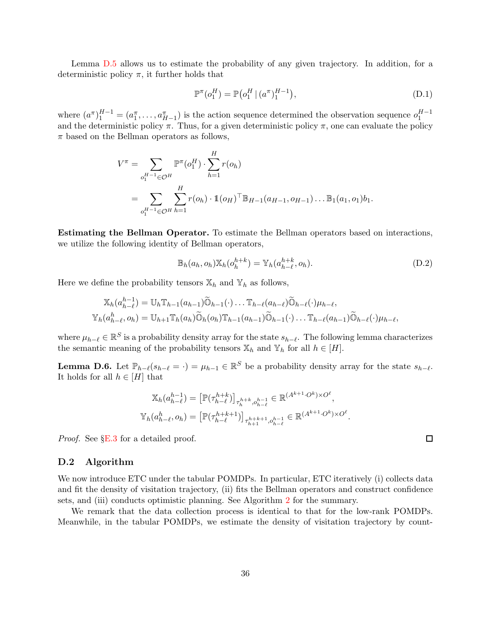Lemma [D.5](#page-34-2) allows us to estimate the probability of any given trajectory. In addition, for a deterministic policy  $\pi$ , it further holds that

<span id="page-35-1"></span>
$$
\mathbb{P}^{\pi}(o_1^H) = \mathbb{P}(o_1^H \mid (a^{\pi})_1^{H-1}), \tag{D.1}
$$

where  $(a^{\pi})_1^{H-1} = (a_1^{\pi}, \ldots, a_{H-1}^{\pi})$  is the action sequence determined the observation sequence  $o_1^{H-1}$ and the deterministic policy  $\pi$ . Thus, for a given deterministic policy  $\pi$ , one can evaluate the policy  $\pi$  based on the Bellman operators as follows,

$$
V^{\pi} = \sum_{o_1^{H-1} \in \mathcal{O}^H} \mathbb{P}^{\pi}(o_1^H) \cdot \sum_{h=1}^H r(o_h)
$$
  
= 
$$
\sum_{o_1^{H-1} \in \mathcal{O}^H} \sum_{h=1}^H r(o_h) \cdot \mathbb{1}(o_H)^{\top} \mathbb{B}_{H-1}(a_{H-1}, o_{H-1}) \dots \mathbb{B}_1(a_1, o_1) b_1.
$$

Estimating the Bellman Operator. To estimate the Bellman operators based on interactions, we utilize the following identity of Bellman operators,

<span id="page-35-2"></span>
$$
\mathbb{B}_h(a_h, o_h) \mathbb{X}_h(o_h^{h+k}) = \mathbb{Y}_h(a_{h-\ell}^{h+k}, o_h). \tag{D.2}
$$

Here we define the probability tensors  $\mathbb{X}_h$  and  $\mathbb{Y}_h$  as follows,

$$
\mathbb{X}_h(a_{h-\ell}^{h-1}) = \mathbb{U}_h \mathbb{T}_{h-1}(a_{h-1}) \widetilde{\mathbb{O}}_{h-1}(\cdot) \dots \mathbb{T}_{h-\ell}(a_{h-\ell}) \widetilde{\mathbb{O}}_{h-\ell}(\cdot) \mu_{h-\ell},
$$
  

$$
\mathbb{Y}_h(a_{h-\ell}^h, o_h) = \mathbb{U}_{h+1} \mathbb{T}_h(a_h) \widetilde{\mathbb{O}}_h(o_h) \mathbb{T}_{h-1}(a_{h-1}) \widetilde{\mathbb{O}}_{h-1}(\cdot) \dots \mathbb{T}_{h-\ell}(a_{h-1}) \widetilde{\mathbb{O}}_{h-\ell}(\cdot) \mu_{h-\ell},
$$

where  $\mu_{h-\ell} \in \mathbb{R}^S$  is a probability density array for the state  $s_{h-\ell}$ . The following lemma characterizes the semantic meaning of the probability tensors  $\mathbb{X}_h$  and  $\mathbb{Y}_h$  for all  $h \in [H]$ .

<span id="page-35-0"></span>**Lemma D.6.** Let  $\mathbb{P}_{h-\ell}(s_{h-\ell}=\cdot)=\mu_{h-1}\in\mathbb{R}^S$  be a probability density array for the state  $s_{h-\ell}$ . It holds for all  $h \in [H]$  that

$$
\mathbb{X}_{h}(a_{h-\ell}^{h-1}) = \left[\mathbb{P}(\tau_{h-\ell}^{h+k})\right]_{\tau_{h}^{h+k}, o_{h-\ell}^{h-1}} \in \mathbb{R}^{(A^{k+1} \cdot O^{k}) \times O^{\ell}},
$$
  

$$
\mathbb{Y}_{h}(a_{h-\ell}^{h}, o_{h}) = \left[\mathbb{P}(\tau_{h-\ell}^{h+k+1})\right]_{\tau_{h+1}^{h+k+1}, o_{h-\ell}^{h-1}} \in \mathbb{R}^{(A^{k+1} \cdot O^{k}) \times O^{\ell}}.
$$

*Proof.* See §[E.3](#page-44-1) for a detailed proof.

### D.2 Algorithm

We now introduce ETC under the tabular POMDPs. In particular, ETC iteratively (i) collects data and fit the density of visitation trajectory, (ii) fits the Bellman operators and construct confidence sets, and (iii) conducts optimistic planning. See Algorithm [2](#page-37-0) for the summary.

We remark that the data collection process is identical to that for the low-rank POMDPs. Meanwhile, in the tabular POMDPs, we estimate the density of visitation trajectory by count-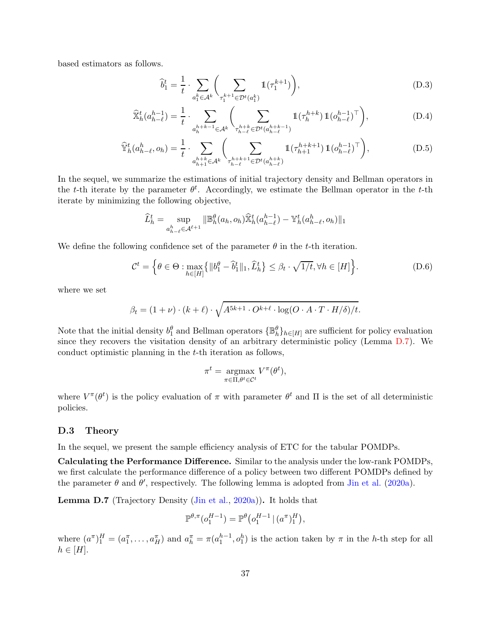based estimators as follows.

<span id="page-36-3"></span><span id="page-36-2"></span><span id="page-36-1"></span>
$$
\widehat{b}_1^t = \frac{1}{t} \cdot \sum_{a_1^k \in \mathcal{A}^k} \left( \sum_{\tau_1^{k+1} \in \mathcal{D}^t(a_1^k)} \mathbb{1}(\tau_1^{k+1}) \right),\tag{D.3}
$$

$$
\widehat{\mathbb{X}}_h^t(a_{h-\ell}^{h-1}) = \frac{1}{t} \cdot \sum_{a_h^{h+k-1} \in \mathcal{A}^k} \left( \sum_{\substack{\tau_h^h \vdash k \\ \tau_{h-\ell}^h \in \mathcal{D}^t(a_{h-\ell}^{h+k-1})}} \mathbb{1}(\tau_h^{h+k}) \mathbb{1}(o_{h-\ell}^{h-1})^\top \right),\tag{D.4}
$$

$$
\widehat{\mathbb{Y}}_h^t(a_{h-\ell}^h, o_h) = \frac{1}{t} \cdot \sum_{a_{h+1}^{h+k} \in \mathcal{A}^k} \left( \sum_{\substack{\tau_{h-\ell}^{h+k+1} \in \mathcal{D}^t(a_{h-\ell}^{h+k})}} \mathbb{1}(\tau_{h+1}^{h+k+1}) \mathbb{1}(o_{h-\ell}^{h-1})^\top \right), \tag{D.5}
$$

In the sequel, we summarize the estimations of initial trajectory density and Bellman operators in the t-th iterate by the parameter  $\theta^t$ . Accordingly, we estimate the Bellman operator in the t-th iterate by minimizing the following objective,

$$
\widehat{L}_{h}^{t} = \sup_{a_{h-\ell}^{h} \in \mathcal{A}^{\ell+1}} ||\mathbb{B}_{h}^{\theta}(a_{h}, o_{h}) \widehat{X}_{h}^{t}(a_{h-\ell}^{h-1}) - \mathbb{Y}_{h}^{t}(a_{h-\ell}^{h}, o_{h})||_{1}
$$

We define the following confidence set of the parameter  $\theta$  in the t-th iteration.

$$
\mathcal{C}^t = \left\{ \theta \in \Theta : \max_{h \in [H]} \left\{ \|b_1^{\theta} - \hat{b}_1^t\|_1, \hat{L}_h^t \right\} \le \beta_t \cdot \sqrt{1/t}, \forall h \in [H] \right\}.
$$
 (D.6)

where we set

$$
\beta_t = (1 + \nu) \cdot (k + \ell) \cdot \sqrt{A^{5k+1} \cdot O^{k+\ell} \cdot \log(O \cdot A \cdot T \cdot H/\delta)/t}.
$$

Note that the initial density  $b_1^{\theta}$  and Bellman operators  $\{\mathbb{B}_h^{\theta}\}_{h\in[H]}$  are sufficient for policy evaluation since they recovers the visitation density of an arbitrary deterministic policy (Lemma [D.7\)](#page-36-0). We conduct optimistic planning in the t-th iteration as follows,

<span id="page-36-4"></span>
$$
\pi^t = \underset{\pi \in \Pi, \theta^t \in \mathcal{C}^t}{\operatorname{argmax}} V^{\pi}(\theta^t),
$$

where  $V^{\pi}(\theta^t)$  is the policy evaluation of  $\pi$  with parameter  $\theta^t$  and  $\Pi$  is the set of all deterministic policies.

#### D.3 Theory

In the sequel, we present the sample efficiency analysis of ETC for the tabular POMDPs.

Calculating the Performance Difference. Similar to the analysis under the low-rank POMDPs, we first calculate the performance difference of a policy between two different POMDPs defined by the parameter  $\theta$  and  $\theta'$ , respectively. The following lemma is adopted from [Jin et al.](#page-14-10) [\(2020a\)](#page-14-10).

<span id="page-36-0"></span>Lemma D.7 (Trajectory Density [\(Jin et al.,](#page-14-10) [2020a](#page-14-10))). It holds that

$$
\mathbb{P}^{\theta,\pi}(o_1^{H-1}) = \mathbb{P}^{\theta}(o_1^{H-1} | (a^{\pi})_1^H),
$$

where  $(a^{\pi})_1^H = (a_1^{\pi}, \ldots, a_H^{\pi})$  and  $a_h^{\pi} = \pi(a_1^{h-1}, o_1^h)$  is the action taken by  $\pi$  in the h-th step for all  $h \in [H].$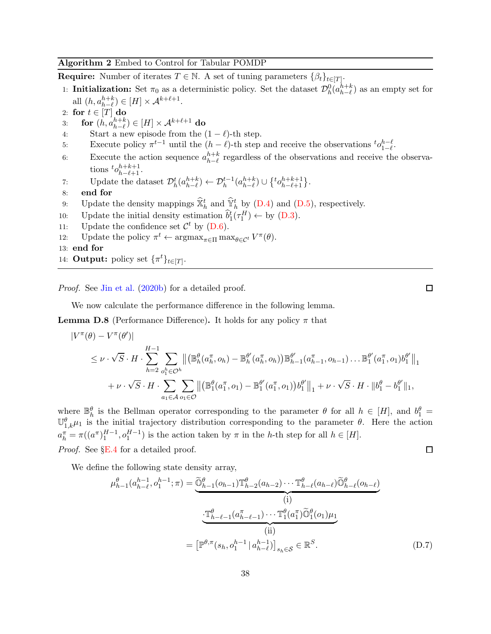### <span id="page-37-0"></span>Algorithm 2 Embed to Control for Tabular POMDP

**Require:** Number of iterates  $T \in \mathbb{N}$ . A set of tuning parameters  $\{\beta_t\}_{t \in [T]}$ .

- 1: **Initialization:** Set  $\pi_0$  as a deterministic policy. Set the dataset  $\mathcal{D}_h^0(a_{h-\ell}^{h+k})$  as an empty set for all  $(h, a_{h-\ell}^{h+k}) \in [H] \times \mathcal{A}^{k+\ell+1}$ .
- 
- 2: for  $t \in [T]$  do<br>3: for  $(h, a_h^{h+k})$ 3: for  $(h, a_{h-\ell}^{h+k}) \in [H] \times \mathcal{A}^{k+\ell+1}$  do
- <span id="page-37-2"></span>4: Start a new episode from the  $(1 - \ell)$ -th step.
- 5: Execute policy  $\pi^{t-1}$  until the  $(h \ell)$ -th step and receive the observations  ${}^t o_{1-\ell}^{h-\ell}$  $n-\ell \n1-\ell$ .
- 6: Execute the action sequence  $a_{h-\ell}^{h+k}$  regardless of the observations and receive the observations  ${}^t\mathcal{O}_{h-\ell+1}^{h+k+1}$ .
- 7: Update the dataset  $\mathcal{D}_h^t(a_{h-\ell}^{h+k}) \leftarrow \mathcal{D}_h^{t-1}(a_{h-\ell}^{h+k}) \cup \{ {}^t o_{h-\ell+1}^{h+k+1} \}.$
- 8: end for
- 9: Update the density mappings  $\hat{\mathbb{X}}_h^t$  and  $\hat{\mathbb{Y}}_h^t$  by [\(D.4\)](#page-36-1) and [\(D.5\)](#page-36-2), respectively.
- 10: Update the initial density estimation  $\hat{b}_1^t(\tau_1^H) \leftarrow$  by [\(D.3\)](#page-36-3).
- 11: Update the confidence set  $\mathcal{C}^t$  by [\(D.6\)](#page-36-4).
- 12: Update the policy  $\pi^t \leftarrow \operatorname{argmax}_{\pi \in \Pi} \max_{\theta \in \mathcal{C}^t} V^{\pi}(\theta)$ .
- 13: end for
- 14: **Output:** policy set  $\{\pi^t\}_{t\in[T]}.$

*Proof.* See [Jin et al.](#page-14-2) [\(2020b\)](#page-14-2) for a detailed proof.

We now calculate the performance difference in the following lemma.

<span id="page-37-4"></span>**Lemma D.8** (Performance Difference). It holds for any policy  $\pi$  that

$$
\begin{split} |V^{\pi}(\theta) - V^{\pi}(\theta')| \\ &\leq \nu \cdot \sqrt{S} \cdot H \cdot \sum_{h=2}^{H-1} \sum_{o_{1}^{h} \in \mathcal{O}^{h}} \left\| \left( \mathbb{B}_{h}^{\theta}(a_{h}^{\pi}, o_{h}) - \mathbb{B}_{h}^{\theta'}(a_{h}^{\pi}, o_{h}) \right) \mathbb{B}_{h-1}^{\theta'}(a_{h-1}^{\pi}, o_{h-1}) \dots \mathbb{B}_{1}^{\theta'}(a_{1}^{\pi}, o_{1}) b_{1}^{\theta'} \right\|_{1} \\ &+ \nu \cdot \sqrt{S} \cdot H \cdot \sum_{a_{1} \in \mathcal{A}} \sum_{o_{1} \in \mathcal{O}} \left\| \left( \mathbb{B}_{1}^{\theta}(a_{1}^{\pi}, o_{1}) - \mathbb{B}_{1}^{\theta'}(a_{1}^{\pi}, o_{1}) \right) b_{1}^{\theta'} \right\|_{1} + \nu \cdot \sqrt{S} \cdot H \cdot \|b_{1}^{\theta} - b_{1}^{\theta'} \|_{1}, \end{split}
$$

where  $\mathbb{B}_{h}^{\theta}$  is the Bellman operator corresponding to the parameter  $\theta$  for all  $h \in [H]$ , and  $b_1^{\theta} =$  $\mathbb{U}_{1,k}^{\theta}$  is the initial trajectory distribution corresponding to the parameter  $\theta$ . Here the action  $a_h^{\pi} = \pi((a^{\pi})_1^{H-1}, o_1^{H-1})$  is the action taken by  $\pi$  in the h-th step for all  $h \in [H]$ . *Proof.* See §[E.4](#page-45-0) for a detailed proof. 口

We define the following state density array,

$$
\mu_{h-1}^{\theta}(a_{h-\ell}^{h-1}, o_1^{h-1}; \pi) = \underbrace{\widetilde{\mathbb{O}}_{h-1}^{\theta}(o_{h-1}) \mathbb{T}_{h-2}^{\theta}(a_{h-2}) \cdots \mathbb{T}_{h-\ell}^{\theta}(a_{h-\ell}) \widetilde{\mathbb{O}}_{h-\ell}^{\theta}(o_{h-\ell})}_{(i)}
$$
\n
$$
\underbrace{\mathbb{T}_{h-\ell-1}^{\theta}(a_{h-\ell-1}^{\pi}) \cdots \mathbb{T}_{1}^{\theta}(a_{1}^{\pi}) \widetilde{\mathbb{O}}_{1}^{\theta}(o_{1}) \mu_{1}}_{(ii)}
$$
\n
$$
= \left[ \mathbb{P}^{\theta, \pi}(s_h, o_1^{h-1} | a_{h-\ell}^{h-1}) \right]_{s_h \in \mathcal{S}} \in \mathbb{R}^S. \tag{D.7}
$$

<span id="page-37-3"></span><span id="page-37-1"></span>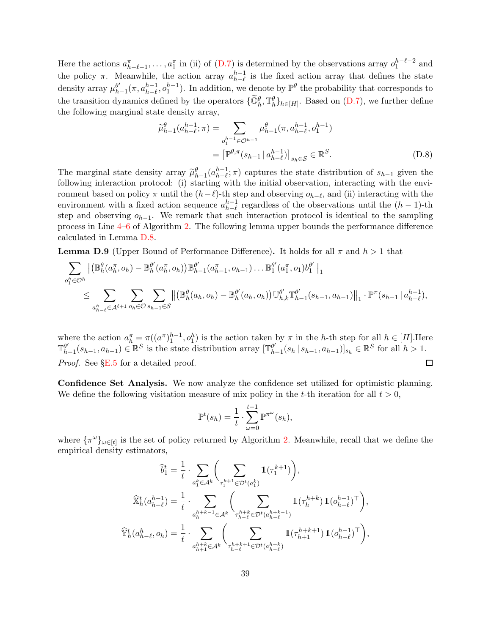Here the actions  $a_{h-\ell-1}^{\pi}$ , ...,  $a_1^{\pi}$  in (ii) of [\(D.7\)](#page-37-1) is determined by the observations array  $o_1^{h-\ell-2}$  and the policy  $\pi$ . Meanwhile, the action array  $a_{h-\ell}^{h-1}$  is the fixed action array that defines the state density array  $\mu_h^{\theta'}$  $_{h-1}^{\theta'}(\pi, a_{h-\ell}^{h-1}, o_1^{h-1})$ . In addition, we denote by  $\mathbb{P}^{\theta}$  the probability that corresponds to the transition dynamics defined by the operators  $\{\widetilde{\mathbb{O}}_h^{\theta}, \mathbb{T}_h^{\theta}\}_{h\in[H]}$ . Based on  $(D.7)$ , we further define the following marginal state density array,

$$
\widetilde{\mu}_{h-1}^{\theta}(a_{h-\ell}^{h-1};\pi) = \sum_{o_1^{h-1} \in \mathcal{O}^{h-1}} \mu_{h-1}^{\theta}(\pi, a_{h-\ell}^{h-1}, o_1^{h-1})
$$

$$
= \left[ \mathbb{P}^{\theta,\pi}(s_{h-1} | a_{h-\ell}^{h-1}) \right]_{s_h \in \mathcal{S}} \in \mathbb{R}^S.
$$
(D.8)

The marginal state density array  $\tilde{\mu}_{h-1}^{\theta}(a_{h-\ell}^{h-1};\pi)$  captures the state distribution of  $s_{h-1}$  given the following interaction protocol: (i) starting with the initial observation, interacting with the environment based on policy  $\pi$  until the  $(h-\ell)$ -th step and observing  $o_{h-\ell}$ , and (ii) interacting with the environment with a fixed action sequence  $a_{h-\ell}^{h-1}$  regardless of the observations until the  $(h-1)$ -th step and observing  $o_{h-1}$ . We remark that such interaction protocol is identical to the sampling process in Line [4–](#page-37-2)[6](#page-37-3) of Algorithm [2.](#page-37-0) The following lemma upper bounds the performance difference calculated in Lemma [D.8.](#page-37-4)

<span id="page-38-0"></span>**Lemma D.9** (Upper Bound of Performance Difference). It holds for all  $\pi$  and  $h > 1$  that

$$
\sum_{o_1^h \in \mathcal{O}^h} \left\| \left( \mathbb{B}_{h}^{\theta}(a_h^{\pi}, o_h) - \mathbb{B}_{h}^{\theta'}(a_h^{\pi}, o_h) \right) \mathbb{B}_{h-1}^{\theta'}(a_{h-1}^{\pi}, o_{h-1}) \dots \mathbb{B}_{1}^{\theta'}(a_1^{\pi}, o_1) b_1^{\theta'} \right\|_{1} \n\leq \sum_{a_{h-\ell}^h \in \mathcal{A}^{\ell+1}} \sum_{o_h \in \mathcal{O}} \sum_{s_{h-1} \in \mathcal{S}} \left\| \left( \mathbb{B}_{h}^{\theta}(a_h, o_h) - \mathbb{B}_{h}^{\theta'}(a_h, o_h) \right) \mathbb{U}_{h,k}^{\theta'} \mathbb{T}_{h-1}^{\theta'}(s_{h-1}, a_{h-1}) \right\|_{1} \cdot \mathbb{P}^{\pi}(s_{h-1} | a_{h-\ell}^{h-1}),
$$

where the action  $a_h^{\pi} = \pi((a^{\pi})_1^{h-1}, o_1^h)$  is the action taken by  $\pi$  in the *h*-th step for all  $h \in [H]$ . Here  $\mathbb{T}_{l=1}^{\theta'}$  ( $s_{h-1}, s_{h-1}$ )  $\in \mathbb{R}^S$  for all  $h > 1$ .  $\theta'_{h-1}(s_{h-1}, a_{h-1}) \in \mathbb{R}^S$  is the state distribution array  $[\mathbb{T}_{h}^{\theta'}]$  $_{h-1}^{\theta'}(s_h | s_{h-1}, a_{h-1})]_{s_h} \in \mathbb{R}^S$  for all  $h > 1$ . *Proof.* See §[E.5](#page-47-0) for a detailed proof.  $\Box$ 

Confidence Set Analysis. We now analyze the confidence set utilized for optimistic planning. We define the following visitation measure of mix policy in the t-th iteration for all  $t > 0$ ,

$$
\mathbb{P}^t(s_h) = \frac{1}{t} \cdot \sum_{\omega=0}^{t-1} \mathbb{P}^{\pi^{\omega}}(s_h),
$$

where  $\{\pi^{\omega}\}_{\omega \in [t]}$  is the set of policy returned by Algorithm [2.](#page-37-0) Meanwhile, recall that we define the empirical density estimators,

$$
\begin{aligned} \widehat{b}_1^t &= \frac{1}{t} \cdot \sum_{a_1^k \in \mathcal{A}^k} \bigg( \sum_{\tau_1^{k+1} \in \mathcal{D}^t(a_1^k)} \mathbbm{1}(\tau_1^{k+1}) \bigg), \\ \widehat{\mathbb{X}}_h^t(a_{h-\ell}^{h-1}) &= \frac{1}{t} \cdot \sum_{a_h^{h+k-1} \in \mathcal{A}^k} \bigg( \sum_{\tau_{h-\ell}^{h+k} \in \mathcal{D}^t(a_{h-\ell}^{h+k-1})} \mathbbm{1}(\tau_h^{h+k}) \, \mathbbm{1}(o_{h-\ell}^{h-1})^\top \bigg), \\ \widehat{\mathbb{Y}}_h^t(a_{h-\ell}^h, o_h) &= \frac{1}{t} \cdot \sum_{a_{h+1}^{h+k} \in \mathcal{A}^k} \bigg( \sum_{\tau_{h-\ell}^{h+k+1} \in \mathcal{D}^t(a_{h-\ell}^{h+k})} \mathbbm{1}(\tau_{h+1}^{h+k+1}) \, \mathbbm{1}(o_{h-\ell}^{h-1})^\top \bigg), \end{aligned}
$$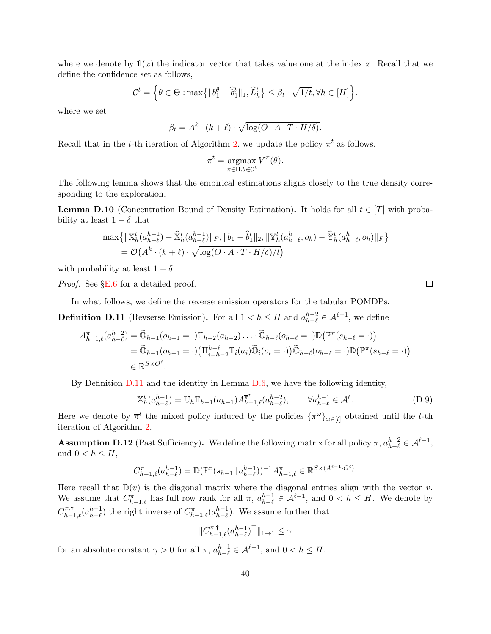where we denote by  $\mathbb{1}(x)$  the indicator vector that takes value one at the index x. Recall that we define the confidence set as follows,

$$
\mathcal{C}^t = \Big\{\theta \in \Theta : \max\big\{\|b_1^\theta - \hat{b}_1^t\|_1, \hat{L}_h^t\big\} \leq \beta_t \cdot \sqrt{1/t}, \forall h \in [H]\big\}.
$$

where we set

$$
\beta_t = A^k \cdot (k + \ell) \cdot \sqrt{\log(O \cdot A \cdot T \cdot H/\delta)}.
$$

Recall that in the *t*-th iteration of Algorithm [2,](#page-37-0) we update the policy  $\pi^t$  as follows,

$$
\pi^t = \operatorname*{argmax}_{\pi \in \Pi, \theta \in \mathcal{C}^t} V^{\pi}(\theta).
$$

The following lemma shows that the empirical estimations aligns closely to the true density corresponding to the exploration.

<span id="page-39-2"></span>**Lemma D.10** (Concentration Bound of Density Estimation). It holds for all  $t \in [T]$  with probability at least  $1 - \delta$  that

$$
\max \{ \| \mathbb{X}_{h}^{t}(a_{h-\ell}^{h-1}) - \mathbb{X}_{h}^{t}(a_{h-\ell}^{h-1}) \|_{F}, \| b_{1} - \mathbb{Y}_{h}^{t} \|_{2}, \| \mathbb{Y}_{h}^{t}(a_{h-\ell}^{h}, o_{h}) - \mathbb{Y}_{h}^{t}(a_{h-\ell}^{h}, o_{h}) \|_{F} \}
$$
  
=  $\mathcal{O}(A^{k} \cdot (k+\ell) \cdot \sqrt{\log(O \cdot A \cdot T \cdot H/\delta)/t})$ 

with probability at least  $1 - \delta$ .

*Proof.* See §[E.6](#page-48-0) for a detailed proof.

In what follows, we define the reverse emission operators for the tabular POMDPs.

<span id="page-39-0"></span>**Definition D.11** (Revserse Emission). For all  $1 < h \leq H$  and  $a_{h-\ell}^{h-2} \in \mathcal{A}^{\ell-1}$ , we define

$$
A_{h-1,\ell}^{\pi}(a_{h-\ell}^{h-2}) = \widetilde{\mathbb{O}}_{h-1}(o_{h-1} = \cdot) \mathbb{T}_{h-2}(a_{h-2}) \dots \widetilde{\mathbb{O}}_{h-\ell}(o_{h-\ell} = \cdot) \mathbb{D}(\mathbb{P}^{\pi}(s_{h-\ell} = \cdot))
$$
  
=  $\widetilde{\mathbb{O}}_{h-1}(o_{h-1} = \cdot) \left( \prod_{i=h-2}^{h-\ell} \mathbb{T}_i(a_i) \widetilde{\mathbb{O}}_i(o_i = \cdot) \right) \widetilde{\mathbb{O}}_{h-\ell}(o_{h-\ell} = \cdot) \mathbb{D}(\mathbb{P}^{\pi}(s_{h-\ell} = \cdot))$   
 $\in \mathbb{R}^{S \times O^{\ell}}.$ 

By Definition [D.11](#page-39-0) and the identity in Lemma [D.6,](#page-35-0) we have the following identity,

$$
\mathbb{X}_{h}^{t}(a_{h-\ell}^{h-1}) = \mathbb{U}_{h} \mathbb{T}_{h-1}(a_{h-1}) A_{h-1,\ell}^{\overline{\pi}^{t}}(a_{h-\ell}^{h-2}), \qquad \forall a_{h-\ell}^{h-1} \in \mathcal{A}^{\ell}.
$$
 (D.9)

Here we denote by  $\bar{\pi}^t$  the mixed policy induced by the policies  $\{\pi^\omega\}_{\omega \in [t]}$  obtained until the t-th iteration of Algorithm [2.](#page-37-0)

<span id="page-39-1"></span>**Assumption D.12** (Past Sufficiency). We define the following matrix for all policy  $\pi$ ,  $a_{h-\ell}^{h-2} \in \mathcal{A}^{\ell-1}$ , and  $0 < h \leq H$ ,

$$
C^{\pi}_{h-1,\ell}(a^{h-1}_{h-\ell}) = \mathbb{D}(\mathbb{P}^{\pi}(s_{h-1} | a^{h-1}_{h-\ell}))^{-1} A^{\pi}_{h-1,\ell} \in \mathbb{R}^{S \times (A^{\ell-1} \cdot O^{\ell})}.
$$

Here recall that  $\mathbb{D}(v)$  is the diagonal matrix where the diagonal entries align with the vector v. We assume that  $C_{h-1,\ell}^{\pi}$  has full row rank for all  $\pi$ ,  $a_{h-\ell}^{h-1} \in \mathcal{A}^{\ell-1}$ , and  $0 < h \leq H$ . We denote by  $C_{h-1,\ell}^{\pi,\dagger}(a_{h-\ell}^{h-1})$  the right inverse of  $C_{h-1,\ell}^{\pi}(a_{h-\ell}^{h-1})$ . We assume further that

<span id="page-39-3"></span>
$$
||C_{h-1,\ell}^{\pi,\dagger}(a_{h-\ell}^{h-1})^{\top}||_{1\mapsto 1}\leq \gamma
$$

for an absolute constant  $\gamma > 0$  for all  $\pi$ ,  $a_{h-\ell}^{h-1} \in \mathcal{A}^{\ell-1}$ , and  $0 < h \leq H$ .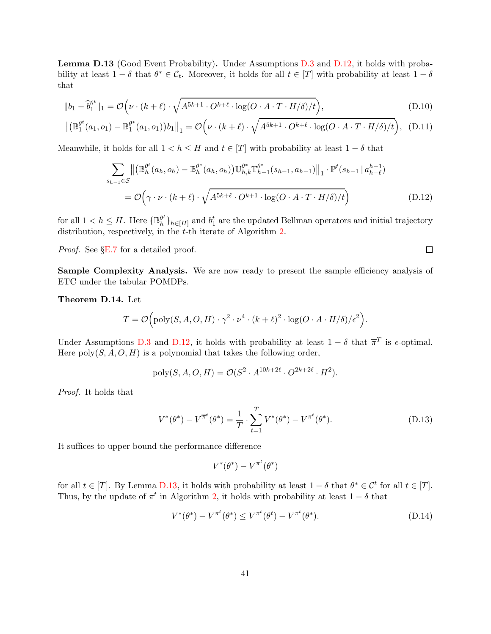<span id="page-40-0"></span>Lemma D.13 (Good Event Probability). Under Assumptions [D.3](#page-34-3) and [D.12,](#page-39-1) it holds with probability at least  $1 - \delta$  that  $\theta^* \in C_t$ . Moreover, it holds for all  $t \in [T]$  with probability at least  $1 - \delta$ that

$$
||b_1 - \widehat{b}_1^{\theta^t}||_1 = \mathcal{O}\Big(\nu \cdot (k+\ell) \cdot \sqrt{A^{5k+1} \cdot O^{k+\ell} \cdot \log(O \cdot A \cdot T \cdot H/\delta)/t}\Big),\tag{D.10}
$$

$$
\left\| \left( \mathbb{B}_1^{\theta^t}(a_1, o_1) - \mathbb{B}_1^{\theta^*}(a_1, o_1) \right) b_1 \right\|_1 = \mathcal{O}\left( \nu \cdot (k + \ell) \cdot \sqrt{A^{5k+1} \cdot O^{k+\ell} \cdot \log(O \cdot A \cdot T \cdot H/\delta)/t} \right), \quad (D.11)
$$

Meanwhile, it holds for all  $1 < h \leq H$  and  $t \in [T]$  with probability at least  $1 - \delta$  that

$$
\sum_{s_{h-1}\in\mathcal{S}} \left\| \left( \mathbb{B}_{h}^{\theta^{t}}(a_{h},o_{h}) - \mathbb{B}_{h}^{\theta^{*}}(a_{h},o_{h}) \right) \mathbb{U}_{h,k}^{\theta^{*}} \mathbb{T}_{h-1}^{\theta^{*}}(s_{h-1},a_{h-1}) \right\|_{1} \cdot \mathbb{P}^{t}(s_{h-1} | a_{h-\ell}^{h-1})
$$
\n
$$
= \mathcal{O}\left(\gamma \cdot \nu \cdot (k+\ell) \cdot \sqrt{A^{5k+\ell} \cdot O^{k+1} \cdot \log(O \cdot A \cdot T \cdot H/\delta)/t}\right) \tag{D.12}
$$

for all  $1 < h \leq H$ . Here  $\{\mathbb{B}_{h}^{\theta^t}$  ${}^{\theta^t}_{h}$ }<sub>h∈[H]</sub> and  $b_1^t$  are the updated Bellman operators and initial trajectory distribution, respectively, in the  $t$ -th iterate of Algorithm [2.](#page-37-0)

*Proof.* See §[E.7](#page-49-0) for a detailed proof.

<span id="page-40-6"></span><span id="page-40-5"></span><span id="page-40-4"></span><span id="page-40-2"></span> $\Box$ 

Sample Complexity Analysis. We are now ready to present the sample efficiency analysis of ETC under the tabular POMDPs.

<span id="page-40-3"></span>Theorem D.14. Let

$$
T = \mathcal{O}\Big(\text{poly}(S, A, O, H) \cdot \gamma^2 \cdot \nu^4 \cdot (k+\ell)^2 \cdot \log(O \cdot A \cdot H/\delta)/\epsilon^2\Big).
$$

Under Assumptions [D.3](#page-34-3) and [D.12,](#page-39-1) it holds with probability at least  $1 - \delta$  that  $\overline{\pi}^T$  is  $\epsilon$ -optimal. Here  $poly(S, A, O, H)$  is a polynomial that takes the following order,

$$
\text{poly}(S, A, O, H) = \mathcal{O}(S^2 \cdot A^{10k + 2\ell} \cdot O^{2k + 2\ell} \cdot H^2).
$$

*Proof.* It holds that

$$
V^*(\theta^*) - V^{\overline{\pi}^t}(\theta^*) = \frac{1}{T} \cdot \sum_{t=1}^T V^*(\theta^*) - V^{\pi^t}(\theta^*).
$$
 (D.13)

It suffices to upper bound the performance difference

<span id="page-40-1"></span>
$$
V^*(\theta^*)-V^{\pi^t}(\theta^*)
$$

for all  $t \in [T]$ . By Lemma [D.13,](#page-40-0) it holds with probability at least  $1 - \delta$  that  $\theta^* \in \mathcal{C}^t$  for all  $t \in [T]$ . Thus, by the update of  $\pi^t$  in Algorithm [2,](#page-37-0) it holds with probability at least  $1 - \delta$  that

$$
V^*(\theta^*) - V^{\pi^t}(\theta^*) \le V^{\pi^t}(\theta^*) - V^{\pi^t}(\theta^*).
$$
\n(D.14)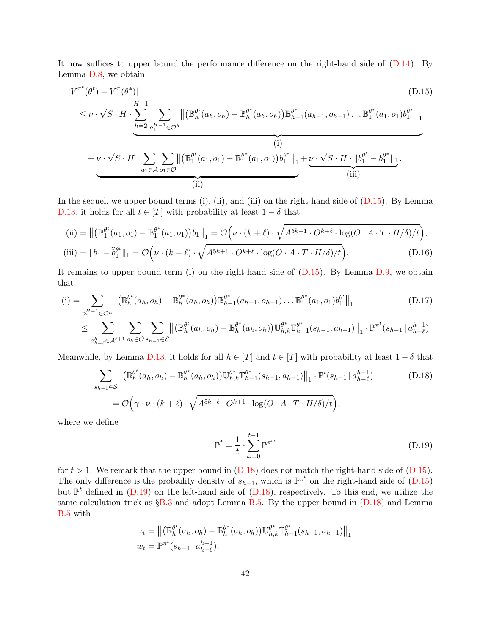It now suffices to upper bound the performance difference on the right-hand side of [\(D.14\)](#page-40-1). By Lemma [D.8,](#page-37-4) we obtain

$$
|V^{\pi^t}(\theta^t) - V^{\pi}(\theta^*)| \tag{D.15}
$$

<span id="page-41-0"></span>
$$
\leq \nu \cdot \sqrt{S} \cdot H \cdot \sum_{h=2}^{H-1} \sum_{o_1^{H-1} \in \mathcal{O}^h} \left\| \left( \mathbb{B}_{h}^{\theta^t}(a_h, o_h) - \mathbb{B}_{h}^{\theta^*}(a_h, o_h) \right) \mathbb{B}_{h-1}^{\theta^*}(a_{h-1}, o_{h-1}) \dots \mathbb{B}_{1}^{\theta^*}(a_1, o_1) b_1^{\theta^*} \right\|_{1} \right\|_{1} + \nu \cdot \sqrt{S} \cdot H \cdot \sum_{a_1 \in \mathcal{A}} \sum_{o_1 \in \mathcal{O}} \left\| \left( \mathbb{B}_{1}^{\theta^t}(a_1, o_1) - \mathbb{B}_{1}^{\theta^*}(a_1, o_1) \right) b_1^{\theta^*} \right\|_{1} + \nu \cdot \sqrt{S} \cdot H \cdot \| b_1^{\theta^t} - b_1^{\theta^*} \|_{1} \cdot \frac{\left( \text{iii} \right)}{\left( \text{iii} \right)}.
$$

In the sequel, we upper bound terms (i), (ii), and (iii) on the right-hand side of [\(D.15\)](#page-41-0). By Lemma [D.13,](#page-40-0) it holds for all  $t \in [T]$  with probability at least  $1 - \delta$  that

$$
\text{(ii)} = \left\| \left( \mathbb{B}_1^{\theta^t}(a_1, o_1) - \mathbb{B}_1^{\theta^*}(a_1, o_1) \right) b_1 \right\|_1 = \mathcal{O}\left( \nu \cdot (k + \ell) \cdot \sqrt{A^{5k+1} \cdot O^{k+\ell} \cdot \log(O \cdot A \cdot T \cdot H/\delta)/t} \right),
$$
\n
$$
\text{(iii)} = \|b_1 - \hat{b}_1^{\theta^t}\|_1 = \mathcal{O}\left( \nu \cdot (k + \ell) \cdot \sqrt{A^{5k+1} \cdot O^{k+\ell} \cdot \log(O \cdot A \cdot T \cdot H/\delta)/t} \right). \tag{D.16}
$$

It remains to upper bound term (i) on the right-hand side of [\(D.15\)](#page-41-0). By Lemma [D.9,](#page-38-0) we obtain that

$$
\text{(i)} = \sum_{o_1^{H-1} \in \mathcal{O}^h} \left\| \left( \mathbb{B}_h^{\theta^t}(a_h, o_h) - \mathbb{B}_h^{\theta^*}(a_h, o_h) \right) \mathbb{B}_{h-1}^{\theta^*}(a_{h-1}, o_{h-1}) \dots \mathbb{B}_1^{\theta^*}(a_1, o_1) b_1^{\theta'} \right\|_1
$$
\n(D.17)

$$
\leq \sum_{a_{h-\ell}^h \in \mathcal{A}^{\ell+1}} \sum_{o_h \in \mathcal{O}} \sum_{s_{h-1} \in \mathcal{S}} \left\| \left( \mathbb{B}_{h}^{\theta^t}(a_h, o_h) - \mathbb{B}_{h}^{\theta^*}(a_h, o_h) \right) \mathbb{U}_{h,k}^{\theta^*} \mathbb{T}_{h-1}^{\theta^*}(s_{h-1}, a_{h-1}) \right\|_1 \cdot \mathbb{P}^{\pi^t}(s_{h-1} | a_{h-\ell}^{h-1})
$$

Meanwhile, by Lemma [D.13,](#page-40-0) it holds for all  $h \in [T]$  and  $t \in [T]$  with probability at least  $1 - \delta$  that

$$
\sum_{s_{h-1} \in S} \left\| \left( \mathbb{B}_{h}^{\theta^{t}}(a_{h}, o_{h}) - \mathbb{B}_{h}^{\theta^{*}}(a_{h}, o_{h}) \right) \mathbb{U}_{h,k}^{\theta^{*}} \mathbb{T}_{h-1}^{\theta^{*}}(s_{h-1}, a_{h-1}) \right\|_{1} \cdot \mathbb{P}^{t}(s_{h-1} | a_{h-\ell}^{h-1})
$$
\n
$$
= \mathcal{O}\Big(\gamma \cdot \nu \cdot (k+\ell) \cdot \sqrt{A^{5k+\ell} \cdot O^{k+1} \cdot \log(O \cdot A \cdot T \cdot H/\delta)/t}\Big),
$$
\n(D.18)

where we define

<span id="page-41-4"></span><span id="page-41-3"></span><span id="page-41-2"></span><span id="page-41-1"></span>
$$
\mathbb{P}^t = \frac{1}{t} \cdot \sum_{\omega=0}^{t-1} \mathbb{P}^{\pi^{\omega}}
$$
 (D.19)

for  $t > 1$ . We remark that the upper bound in  $(D.18)$  does not match the right-hand side of  $(D.15)$ . The only difference is the probaility density of  $s_{h-1}$ , which is  $\mathbb{P}^{\pi^t}$  on the right-hand side of  $(D.15)$ but  $\mathbb{P}^t$  defined in [\(D.19\)](#page-41-2) on the left-hand side of [\(D.18\)](#page-41-1), respectively. To this end, we utilize the same calculation trick as  $\S 8.3$  and adopt Lemma [B.5.](#page-23-1) By the upper bound in  $(D.18)$  and Lemma [B.5](#page-23-1) with

$$
z_t = \left\| \left( \mathbb{B}_h^{\theta^t}(a_h, o_h) - \mathbb{B}_h^{\theta^*}(a_h, o_h) \right) \mathbb{U}_{h,k}^{\theta^*} \mathbb{T}_{h-1}^{\theta^*}(s_{h-1}, a_{h-1}) \right\|_1,
$$
  

$$
w_t = \mathbb{P}^{\pi^t}(s_{h-1} | a_{h-\ell}^{h-1}),
$$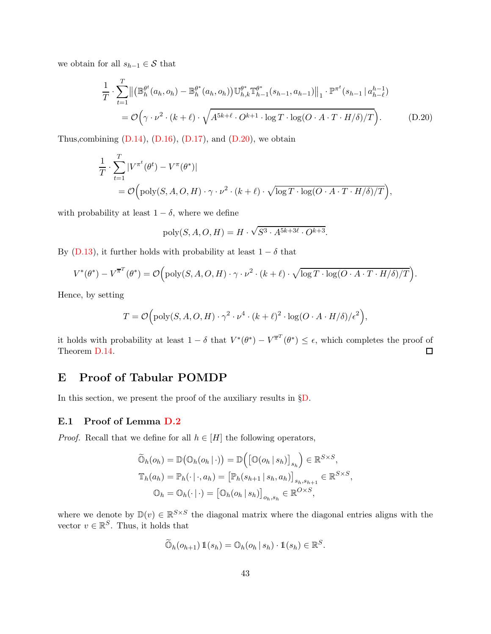we obtain for all  $s_{h-1} \in \mathcal{S}$  that

$$
\frac{1}{T} \cdot \sum_{t=1}^{T} \left\| \left( \mathbb{B}_{h}^{\theta^{t}}(a_{h}, o_{h}) - \mathbb{B}_{h}^{\theta^{*}}(a_{h}, o_{h}) \right) \mathbb{U}_{h,k}^{\theta^{*}} \mathbb{T}_{h-1}^{\theta^{*}}(s_{h-1}, a_{h-1}) \right\|_{1} \cdot \mathbb{P}^{\pi^{t}}(s_{h-1} | a_{h-\ell}^{h-1})
$$
\n
$$
= \mathcal{O}\left(\gamma \cdot \nu^{2} \cdot (k+\ell) \cdot \sqrt{A^{5k+\ell} \cdot O^{k+1} \cdot \log T \cdot \log(O \cdot A \cdot T \cdot H/\delta)/T} \right). \tag{D.20}
$$

Thus, combining  $(D.14)$ ,  $(D.16)$ ,  $(D.17)$ , and  $(D.20)$ , we obtain

$$
\frac{1}{T} \cdot \sum_{t=1}^{T} |V^{\pi^t}(\theta^t) - V^{\pi}(\theta^*)|
$$
\n
$$
= \mathcal{O}\Big(\text{poly}(S, A, O, H) \cdot \gamma \cdot \nu^2 \cdot (k+\ell) \cdot \sqrt{\log T \cdot \log(O \cdot A \cdot T \cdot H/\delta)/T}\Big),
$$

with probability at least  $1 - \delta$ , where we define

<span id="page-42-1"></span>
$$
poly(S, A, O, H) = H \cdot \sqrt{S^3 \cdot A^{5k+3\ell} \cdot O^{k+3}}.
$$

By [\(D.13\)](#page-40-2), it further holds with probability at least  $1 - \delta$  that

$$
V^*(\theta^*) - V^{\overline{\pi}^T}(\theta^*) = \mathcal{O}\Big(\text{poly}(S,A,O,H) \cdot \gamma \cdot \nu^2 \cdot (k+\ell) \cdot \sqrt{\log T \cdot \log(O \cdot A \cdot T \cdot H/\delta)/T}\Big).
$$

Hence, by setting

$$
T = \mathcal{O}\Big(\text{poly}(S, A, O, H) \cdot \gamma^2 \cdot \nu^4 \cdot (k+\ell)^2 \cdot \log(O \cdot A \cdot H/\delta)/\epsilon^2\Big),\,
$$

it holds with probability at least  $1 - \delta$  that  $V^*(\theta^*) - V^{\overline{\pi}^T}(\theta^*) \leq \epsilon$ , which completes the proof of Theorem [D.14.](#page-40-3)

# E Proof of Tabular POMDP

In this section, we present the proof of the auxiliary results in §[D.](#page-33-0)

### <span id="page-42-0"></span>E.1 Proof of Lemma [D.2](#page-34-0)

*Proof.* Recall that we define for all  $h \in [H]$  the following operators,

$$
\widetilde{\mathbb{O}}_h(o_h) = \mathbb{D}(\mathbb{O}_h(o_h | \cdot)) = \mathbb{D}(\left[\mathbb{O}(o_h | s_h)\right]_{s_h}) \in \mathbb{R}^{S \times S},
$$
  

$$
\mathbb{T}_h(a_h) = \mathbb{P}_h(\cdot | \cdot, a_h) = \left[\mathbb{P}_h(s_{h+1} | s_h, a_h)\right]_{s_h, s_{h+1}} \in \mathbb{R}^{S \times S},
$$
  

$$
\mathbb{O}_h = \mathbb{O}_h(\cdot | \cdot) = \left[\mathbb{O}_h(o_h | s_h)\right]_{o_h, s_h} \in \mathbb{R}^{O \times S},
$$

where we denote by  $\mathbb{D}(v) \in \mathbb{R}^{S \times S}$  the diagonal matrix where the diagonal entries aligns with the vector  $v \in \mathbb{R}^S$ . Thus, it holds that

$$
\widetilde{\mathbb{O}}_h(o_{h+1}) \mathbb{1}(s_h) = \mathbb{O}_h(o_h \, | \, s_h) \cdot \mathbb{1}(s_h) \in \mathbb{R}^S.
$$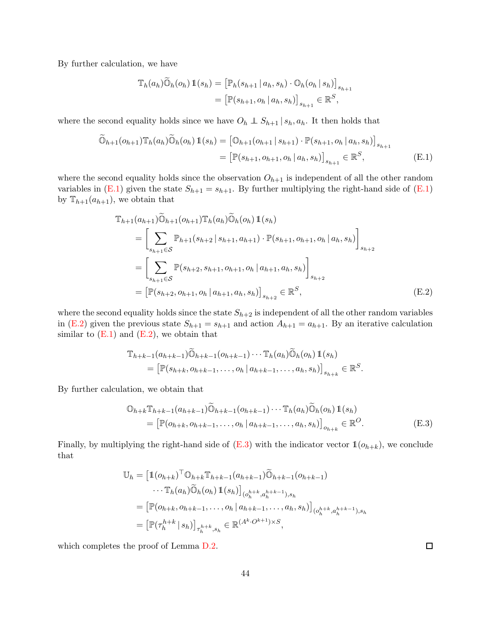By further calculation, we have

<span id="page-43-0"></span>
$$
\mathbb{T}_{h}(a_{h})\widetilde{\mathbb{O}}_{h}(o_{h})\mathbb{1}(s_{h}) = [\mathbb{P}_{h}(s_{h+1} | a_{h}, s_{h}) \cdot \mathbb{O}_{h}(o_{h} | s_{h})]_{s_{h+1}} = [\mathbb{P}(s_{h+1}, o_{h} | a_{h}, s_{h})]_{s_{h+1}} \in \mathbb{R}^{S},
$$

where the second equality holds since we have  $O_h \perp S_{h+1} | s_h, a_h$ . It then holds that

$$
\widetilde{\mathbb{O}}_{h+1}(o_{h+1})\mathbb{T}_{h}(a_{h})\widetilde{\mathbb{O}}_{h}(o_{h})\mathbb{1}(s_{h}) = \left[\mathbb{O}_{h+1}(o_{h+1}|s_{h+1})\cdot\mathbb{P}(s_{h+1},o_{h}|a_{h},s_{h})\right]_{s_{h+1}}\n= \left[\mathbb{P}(s_{h+1},o_{h+1},o_{h}|a_{h},s_{h})\right]_{s_{h+1}} \in \mathbb{R}^{S},
$$
\n(E.1)

where the second equality holds since the observation  $O_{h+1}$  is independent of all the other random variables in [\(E.1\)](#page-43-0) given the state  $S_{h+1} = s_{h+1}$ . By further multiplying the right-hand side of (E.1) by  $\mathbb{T}_{h+1}(a_{h+1})$ , we obtain that

$$
\mathbb{T}_{h+1}(a_{h+1})\widetilde{\mathbb{O}}_{h+1}(o_{h+1})\mathbb{T}_{h}(a_{h})\widetilde{\mathbb{O}}_{h}(o_{h})\mathbb{1}(s_{h})
$$
\n
$$
= \left[\sum_{s_{h+1}\in\mathcal{S}} \mathbb{P}_{h+1}(s_{h+2} | s_{h+1}, a_{h+1}) \cdot \mathbb{P}(s_{h+1}, o_{h+1}, o_{h} | a_{h}, s_{h})\right]_{s_{h+2}}
$$
\n
$$
= \left[\sum_{s_{h+1}\in\mathcal{S}} \mathbb{P}(s_{h+2}, s_{h+1}, o_{h+1}, o_{h} | a_{h+1}, a_{h}, s_{h})\right]_{s_{h+2}}
$$
\n
$$
= \left[\mathbb{P}(s_{h+2}, o_{h+1}, o_{h} | a_{h+1}, a_{h}, s_{h})\right]_{s_{h+2}} \in \mathbb{R}^{S}, \tag{E.2}
$$

where the second equality holds since the state  $S_{h+2}$  is independent of all the other random variables in [\(E.2\)](#page-43-1) given the previous state  $S_{h+1} = s_{h+1}$  and action  $A_{h+1} = a_{h+1}$ . By an iterative calculation similar to  $(E.1)$  and  $(E.2)$ , we obtain that

<span id="page-43-1"></span>
$$
\mathbb{T}_{h+k-1}(a_{h+k-1})\widetilde{\mathbb{O}}_{h+k-1}(o_{h+k-1})\cdots \mathbb{T}_{h}(a_{h})\widetilde{\mathbb{O}}_{h}(o_{h})\mathbb{1}(s_{h})
$$
\n
$$
= \left[\mathbb{P}(s_{h+k}, o_{h+k-1}, \ldots, o_{h} | a_{h+k-1}, \ldots, a_{h}, s_{h})\right]_{s_{h+k}} \in \mathbb{R}^{S}.
$$

By further calculation, we obtain that

<span id="page-43-2"></span>
$$
\mathbb{O}_{h+k} \mathbb{T}_{h+k-1}(a_{h+k-1}) \widetilde{\mathbb{O}}_{h+k-1}(o_{h+k-1}) \cdots \mathbb{T}_h(a_h) \widetilde{\mathbb{O}}_h(o_h) \mathbb{1}(s_h)
$$
  
= 
$$
[\mathbb{P}(o_{h+k}, o_{h+k-1}, \dots, o_h | a_{h+k-1}, \dots, a_h, s_h)]_{o_{h+k}} \in \mathbb{R}^O.
$$
 (E.3)

Finally, by multiplying the right-hand side of  $(E.3)$  with the indicator vector  $\mathbb{1}(o_{h+k})$ , we conclude that

$$
\mathbb{U}_{h} = \left[\mathbb{1}(o_{h+k})^{\top} \mathbb{O}_{h+k} \mathbb{T}_{h+k-1}(a_{h+k-1}) \widetilde{\mathbb{O}}_{h+k-1}(o_{h+k-1})\right.\cdots \mathbb{T}_{h}(a_{h}) \widetilde{\mathbb{O}}_{h}(o_{h}) \mathbb{1}(s_{h})\right]_{(o_{h}^{h+k}, a_{h}^{h+k-1}), s_{h}}
$$
  
\n
$$
= \left[\mathbb{P}(o_{h+k}, o_{h+k-1}, \ldots, o_{h} | a_{h+k-1}, \ldots, a_{h}, s_{h})\right]_{(o_{h}^{h+k}, a_{h}^{h+k-1}), s_{h}}
$$
  
\n
$$
= \left[\mathbb{P}(\tau_{h}^{h+k} | s_{h})\right]_{\tau_{h}^{h+k}, s_{h}} \in \mathbb{R}^{(A^{k} \cdot O^{k+1}) \times S},
$$

which completes the proof of Lemma [D.2.](#page-34-0)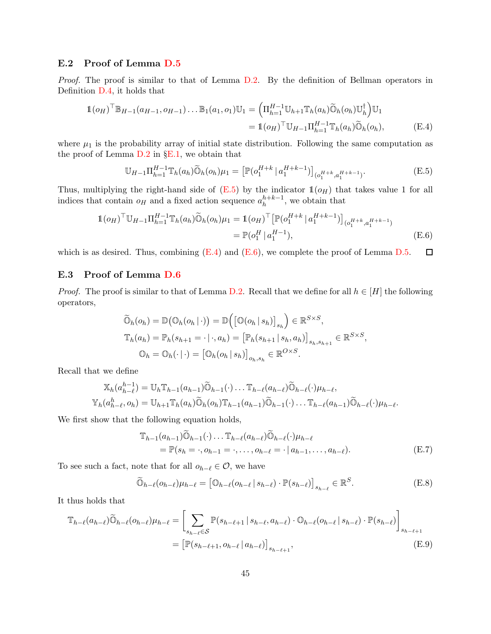# <span id="page-44-0"></span>E.2 Proof of Lemma [D.5](#page-34-2)

*Proof.* The proof is similar to that of Lemma [D.2.](#page-34-0) By the definition of Bellman operators in Definition [D.4,](#page-34-1) it holds that

$$
\mathbb{1}(o_H)^{\top} \mathbb{B}_{H-1}(a_{H-1}, o_{H-1}) \dots \mathbb{B}_1(a_1, o_1) \mathbb{U}_1 = \left( \Pi_{h=1}^{H-1} \mathbb{U}_{h+1} \mathbb{T}_h(a_h) \widetilde{\mathbb{O}}_h(o_h) \mathbb{U}_h^{\dagger} \right) \mathbb{U}_1
$$
  
=  $\mathbb{1}(o_H)^{\top} \mathbb{U}_{H-1} \Pi_{h=1}^{H-1} \mathbb{T}_h(a_h) \widetilde{\mathbb{O}}_h(o_h),$  (E.4)

where  $\mu_1$  is the probability array of initial state distribution. Following the same computation as the proof of Lemma [D.2](#page-34-0) in §[E.1,](#page-42-0) we obtain that

<span id="page-44-4"></span><span id="page-44-3"></span><span id="page-44-2"></span>
$$
\mathbb{U}_{H-1}\Pi_{h=1}^{H-1}\mathbb{T}_h(a_h)\widetilde{\mathbb{O}}_h(o_h)\mu_1 = \left[\mathbb{P}(o_1^{H+k} \mid a_1^{H+k-1})\right]_{(o_1^{H+k}, a_1^{H+k-1})}.
$$
\n(E.5)

Thus, multiplying the right-hand side of  $(E.5)$  by the indicator  $\mathbb{1}(o_H)$  that takes value 1 for all indices that contain  $o_H$  and a fixed action sequence  $a_h^{h+k-1}$ , we obtain that

$$
\begin{split} \mathbb{1}(o_H)^{\top} \mathbb{U}_{H-1} \Pi_{h=1}^{H-1} \mathbb{T}_h(a_h) \widetilde{\mathbb{O}}_h(o_h) \mu_1 &= \mathbb{1}(o_H)^{\top} \left[ \mathbb{P}(o_1^{H+k} \mid a_1^{H+k-1}) \right]_{(o_1^{H+k}, a_1^{H+k-1})} \\ &= \mathbb{P}(o_1^H \mid a_1^{H-1}), \end{split} \tag{E.6}
$$

which is as desired. Thus, combining  $(E.4)$  and  $(E.6)$ , we complete the proof of Lemma [D.5.](#page-34-2)  $\Box$ 

## <span id="page-44-1"></span>E.3 Proof of Lemma [D.6](#page-35-0)

*Proof.* The proof is similar to that of Lemma [D.2.](#page-34-0) Recall that we define for all  $h \in [H]$  the following operators,

$$
\widetilde{\mathbb{O}}_h(o_h) = \mathbb{D}(\mathbb{O}_h(o_h | \cdot)) = \mathbb{D}([\mathbb{O}(o_h | s_h)]_{s_h}) \in \mathbb{R}^{S \times S},
$$
  
\n
$$
\mathbb{T}_h(a_h) = \mathbb{P}_h(s_{h+1} = \cdot | \cdot, a_h) = [\mathbb{P}_h(s_{h+1} | s_h, a_h)]_{s_h, s_{h+1}} \in \mathbb{R}^{S \times S},
$$
  
\n
$$
\mathbb{O}_h = \mathbb{O}_h(\cdot | \cdot) = [\mathbb{O}_h(o_h | s_h)]_{o_h, s_h} \in \mathbb{R}^{O \times S}.
$$

Recall that we define

$$
\mathbb{X}_h(a_{h-\ell}^{h-1}) = \mathbb{U}_h \mathbb{T}_{h-1}(a_{h-1}) \widetilde{\mathbb{O}}_{h-1}(\cdot) \dots \mathbb{T}_{h-\ell}(a_{h-\ell}) \widetilde{\mathbb{O}}_{h-\ell}(\cdot) \mu_{h-\ell},
$$
  

$$
\mathbb{Y}_h(a_{h-\ell}^h, o_h) = \mathbb{U}_{h+1} \mathbb{T}_h(a_h) \widetilde{\mathbb{O}}_h(o_h) \mathbb{T}_{h-1}(a_{h-1}) \widetilde{\mathbb{O}}_{h-1}(\cdot) \dots \mathbb{T}_{h-\ell}(a_{h-1}) \widetilde{\mathbb{O}}_{h-\ell}(\cdot) \mu_{h-\ell}.
$$

We first show that the following equation holds,

<span id="page-44-7"></span><span id="page-44-5"></span>
$$
\mathbb{T}_{h-1}(a_{h-1})\widetilde{\mathbb{O}}_{h-1}(\cdot)\dots\mathbb{T}_{h-\ell}(a_{h-\ell})\widetilde{\mathbb{O}}_{h-\ell}(\cdot)\mu_{h-\ell}
$$
\n
$$
= \mathbb{P}(s_h = \cdot, o_{h-1} = \cdot, \dots, o_{h-\ell} = \cdot | a_{h-1}, \dots, a_{h-\ell}). \tag{E.7}
$$

To see such a fact, note that for all  $o_{h-\ell} \in \mathcal{O}$ , we have

<span id="page-44-6"></span>
$$
\widetilde{\mathbb{O}}_{h-\ell}(o_{h-\ell})\mu_{h-\ell} = \left[\mathbb{O}_{h-\ell}(o_{h-\ell} \,|\, s_{h-\ell}) \cdot \mathbb{P}(s_{h-\ell})\right]_{s_{h-\ell}} \in \mathbb{R}^S. \tag{E.8}
$$

It thus holds that

$$
\mathbb{T}_{h-\ell}(a_{h-\ell})\widetilde{\mathbb{O}}_{h-\ell}(o_{h-\ell})\mu_{h-\ell} = \left[\sum_{s_{h-\ell}\in\mathcal{S}} \mathbb{P}(s_{h-\ell+1} \mid s_{h-\ell}, a_{h-\ell}) \cdot \mathbb{O}_{h-\ell}(o_{h-\ell} \mid s_{h-\ell}) \cdot \mathbb{P}(s_{h-\ell})\right]_{s_{h-\ell+1}}
$$
\n
$$
= \left[\mathbb{P}(s_{h-\ell+1}, o_{h-\ell} \mid a_{h-\ell})\right]_{s_{h-\ell+1}},
$$
\n(E.9)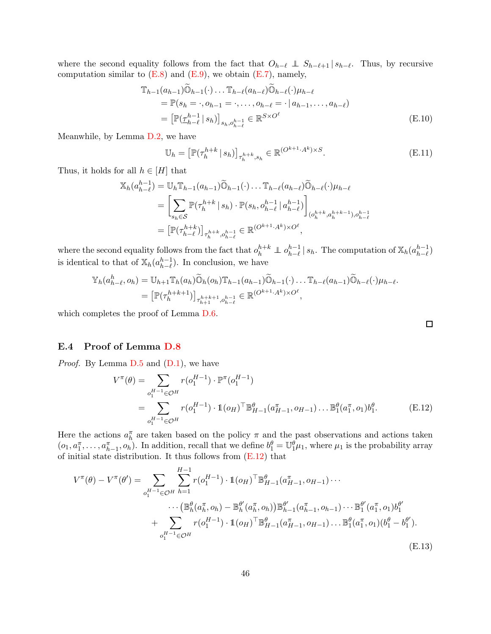where the second equality follows from the fact that  $O_{h-\ell} \perp S_{h-\ell+1} | s_{h-\ell}$ . Thus, by recursive computation similar to  $(E.8)$  and  $(E.9)$ , we obtain  $(E.7)$ , namely,

$$
\mathbb{T}_{h-1}(a_{h-1})\widetilde{\mathbb{O}}_{h-1}(\cdot)\dots\mathbb{T}_{h-\ell}(a_{h-\ell})\widetilde{\mathbb{O}}_{h-\ell}(\cdot)\mu_{h-\ell}
$$
\n
$$
= \mathbb{P}(s_h = \cdot, o_{h-1} = \cdot, \dots, o_{h-\ell} = \cdot | a_{h-1}, \dots, a_{h-\ell})
$$
\n
$$
= \left[ \mathbb{P}(\underline{\tau}_{h-\ell}^{h-1} | s_h) \right]_{s_h, o_{h-\ell}^{h-1}} \in \mathbb{R}^{S \times O^{\ell}} \tag{E.10}
$$

Meanwhile, by Lemma [D.2,](#page-34-0) we have

$$
\mathbb{U}_h = \left[ \mathbb{P}(\tau_h^{h+k} \mid s_h) \right]_{\tau_h^{h+k}, s_h} \in \mathbb{R}^{(O^{k+1} \cdot A^k) \times S}.
$$
\n(E.11)

Thus, it holds for all  $h \in [H]$  that

$$
\mathbb{X}_{h}(a_{h-\ell}^{h-1}) = \mathbb{U}_{h} \mathbb{T}_{h-1}(a_{h-1}) \widetilde{\mathbb{O}}_{h-1}(\cdot) \dots \mathbb{T}_{h-\ell}(a_{h-\ell}) \widetilde{\mathbb{O}}_{h-\ell}(\cdot) \mu_{h-\ell}
$$
\n
$$
= \left[ \sum_{s_{h} \in \mathcal{S}} \mathbb{P}(\tau_{h}^{h+k} | s_{h}) \cdot \mathbb{P}(s_{h}, o_{h-\ell}^{h-1} | a_{h-\ell}^{h-1}) \right]_{(o_{h}^{h+k}, a_{h}^{h+k-1}), o_{h-\ell}^{h-1}}
$$
\n
$$
= \left[ \mathbb{P}(\tau_{h-\ell}^{h+k}) \right]_{\tau_{h}^{h+k}, o_{h-\ell}^{h-1}} \in \mathbb{R}^{(O^{k+1} \cdot A^{k}) \times O^{\ell}},
$$

where the second equality follows from the fact that  $o_h^{h+k} \perp o_{h-\ell}^{h-1} | s_h$ . The computation of  $\mathbb{X}_h(a_{h-\ell}^{h-1})$ is identical to that of  $\mathbb{X}_h(a_{h-\ell}^{h-1})$ . In conclusion, we have

$$
\mathbb{Y}_h(a_{h-\ell}^h, o_h) = \mathbb{U}_{h+1} \mathbb{T}_h(a_h) \widetilde{\mathbb{O}}_h(o_h) \mathbb{T}_{h-1}(a_{h-1}) \widetilde{\mathbb{O}}_{h-1}(\cdot) \dots \mathbb{T}_{h-\ell}(a_{h-1}) \widetilde{\mathbb{O}}_{h-\ell}(\cdot) \mu_{h-\ell}.
$$
  
= 
$$
\left[ \mathbb{P}(\tau_h^{h+k+1}) \right]_{\tau_{h+1}^{h+k+1}, o_{h-\ell}^{h-1}} \in \mathbb{R}^{(O^{k+1} \cdot A^k) \times O^{\ell}},
$$

which completes the proof of Lemma [D.6.](#page-35-0)

### <span id="page-45-0"></span>E.4 Proof of Lemma [D.8](#page-37-4)

*Proof.* By Lemma [D.5](#page-34-2) and  $(D.1)$ , we have

$$
V^{\pi}(\theta) = \sum_{o_1^{H-1} \in \mathcal{O}^H} r(o_1^{H-1}) \cdot \mathbb{P}^{\pi}(o_1^{H-1})
$$
  
= 
$$
\sum_{o_1^{H-1} \in \mathcal{O}^H} r(o_1^{H-1}) \cdot \mathbb{1}(o_H)^{\top} \mathbb{B}_{H-1}^{\theta}(a_{H-1}^{\pi}, o_{H-1}) \dots \mathbb{B}_{1}^{\theta}(a_{1}^{\pi}, o_{1})b_{1}^{\theta}.
$$
 (E.12)

Here the actions  $a_h^{\pi}$  are taken based on the policy  $\pi$  and the past observations and actions taken  $(o_1, a_1^{\pi}, \ldots, a_{h-1}^{\pi}, o_h)$ . In addition, recall that we define  $b_1^{\theta} = \mathbb{U}_1^{\theta} \mu_1$ , where  $\mu_1$  is the probability array of initial state distribution. It thus follows from [\(E.12\)](#page-45-1) that

$$
V^{\pi}(\theta) - V^{\pi}(\theta') = \sum_{o_1^{H-1} \in \mathcal{O}^H} \sum_{h=1}^{H-1} r(o_1^{H-1}) \cdot \mathbb{1}(o_H)^\top \mathbb{B}_{H-1}^{\theta}(a_{H-1}^{\pi}, o_{H-1}) \cdots
$$

$$
\cdots (\mathbb{B}_{h}^{\theta}(a_{h}^{\pi}, o_{h}) - \mathbb{B}_{h}^{\theta'}(a_{h}^{\pi}, o_{h})) \mathbb{B}_{h-1}^{\theta'}(a_{h-1}^{\pi}, o_{h-1}) \cdots \mathbb{B}_{1}^{\theta'}(a_{1}^{\pi}, o_{1}) b_{1}^{\theta'}
$$

$$
+ \sum_{o_1^{H-1} \in \mathcal{O}^H} r(o_1^{H-1}) \cdot \mathbb{1}(o_H)^\top \mathbb{B}_{H-1}^{\theta}(a_{H-1}^{\pi}, o_{H-1}) \cdots \mathbb{B}_{1}^{\theta}(a_{1}^{\pi}, o_{1})(b_{1}^{\theta} - b_{1}^{\theta').}
$$
(E.13)

<span id="page-45-2"></span><span id="page-45-1"></span>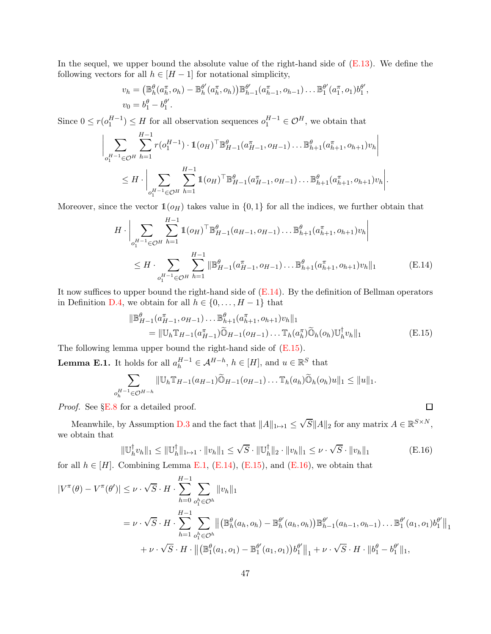In the sequel, we upper bound the absolute value of the right-hand side of  $(E.13)$ . We define the following vectors for all  $h \in [H-1]$  for notational simplicity,

$$
v_h = (\mathbb{B}_h^{\theta}(a_h^{\pi}, o_h) - \mathbb{B}_h^{\theta'}(a_h^{\pi}, o_h)) \mathbb{B}_{h-1}^{\theta'}(a_{h-1}^{\pi}, o_{h-1}) \dots \mathbb{B}_1^{\theta'}(a_1^{\pi}, o_1) b_1^{\theta'},
$$
  

$$
v_0 = b_1^{\theta} - b_1^{\theta'}.
$$

Since  $0 \le r(o_1^{H-1}) \le H$  for all observation sequences  $o_1^{H-1} \in \mathcal{O}^H$ , we obtain that

$$
\Big| \sum_{o_1^{H-1} \in \mathcal{O}^H} \sum_{h=1}^{H-1} r(o_1^{H-1}) \cdot \mathbb{1}(o_H)^\top \mathbb{B}_{H-1}^{\theta}(a_{H-1}^\pi, o_{H-1}) \dots \mathbb{B}_{h+1}^{\theta}(a_{h+1}^\pi, o_{h+1}) v_h \Big|
$$
  
 
$$
\leq H \cdot \Big| \sum_{o_1^{H-1} \in \mathcal{O}^H} \sum_{h=1}^{H-1} \mathbb{1}(o_H)^\top \mathbb{B}_{H-1}^{\theta}(a_{H-1}^\pi, o_{H-1}) \dots \mathbb{B}_{h+1}^{\theta}(a_{h+1}^\pi, o_{h+1}) v_h \Big|.
$$

Moreover, since the vector  $\mathbb{1}(o_H)$  takes value in  $\{0,1\}$  for all the indices, we further obtain that

$$
H \cdot \left| \sum_{o_1^{H-1} \in \mathcal{O}^H} \sum_{h=1}^{H-1} \mathbb{1}(o_H)^\top \mathbb{B}_{H-1}^{\theta}(a_{H-1}, o_{H-1}) \dots \mathbb{B}_{h+1}^{\theta}(a_{h+1}^\pi, o_{h+1}) v_h \right|
$$
  
 
$$
\leq H \cdot \sum_{o_1^{H-1} \in \mathcal{O}^H} \sum_{h=1}^{H-1} \|\mathbb{B}_{H-1}^{\theta}(a_{H-1}^\pi, o_{H-1}) \dots \mathbb{B}_{h+1}^{\theta}(a_{h+1}^\pi, o_{h+1}) v_h \|_1 \qquad \qquad (\text{E.14})
$$

It now suffices to upper bound the right-hand side of [\(E.14\)](#page-46-0). By the definition of Bellman operators in Definition [D.4,](#page-34-1) we obtain for all  $h \in \{0, \ldots, H-1\}$  that

kB θ H−1 (a π H−1 , oH−1). . . B θ <sup>h</sup>+1(a π <sup>h</sup>+1, oh+1)vhk<sup>1</sup> <sup>=</sup> <sup>k</sup>UhTH−1(<sup>a</sup> π H−1 )O<sup>e</sup> <sup>H</sup>−1(oH−1). . . <sup>T</sup>h(<sup>a</sup> π h )Oe <sup>h</sup>(oh)U † h vhk<sup>1</sup> (E.15)

The following lemma upper bound the right-hand side of [\(E.15\)](#page-46-1).

<span id="page-46-2"></span>**Lemma E.1.** It holds for all  $a_h^{H-1} \in A^{H-h}$ ,  $h \in [H]$ , and  $u \in \mathbb{R}^S$  that

$$
\sum_{o_h^{H-1} \in \mathcal{O}^{H-h}} ||\mathbb{U}_h \mathbb{T}_{H-1}(a_{H-1}) \widetilde{\mathbb{O}}_{H-1}(o_{H-1}) \dots \mathbb{T}_h(a_h) \widetilde{\mathbb{O}}_h(o_h)u||_1 \leq ||u||_1.
$$

*Proof.* See §[E.8](#page-52-0) for a detailed proof.

Meanwhile, by Assumption [D.3](#page-34-3) and the fact that  $||A||_{1\mapsto 1} \leq \sqrt{S}||A||_2$  for any matrix  $A \in \mathbb{R}^{S \times N}$ , we obtain that

$$
\|\mathbb{U}_h^{\dagger} v_h\|_1 \le \|\mathbb{U}_h^{\dagger}\|_{1\mapsto 1} \cdot \|v_h\|_1 \le \sqrt{S} \cdot \|\mathbb{U}_h^{\dagger}\|_2 \cdot \|v_h\|_1 \le \nu \cdot \sqrt{S} \cdot \|v_h\|_1
$$
 (E.16)

<span id="page-46-3"></span><span id="page-46-1"></span><span id="page-46-0"></span> $\Box$ 

for all  $h \in [H]$ . Combining Lemma [E.1,](#page-46-2) [\(E.14\)](#page-46-0), [\(E.15\)](#page-46-1), and [\(E.16\)](#page-46-3), we obtain that

$$
|V^{\pi}(\theta) - V^{\pi}(\theta')| \leq \nu \cdot \sqrt{S} \cdot H \cdot \sum_{h=0}^{H-1} \sum_{o_1^h \in \mathcal{O}^h} ||v_h||_1
$$
  
=  $\nu \cdot \sqrt{S} \cdot H \cdot \sum_{h=1}^{H-1} \sum_{o_1^h \in \mathcal{O}^h} ||(\mathbb{B}_h^{\theta}(a_h, o_h) - \mathbb{B}_h^{\theta'}(a_h, o_h)) \mathbb{B}_{h-1}^{\theta'}(a_{h-1}, o_{h-1}) \dots \mathbb{B}_1^{\theta'}(a_1, o_1) b_1^{\theta'}||_1+  $\nu \cdot \sqrt{S} \cdot H \cdot ||(\mathbb{B}_1^{\theta}(a_1, o_1) - \mathbb{B}_1^{\theta'}(a_1, o_1)) b_1^{\theta'}||_1 + \nu \cdot \sqrt{S} \cdot H \cdot ||b_1^{\theta} - b_1^{\theta'}||_1,$$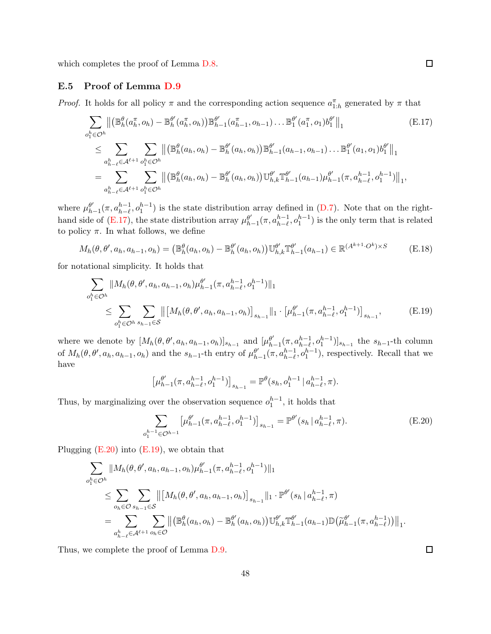<span id="page-47-0"></span>which completes the proof of Lemma [D.8.](#page-37-4)

#### E.5 Proof of Lemma [D.9](#page-38-0)

*Proof.* It holds for all policy  $\pi$  and the corresponding action sequence  $a_{1:h}^{\pi}$  generated by  $\pi$  that

<span id="page-47-1"></span>
$$
\sum_{o_{1}^{h} \in \mathcal{O}^{h}} \left\| \left( \mathbb{B}_{h}^{\theta}(a_{h}^{\pi}, o_{h}) - \mathbb{B}_{h}^{\theta'}(a_{h}^{\pi}, o_{h}) \right) \mathbb{B}_{h-1}^{\theta'}(a_{h-1}^{\pi}, o_{h-1}) \dots \mathbb{B}_{1}^{\theta'}(a_{1}^{\pi}, o_{1}) b_{1}^{\theta'} \right\|_{1}
$$
\n
$$
\leq \sum_{a_{h-\ell}^{h} \in \mathcal{A}^{\ell+1}} \sum_{o_{1}^{h} \in \mathcal{O}^{h}} \left\| \left( \mathbb{B}_{h}^{\theta}(a_{h}, o_{h}) - \mathbb{B}_{h}^{\theta'}(a_{h}, o_{h}) \right) \mathbb{B}_{h-1}^{\theta'}(a_{h-1}, o_{h-1}) \dots \mathbb{B}_{1}^{\theta'}(a_{1}, o_{1}) b_{1}^{\theta'} \right\|_{1}
$$
\n
$$
= \sum_{a_{h-\ell}^{h} \in \mathcal{A}^{\ell+1}} \sum_{o_{1}^{h} \in \mathcal{O}^{h}} \left\| \left( \mathbb{B}_{h}^{\theta}(a_{h}, o_{h}) - \mathbb{B}_{h}^{\theta'}(a_{h}, o_{h}) \right) \mathbb{U}_{h,k}^{\theta'} \mathbb{T}_{h-1}^{\theta'}(a_{h-1}) \mu_{h-1}^{\theta'}(\pi, a_{h-\ell}^{h-1}, o_{1}^{h-1}) \right\|_{1},
$$
\n(E.17)

where  $\mu_h^{\theta'}$  $_{h-1}^{\theta'}(\pi, a_{h-\ell}^{h-1}, o_1^{h-1})$  is the state distribution array defined in [\(D.7\)](#page-37-1). Note that on the righthand side of  $(E.17)$ , the state distribution array  $\mu_h^{\theta'}$  $_{h-1}^{\theta'}(\pi, a_{h-\ell}^{h-1}, o_1^{h-1})$  is the only term that is related to policy  $\pi$ . In what follows, we define

$$
M_h(\theta, \theta', a_h, a_{h-1}, o_h) = (\mathbb{B}_h^{\theta}(a_h, o_h) - \mathbb{B}_h^{\theta'}(a_h, o_h)) \mathbb{U}_{h,k}^{\theta'} \mathbb{T}_{h-1}^{\theta'}(a_{h-1}) \in \mathbb{R}^{(A^{k+1} \cdot O^k) \times S}
$$
(E.18)

for notational simplicity. It holds that

$$
\sum_{o_1^h \in \mathcal{O}^h} \|M_h(\theta, \theta', a_h, a_{h-1}, o_h)\mu_{h-1}^{\theta'}(\pi, a_{h-\ell}^{h-1}, o_1^{h-1})\|_1
$$
\n
$$
\leq \sum_{o_1^h \in \mathcal{O}^h} \sum_{s_{h-1} \in \mathcal{S}} \left\| \left[M_h(\theta, \theta', a_h, a_{h-1}, o_h)\right]_{s_{h-1}} \right\|_1 \cdot \left[\mu_{h-1}^{\theta'}(\pi, a_{h-\ell}^{h-1}, o_1^{h-1})\right]_{s_{h-1}},
$$
\n(E.19)

where we denote by  $[M_h(\theta, \theta', a_h, a_{h-1}, o_h)]_{s_{h-1}}$  and  $[\mu_h^{\theta'}]$  $_{h-1}^{\theta'}(\pi, a_{h-\ell}^{h-1}, o_1^{h-1})]_{s_{h-1}}$  the s<sub>h-1</sub>-th column of  $M_h(\theta, \theta', a_h, a_{h-1}, o_h)$  and the  $s_{h-1}$ -th entry of  $\mu_h^{\theta'}$  $_{h-1}^{\theta'}(\pi, a_{h-\ell}^{h-1}, o_1^{h-1}),$  respectively. Recall that we have

<span id="page-47-3"></span><span id="page-47-2"></span>
$$
\left[\mu_{h-1}^{\theta'}(\pi, a_{h-\ell}^{h-1}, o_1^{h-1})\right]_{s_{h-1}} = \mathbb{P}^{\theta}(s_h, o_1^{h-1} | a_{h-\ell}^{h-1}, \pi).
$$

Thus, by marginalizing over the observation sequence  $o_1^{h-1}$ , it holds that

$$
\sum_{o_1^{h-1}\in\mathcal{O}^{h-1}} \left[\mu_{h-1}^{\theta'}(\pi, a_{h-\ell}^{h-1}, o_1^{h-1})\right]_{s_{h-1}} = \mathbb{P}^{\theta'}(s_h \mid a_{h-\ell}^{h-1}, \pi). \tag{E.20}
$$

Plugging  $(E.20)$  into  $(E.19)$ , we obtain that

$$
\sum_{o_1^h \in \mathcal{O}^h} \|M_h(\theta, \theta', a_h, a_{h-1}, o_h)\mu_{h-1}^{\theta'}(\pi, a_{h-\ell}^{h-1}, o_1^{h-1})\|_1
$$
\n
$$
\leq \sum_{o_h \in \mathcal{O}} \sum_{s_{h-1} \in \mathcal{S}} \left\| \left[M_h(\theta, \theta', a_h, a_{h-1}, o_h)\right]_{s_{h-1}}\right\|_1 \cdot \mathbb{P}^{\theta'}(s_h | a_{h-\ell}^{h-1}, \pi)
$$
\n
$$
= \sum_{a_{h-\ell}^h \in \mathcal{A}^{\ell+1}} \sum_{o_h \in \mathcal{O}} \left\| \left(\mathbb{B}_h^{\theta}(a_h, o_h) - \mathbb{B}_h^{\theta'}(a_h, o_h)\right) \mathbb{U}_{h,k}^{\theta'} \mathbb{T}_{h-1}^{\theta'}(a_{h-1}) \mathbb{D}\left(\tilde{\mu}_{h-1}^{\theta'}(\pi, a_{h-\ell}^{h-1})\right) \right\|_1.
$$

Thus, we complete the proof of Lemma [D.9.](#page-38-0)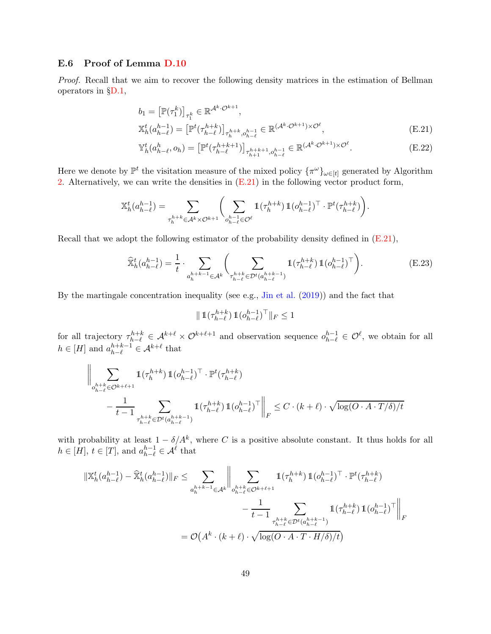#### <span id="page-48-0"></span>E.6 Proof of Lemma [D.10](#page-39-2)

*Proof.* Recall that we aim to recover the following density matrices in the estimation of Bellman operators in §[D.1,](#page-33-1)

$$
b_1 = \left[\mathbb{P}(\tau_1^k)\right]_{\tau_1^k} \in \mathbb{R}^{\mathcal{A}^k \cdot \mathcal{O}^{k+1}},
$$
  

$$
\mathbb{X}_h^t(a_{h-\ell}^{h-1}) = \left[\mathbb{P}^t(\tau_{h-\ell}^{h+k})\right]_{\tau_h^{h+k}, o_{h-\ell}^{h-1}} \in \mathbb{R}^{(\mathcal{A}^k \cdot \mathcal{O}^{k+1}) \times \mathcal{O}^{\ell}},
$$
  
(E.21)

<span id="page-48-2"></span><span id="page-48-1"></span>
$$
\mathbb{Y}_{h}^{t}(a_{h-\ell}^{h}, o_{h}) = \left[\mathbb{P}^{t}(\tau_{h-\ell}^{h+k+1})\right]_{\tau_{h+1}^{h+k+1}, o_{h-\ell}^{h-1}} \in \mathbb{R}^{(\mathcal{A}^{k} \cdot \mathcal{O}^{k+1}) \times \mathcal{O}^{\ell}}.
$$
\n(E.22)

Here we denote by  $\mathbb{P}^t$  the visitation measure of the mixed policy  $\{\pi^\omega\}_{\omega \in [t]}$  generated by Algorithm [2.](#page-37-0) Alternatively, we can write the densities in  $(E.21)$  in the following vector product form,

$$
\mathbb{X}^t_h(a^{h-1}_{h-\ell})=\sum_{\tau^{h+k}_h\in\mathcal{A}^k\times\mathcal{O}^{k+1}}\biggl(\sum_{o^{h-1}_{h-\ell}\in\mathcal{O}^\ell}\mathbbm{1}(\tau^{h+k}_h)\,\mathbbm{1}(o^{h-1}_{h-\ell})^\top\cdot\mathbb{P}^t(\tau^{h+k}_{h-\ell})\biggr).
$$

Recall that we adopt the following estimator of the probability density defined in [\(E.21\)](#page-48-1),

$$
\widehat{\mathbb{X}}_h^t(a_{h-\ell}^{h-1}) = \frac{1}{t} \cdot \sum_{a_h^{h+k-1} \in \mathcal{A}^k} \left( \sum_{\tau_{h-\ell}^{h+k} \in \mathcal{D}^t(a_{h-\ell}^{h+k-1})} \mathbb{1}(\tau_{h-\ell}^{h+k}) \mathbb{1}(o_{h-\ell}^{h-1})^\top \right). \tag{E.23}
$$

By the martingale concentration inequality (see e.g., [Jin et al.](#page-14-16) [\(2019](#page-14-16))) and the fact that

$$
\| \operatorname{1\hspace{-0.3ex}\mathit{l}}(\tau^{h+k}_{h-\ell}) \operatorname{1\hspace{-0.3ex}\mathit{l}}(\omicron^{h-1}_{h-\ell})^\top \|_F \leq 1
$$

for all trajectory  $\tau_{h-\ell}^{h+k} \in \mathcal{A}^{k+\ell} \times \mathcal{O}^{k+\ell+1}$  and observation sequence  $o_{h-\ell}^{h-1} \in \mathcal{O}^{\ell}$ , we obtain for all  $h \in [H]$  and  $a_{h-\ell}^{h+k-1} \in \mathcal{A}^{k+\ell}$  that

$$
\Bigg\|\sum_{\substack{h+k \\ o^{h+k}_{h-\ell} \in \mathcal{O}^{k+\ell+1}}} \mathbb{1}(\tau^{h+k}_h) \, \mathbb{1}(o^{h-1}_{h-\ell})^\top \cdot \mathbb{P}^t(\tau^{h+k}_{h-\ell}) \\ - \frac{1}{t-1} \sum_{\tau^{h+k}_{h-\ell} \in \mathcal{D}^t(a^{h+k-1}_{h-\ell})} \mathbb{1}(\tau^{h+k}_{h-\ell}) \, \mathbb{1}(o^{h-1}_{h-\ell})^\top \Bigg\|_F \leq C \cdot (k+\ell) \cdot \sqrt{\log(O \cdot A \cdot T / \delta) / t}
$$

with probability at least  $1 - \delta/A^k$ , where C is a positive absolute constant. It thus holds for all  $h \in [H], t \in [T],$  and  $a_{h-\ell}^{h-1} \in \mathcal{A}^{\ell}$  that

$$
\begin{split} \|\mathbb{X}^t_h(a^{h-1}_{h-\ell})-\widehat{\mathbb{X}}^t_h(a^{h-1}_{h-\ell})\|_F &\leq \sum_{a^{h+k-1}_h\in\mathcal{A}^k}\bigg\|\sum_{\substack{o^{h+k}_h\in\mathcal{O}^{k+\ell+1}\\r_{h-\ell}^{h+k}\in\mathcal{D}^t(a^{h-k}_h)}}\mathbb{1}(\tau^{h+k}_h)\,\mathbb{1}(o^{h-1}_{h-\ell})^\top\cdot\mathbb{P}^t(\tau^{h+k}_{h-\ell})\\ &\quad-\frac{1}{t-1}\sum_{\substack{\tau^{h+k}_h\in\mathcal{D}^t(a^{h+k-1}_h)\\r_{h-\ell}^{h-\ell}\in\mathcal{D}^t(a^{h+k-1}_h)}}\mathbb{1}(\tau^{h+k}_{h-\ell})\,\mathbb{1}(o^{h-1}_{h-\ell})^\top\bigg\|_F \end{split}
$$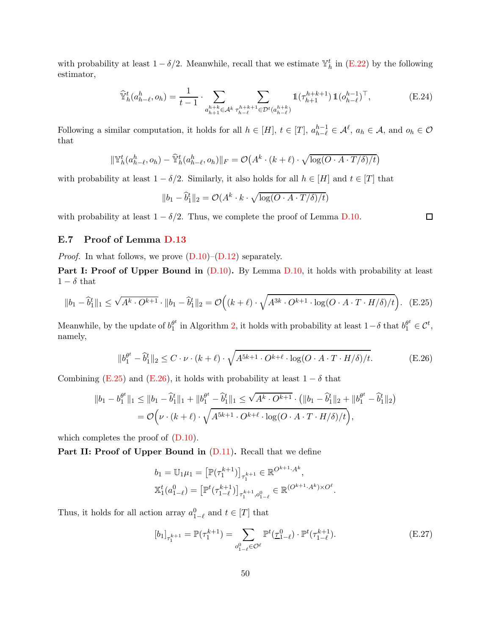with probability at least  $1 - \delta/2$ . Meanwhile, recall that we estimate  $\mathbb{Y}_h^t$  in [\(E.22\)](#page-48-2) by the following estimator,

$$
\widehat{\mathbb{Y}}_h^t(a_{h-\ell}^h, o_h) = \frac{1}{t-1} \cdot \sum_{\substack{a_{h+1}^{h+k} \in \mathcal{A}^k \tau_{h-\ell}^{h+k+1} \in \mathcal{D}^t(a_{h-\ell}^{h+k})}} \mathbb{1}(\tau_{h+1}^{h+k+1}) \mathbb{1}(o_{h-\ell}^{h-1})^\top, \tag{E.24}
$$

Following a similar computation, it holds for all  $h \in [H]$ ,  $t \in [T]$ ,  $a_{h-\ell}^{h-1} \in \mathcal{A}^{\ell}$ ,  $a_h \in \mathcal{A}$ , and  $o_h \in \mathcal{O}$ that

$$
\|\mathbb{Y}_{h}^{t}(a_{h-\ell}^{h},o_{h})-\mathbb{\hat{Y}}_{h}^{t}(a_{h-\ell}^{h},o_{h})\|_{F}=\mathcal{O}\big(A^{k}\cdot(k+\ell)\cdot\sqrt{\log(O\cdot A\cdot T/\delta)/t}\big)
$$

with probability at least  $1 - \delta/2$ . Similarly, it also holds for all  $h \in [H]$  and  $t \in [T]$  that

<span id="page-49-1"></span>
$$
||b_1 - \hat{b}_1^t||_2 = O(A^k \cdot k \cdot \sqrt{\log(O \cdot A \cdot T/\delta)/t})
$$

with probability at least  $1 - \delta/2$ . Thus, we complete the proof of Lemma [D.10.](#page-39-2)

### <span id="page-49-0"></span>E.7 Proof of Lemma [D.13](#page-40-0)

*Proof.* In what follows, we prove  $(D.10)$ – $(D.12)$  separately.

**Part I: Proof of Upper Bound in**  $(D.10)$ . By Lemma  $D.10$ , it holds with probability at least  $1 - \delta$  that

$$
||b_1 - \widehat{b}_1^t||_1 \le \sqrt{A^k \cdot O^{k+1}} \cdot ||b_1 - \widehat{b}_1^t||_2 = \mathcal{O}\Big((k+\ell) \cdot \sqrt{A^{3k} \cdot O^{k+1} \cdot \log(O \cdot A \cdot T \cdot H/\delta)/t}\Big). \tag{E.25}
$$

Meanwhile, by the update of  $b_1^{\theta^t}$  $\theta_1^t$  in Algorithm [2,](#page-37-0) it holds with probability at least  $1-\delta$  that  $b_1^{\theta^t} \in \mathcal{C}^t$ , namely,

$$
||b_1^{\theta^t} - \hat{b}_1^t||_2 \le C \cdot \nu \cdot (k + \ell) \cdot \sqrt{A^{5k+1} \cdot O^{k+\ell} \cdot \log(O \cdot A \cdot T \cdot H/\delta)/t}.\tag{E.26}
$$

Combining [\(E.25\)](#page-49-1) and [\(E.26\)](#page-49-2), it holds with probability at least  $1 - \delta$  that

$$
||b_1 - b_1^{\theta^t}||_1 \le ||b_1 - \hat{b}_1^t||_1 + ||b_1^{\theta^t} - \hat{b}_1^t||_1 \le \sqrt{A^k \cdot O^{k+1}} \cdot (||b_1 - \hat{b}_1^t||_2 + ||b_1^{\theta^t} - \hat{b}_1^t||_2)
$$
  
=  $\mathcal{O}\Big(\nu \cdot (k+\ell) \cdot \sqrt{A^{5k+1} \cdot O^{k+\ell} \cdot \log(O \cdot A \cdot T \cdot H/\delta)/t}\Big),$ 

which completes the proof of  $(D.10)$ .

Part II: Proof of Upper Bound in  $(D.11)$ . Recall that we define

<span id="page-49-2"></span>
$$
b_1 = \mathbb{U}_1 \mu_1 = \left[ \mathbb{P}(\tau_1^{k+1}) \right]_{\tau_1^{k+1}} \in \mathbb{R}^{O^{k+1} \cdot A^k},
$$
  

$$
\mathbb{X}_1^t (a_{1-\ell}^0) = \left[ \mathbb{P}^t (\tau_{1-\ell}^{k+1}) \right]_{\tau_1^{k+1}, o_{1-\ell}^0} \in \mathbb{R}^{(O^{k+1} \cdot A^k) \times O^\ell}.
$$

Thus, it holds for all action array  $a_{1-\ell}^0$  and  $t \in [T]$  that

$$
[b_1]_{\tau_1^{k+1}} = \mathbb{P}(\tau_1^{k+1}) = \sum_{o_{1-\ell}^0 \in \mathcal{O}^\ell} \mathbb{P}^t(\underline{\tau}_{1-\ell}^0) \cdot \mathbb{P}^t(\tau_{1-\ell}^{k+1}).
$$
 (E.27)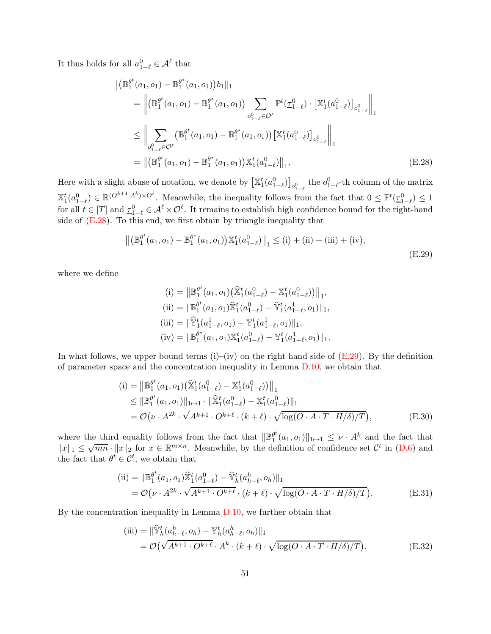It thus holds for all  $a_{1-\ell}^0 \in \mathcal{A}^{\ell}$  that

$$
\|(\mathbb{B}_{1}^{\theta^{t}}(a_{1}, o_{1}) - \mathbb{B}_{1}^{\theta^{*}}(a_{1}, o_{1}))b_{1}\|_{1}
$$
\n
$$
= \left\|(\mathbb{B}_{1}^{\theta^{t}}(a_{1}, o_{1}) - \mathbb{B}_{1}^{\theta^{*}}(a_{1}, o_{1})) \sum_{o_{1-\ell}^{0} \in \mathcal{O}^{\ell}} \mathbb{P}^{t}(\underline{\tau}_{1-\ell}^{0}) \cdot \left[\mathbb{X}_{1}^{t}(a_{1-\ell}^{0})\right]_{o_{1-\ell}^{0}}\right\|_{1}
$$
\n
$$
\leq \left\|\sum_{o_{1-\ell}^{0} \in \mathcal{O}^{\ell}} \left(\mathbb{B}_{1}^{\theta^{t}}(a_{1}, o_{1}) - \mathbb{B}_{1}^{\theta^{*}}(a_{1}, o_{1})\right)\left[\mathbb{X}_{1}^{t}(a_{1-\ell}^{0})\right]_{o_{1-\ell}^{0}}\right\|_{1}
$$
\n
$$
= \left\|(\mathbb{B}_{1}^{\theta^{t}}(a_{1}, o_{1}) - \mathbb{B}_{1}^{\theta^{*}}(a_{1}, o_{1}))\mathbb{X}_{1}^{t}(a_{1-\ell}^{0})\right\|_{1}, \tag{E.28}
$$

Here with a slight abuse of notation, we denote by  $\left[\mathbb{X}_1^t(a_{1-\ell}^0)\right]_{o_{1-\ell}^0}$  the  $o_{1-\ell}^0$ -th column of the matrix  $1-\ell$  $\mathbb{X}_1^t(a_{1-\ell}^0) \in \mathbb{R}^{(O^{k+1}\cdot A^k)\times O^{\ell}}$ . Meanwhile, the inequality follows from the fact that  $0 \leq \mathbb{P}^t(\underline{\tau}_{1-\ell}^0) \leq 1$ for all  $t \in [T]$  and  $\underline{\tau}_{1-\ell}^0 \in \mathcal{A}^{\ell} \times \mathcal{O}^{\ell}$ . It remains to establish high confidence bound for the right-hand side of  $(E.28)$ . To this end, we first obtain by triangle inequality that

$$
\left\| \left( \mathbb{B}_1^{\theta^t}(a_1, o_1) - \mathbb{B}_1^{\theta^*}(a_1, o_1) \right) \mathbb{X}_1^t(a_{1-\ell}^0) \right\|_1 \leq (i) + (ii) + (iii) + (iv),
$$
\n(E.29)

where we define

<span id="page-50-2"></span><span id="page-50-1"></span><span id="page-50-0"></span>(i) = 
$$
\|\mathbb{B}_1^{\theta^t}(a_1, o_1)(\hat{\mathbb{X}}_1^t(a_{1-\ell}^0) - \mathbb{X}_1^t(a_{1-\ell}^0))\|_1
$$
,  
\n(ii) =  $\|\mathbb{B}_1^{\theta^t}(a_1, o_1)\hat{\mathbb{X}}_1^t(a_{1-\ell}^0) - \hat{\mathbb{Y}}_1^t(a_{1-\ell}^1, o_1)\|_1$ ,  
\n(iii) =  $\|\hat{\mathbb{Y}}_1^t(a_{1-\ell}^1, o_1) - \mathbb{Y}_1^t(a_{1-\ell}^1, o_1)\|_1$ ,  
\n(iv) =  $\|\mathbb{B}_1^{\theta^*}(a_1, o_1)\mathbb{X}_1^t(a_{1-\ell}^0) - \mathbb{Y}_1^t(a_{1-\ell}^1, o_1)\|_1$ .

In what follows, we upper bound terms  $(i)$ – $(iv)$  on the right-hand side of  $(E.29)$ . By the definition of parameter space and the concentration inequality in Lemma [D.10,](#page-39-2) we obtain that

$$
(i) = \|\mathbb{B}_{1}^{\theta^{t}}(a_{1}, o_{1}) (\hat{\mathbb{X}}_{1}^{t}(a_{1-\ell}^{0}) - \mathbb{X}_{1}^{t}(a_{1-\ell}^{0}))\|_{1} \leq \|\mathbb{B}_{1}^{\theta^{t}}(a_{1}, o_{1})\|_{1\mapsto 1} \cdot \|\hat{\mathbb{X}}_{1}^{t}(a_{1-\ell}^{0}) - \mathbb{X}_{1}^{t}(a_{1-\ell}^{0})\|_{1} = \mathcal{O}(\nu \cdot A^{2k} \cdot \sqrt{A^{k+1} \cdot O^{k+\ell}} \cdot (k+\ell) \cdot \sqrt{\log(O \cdot A \cdot T \cdot H/\delta)/T}), \tag{E.30}
$$

where the third equality follows from the fact that  $\|\mathbb{B}^{\theta^t}_1\|$  $\frac{\theta^t}{1}(a_1, o_1)\|_{1\mapsto 1} \leq \nu \cdot A^k$  and the fact that  $||x||_1 \leq \sqrt{mn} \cdot ||x||_2$  for  $x \in \mathbb{R}^{m \times n}$ . Meanwhile, by the definition of confidence set  $\mathcal{C}^t$  in [\(D.6\)](#page-36-4) and the fact that  $\theta^t \in \mathcal{C}^t$ , we obtain that

(ii) = 
$$
\|\mathbb{B}_1^{\theta^t}(a_1, o_1)\hat{\mathbb{X}}_1^t(a_{1-\ell}^0) - \hat{\mathbb{Y}}_h^t(a_{h-\ell}^h, o_h)\|_1
$$
  
= 
$$
\mathcal{O}(\nu \cdot A^{2k} \cdot \sqrt{A^{k+1} \cdot O^{k+\ell}} \cdot (k+\ell) \cdot \sqrt{\log(O \cdot A \cdot T \cdot H/\delta)/T}).
$$
 (E.31)

By the concentration inequality in Lemma [D.10,](#page-39-2) we further obtain that

<span id="page-50-4"></span><span id="page-50-3"></span>(iii) = 
$$
\|\widehat{\mathbb{Y}}_h^t(a_{h-\ell}^h, o_h) - \mathbb{Y}_h^t(a_{h-\ell}^h, o_h)\|_1
$$
  
=  $\mathcal{O}(\sqrt{A^{k+1} \cdot O^{k+\ell}} \cdot A^k \cdot (k+\ell) \cdot \sqrt{\log(O \cdot A \cdot T \cdot H/\delta)/T}).$  (E.32)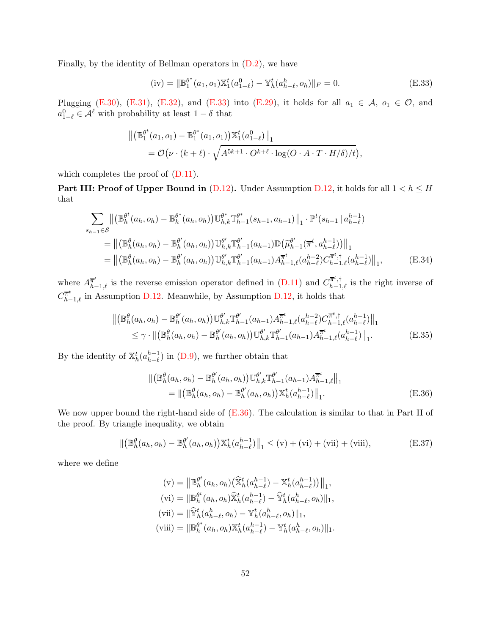Finally, by the identity of Bellman operators in [\(D.2\)](#page-35-2), we have

<span id="page-51-0"></span>(iv) = 
$$
\|\mathbb{B}_1^{\theta^*}(a_1, o_1)\mathbb{X}_1^t(a_{1-\ell}^0) - \mathbb{Y}_h^t(a_{h-\ell}^h, o_h)\|_F = 0.
$$
 (E.33)

Plugging [\(E.30\)](#page-50-2), [\(E.31\)](#page-50-3), [\(E.32\)](#page-50-4), and [\(E.33\)](#page-51-0) into [\(E.29\)](#page-50-1), it holds for all  $a_1 \in \mathcal{A}$ ,  $o_1 \in \mathcal{O}$ , and  $a_{1-\ell}^0 \in \mathcal{A}^{\ell}$  with probability at least  $1-\delta$  that

$$
\begin{split} \left\| \left( \mathbb{B}_1^{\theta^t}(a_1, o_1) - \mathbb{B}_1^{\theta^*}(a_1, o_1) \right) \mathbb{X}_1^t(a_{1-\ell}^0) \right\|_1 \\ = & \mathcal{O}\big(\nu \cdot (k+\ell) \cdot \sqrt{A^{5k+1} \cdot O^{k+\ell} \cdot \log(O \cdot A \cdot T \cdot H/\delta)/t} \big), \end{split}
$$

which completes the proof of  $(D.11)$ .

**Part III: Proof of Upper Bound in** [\(D.12\)](#page-40-5). Under Assumption [D.12,](#page-39-1) it holds for all  $1 < h \leq H$ that

$$
\sum_{s_{h-1}\in\mathcal{S}}\left\| \left(\mathbb{B}_{h}^{\theta^{t}}(a_{h},o_{h})-\mathbb{B}_{h}^{\theta^{*}}(a_{h},o_{h})\right)\mathbb{U}_{h,k}^{\theta^{*}}\mathbb{T}_{h-1}^{\theta^{*}}(s_{h-1},a_{h-1}) \right\|_{1} \cdot \mathbb{P}^{t}(s_{h-1} | a_{h-\ell}^{h-1})
$$
\n
$$
=\left\| \left(\mathbb{B}_{h}^{\theta}(a_{h},o_{h})-\mathbb{B}_{h}^{\theta^{t}}(a_{h},o_{h})\right)\mathbb{U}_{h,k}^{\theta^{t}}\mathbb{T}_{h-1}^{\theta^{t}}(a_{h-1})\mathbb{D}\left(\tilde{\mu}_{h-1}^{\theta^{t}}(\overline{\pi}^{t},a_{h-\ell}^{h-1})\right) \right\|_{1}
$$
\n
$$
=\left\| \left(\mathbb{B}_{h}^{\theta}(a_{h},o_{h})-\mathbb{B}_{h}^{\theta^{t}}(a_{h},o_{h})\right)\mathbb{U}_{h,k}^{\theta^{t}}\mathbb{T}_{h-1}^{\theta^{t}}(a_{h-1})A_{h-1,\ell}^{\overline{\pi}^{t}}(a_{h-\ell}^{h-2})C_{h-1,\ell}^{\overline{\pi}^{t},\dagger}(a_{h-\ell}^{h-1}) \right\|_{1}, \tag{E.34}
$$

where  $A_{h-1,\ell}^{\overline{\pi}^t}$  is the reverse emission operator defined in [\(D.11\)](#page-39-0) and  $C_{h-1,\ell}^{\overline{\pi}^t,\dagger}$  is the right inverse of  $C^{\overline{\pi}^t}_{h-1,\ell}$  in Assumption [D.12.](#page-39-1) Meanwhile, by Assumption [D.12,](#page-39-1) it holds that

$$
\| \left( \mathbb{B}_{h}^{\theta}(a_{h}, o_{h}) - \mathbb{B}_{h}^{\theta'}(a_{h}, o_{h}) \right) \mathbb{U}_{h,k}^{\theta'} \mathbb{T}_{h-1}^{\theta'}(a_{h-1}) A_{h-1,\ell}^{\pi^{t}}(a_{h-\ell}^{h-2}) C_{h-1,\ell}^{\pi^{t}, \dagger}(a_{h-\ell}^{h-1}) \|_{1} \n\leq \gamma \cdot \| (\mathbb{B}_{h}^{\theta}(a_{h}, o_{h}) - \mathbb{B}_{h}^{\theta'}(a_{h}, o_{h})) \mathbb{U}_{h,k}^{\theta'} \mathbb{T}_{h-1}^{\theta'}(a_{h-1}) A_{h-1,\ell}^{\pi^{t}}(a_{h-\ell}^{h-1}) \|_{1}.
$$
\n(E.35)

By the identity of  $\mathbb{X}_{h}^{t}(a_{h-\ell}^{h-1})$  in [\(D.9\)](#page-39-3), we further obtain that

<span id="page-51-4"></span><span id="page-51-3"></span><span id="page-51-1"></span>
$$
\| \left( \mathbb{B}_{h}^{\theta}(a_{h}, o_{h}) - \mathbb{B}_{h}^{\theta'}(a_{h}, o_{h}) \right) \mathbb{U}_{h,k}^{\theta'} \mathbb{T}_{h-1}^{\theta'}(a_{h-1}) A_{h-1,\ell}^{\overline{\pi}^{t}} \|_{1}
$$
  
=  $\| \left( \mathbb{B}_{h}^{\theta}(a_{h}, o_{h}) - \mathbb{B}_{h}^{\theta'}(a_{h}, o_{h}) \right) \mathbb{X}_{h}^{t}(a_{h-\ell}^{h-1}) \|_{1}.$  (E.36)

We now upper bound the right-hand side of  $(E.36)$ . The calculation is similar to that in Part II of the proof. By triangle inequality, we obtain

$$
\|(\mathbb{B}_{h}^{\theta}(a_{h},o_{h}) - \mathbb{B}_{h}^{\theta'}(a_{h},o_{h}))\mathbb{X}_{h}^{t}(a_{h-\ell}^{h-1})\|_{1} \leq (v) + (vi) + (vii) + (viii),
$$
 (E.37)

where we define

<span id="page-51-2"></span>
$$
\begin{aligned}\n(v) &= \left\| \mathbb{B}_{h}^{\theta^{t}}(a_{h}, o_{h}) \big( \widehat{\mathbb{X}}_{h}^{t}(a_{h-\ell}^{h-1}) - \mathbb{X}_{h}^{t}(a_{h-\ell}^{h-1}) \big) \right\|_{1}, \\
(vi) &= \left\| \mathbb{B}_{h}^{\theta^{t}}(a_{h}, o_{h}) \widehat{\mathbb{X}}_{h}^{t}(a_{h-\ell}^{h-1}) - \widehat{\mathbb{Y}}_{h}^{t}(a_{h-\ell}^{h}, o_{h}) \right\|_{1}, \\
(vii) &= \left\| \widehat{\mathbb{Y}}_{h}^{t}(a_{h-\ell}^{h}, o_{h}) - \mathbb{Y}_{h}^{t}(a_{h-\ell}^{h}, o_{h}) \right\|_{1}, \\
(viii) &= \left\| \mathbb{B}_{h}^{\theta^{*}}(a_{h}, o_{h}) \mathbb{X}_{h}^{t}(a_{h-\ell}^{h-1}) - \mathbb{Y}_{h}^{t}(a_{h-\ell}^{h}, o_{h}) \right\|_{1}.\n\end{aligned}
$$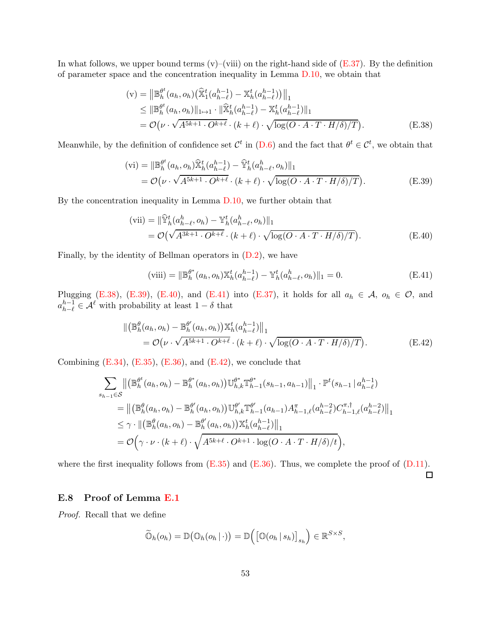In what follows, we upper bound terms  $(v)$ –(viii) on the right-hand side of  $(E.37)$ . By the definition of parameter space and the concentration inequality in Lemma [D.10,](#page-39-2) we obtain that

<span id="page-52-1"></span>
$$
(\mathbf{v}) = \left\| \mathbb{B}_{h}^{\theta^{t}}(a_{h}, o_{h}) \left( \widehat{\mathbb{X}}_{1}^{t}(a_{h-\ell}^{h-1}) - \mathbb{X}_{h}^{t}(a_{h-\ell}^{h-1}) \right) \right\|_{1}
$$
  
\n
$$
\leq \left\| \mathbb{B}_{h}^{\theta^{t}}(a_{h}, o_{h}) \right\|_{1\mapsto 1} \cdot \left\| \widehat{\mathbb{X}}_{h}^{t}(a_{h-\ell}^{h-1}) - \mathbb{X}_{h}^{t}(a_{h-\ell}^{h-1}) \right\|_{1}
$$
  
\n
$$
= \mathcal{O}\left(\nu \cdot \sqrt{A^{5k+1} \cdot O^{k+\ell}} \cdot (k+\ell) \cdot \sqrt{\log(O \cdot A \cdot T \cdot H/\delta)/T} \right).
$$
 (E.38)

Meanwhile, by the definition of confidence set  $\mathcal{C}^t$  in  $(D.6)$  and the fact that  $\theta^t \in \mathcal{C}^t$ , we obtain that

$$
\begin{split} \text{(vi)} &= \|\mathbb{B}_{h}^{\theta^{t}}(a_{h},o_{h})\widehat{\mathbb{X}}_{h}^{t}(a_{h-\ell}^{h-1}) - \widehat{\mathbb{Y}}_{h}^{t}(a_{h-\ell}^{h},o_{h})\|_{1} \\ &= \mathcal{O}\big(\nu \cdot \sqrt{A^{5k+1} \cdot O^{k+\ell}} \cdot (k+\ell) \cdot \sqrt{\log(O \cdot A \cdot T \cdot H/\delta)/T}\big). \end{split} \tag{E.39}
$$

By the concentration inequality in Lemma [D.10,](#page-39-2) we further obtain that

$$
\begin{aligned} \text{(vii)} &= \|\widehat{\mathbb{Y}}_h^t(a_{h-\ell}^h, o_h) - \mathbb{Y}_h^t(a_{h-\ell}^h, o_h)\|_1 \\ &= \mathcal{O}\big(\sqrt{A^{3k+1} \cdot O^{k+\ell}} \cdot (k+\ell) \cdot \sqrt{\log(O \cdot A \cdot T \cdot H/\delta)/T}\big). \end{aligned} \tag{E.40}
$$

Finally, by the identity of Bellman operators in  $(D.2)$ , we have

<span id="page-52-2"></span>(viii) = 
$$
\|\mathbb{B}_{h}^{\theta^*}(a_h, o_h)\mathbb{X}_{h}^{t}(a_{h-\ell}^{h-1}) - \mathbb{Y}_{h}^{t}(a_{h-\ell}^h, o_h)\|_{1} = 0.
$$
 (E.41)

Plugging [\(E.38\)](#page-52-1), [\(E.39\)](#page-52-2), [\(E.40\)](#page-52-3), and [\(E.41\)](#page-52-4) into [\(E.37\)](#page-51-2), it holds for all  $a_h \in \mathcal{A}$ ,  $o_h \in \mathcal{O}$ , and  $a_{h-\ell}^{h-1} \in \mathcal{A}^{\ell}$  with probability at least  $1-\delta$  that

$$
\begin{split} \|\left(\mathbb{B}_{h}^{\theta}(a_{h},o_{h})-\mathbb{B}_{h}^{\theta'}(a_{h},o_{h})\right)\mathbb{X}_{h}^{t}(a_{h-\ell}^{h-1})\|_{1} \\ =\mathcal{O}\!\left(\nu\cdot\sqrt{A^{5k+1}\cdot O^{k+\ell}}\cdot(k+\ell)\cdot\sqrt{\log(O\cdot A\cdot T\cdot H/\delta)/T}\right). \end{split} \tag{E.42}
$$

Combining  $(E.34)$ ,  $(E.35)$ ,  $(E.36)$ , and  $(E.42)$ , we conclude that

$$
\sum_{s_{h-1}\in S} \left\| \left( \mathbb{B}_{h}^{\theta^{t}}(a_{h}, o_{h}) - \mathbb{B}_{h}^{\theta^{*}}(a_{h}, o_{h}) \right) \mathbb{U}_{h,k}^{\theta^{*}} \mathbb{T}_{h-1}^{\theta^{*}}(s_{h-1}, a_{h-1}) \right\|_{1} \cdot \mathbb{P}^{t}(s_{h-1} | a_{h-\ell}^{h-1})
$$
\n
$$
= \left\| \left( \mathbb{B}_{h}^{\theta}(a_{h}, o_{h}) - \mathbb{B}_{h}^{\theta^{t}}(a_{h}, o_{h}) \right) \mathbb{U}_{h,k}^{\theta^{t}} \mathbb{T}_{h-1}^{\theta^{t}}(a_{h-1}) A_{h-1,\ell}^{\pi}(a_{h-\ell}^{h-2}) C_{h-1,\ell}^{\pi, \dagger}(a_{h-\ell}^{h-2}) \right\|_{1}
$$
\n
$$
\leq \gamma \cdot \left\| \left( \mathbb{B}_{h}^{\theta}(a_{h}, o_{h}) - \mathbb{B}_{h}^{\theta^{t}}(a_{h}, o_{h}) \right) \mathbb{X}_{h}^{t}(a_{h-\ell}^{h-1}) \right\|_{1}
$$
\n
$$
= \mathcal{O}\left(\gamma \cdot \nu \cdot (k+\ell) \cdot \sqrt{A^{5k+\ell} \cdot O^{k+1} \cdot \log(O \cdot A \cdot T \cdot H/\delta)/t} \right),
$$

where the first inequality follows from  $(E.35)$  and  $(E.36)$ . Thus, we complete the proof of  $(D.11)$ .

# <span id="page-52-5"></span><span id="page-52-4"></span><span id="page-52-3"></span> $\Box$

### <span id="page-52-0"></span>E.8 Proof of Lemma [E.1](#page-46-2)

*Proof.* Recall that we define

$$
\widetilde{\mathbb{O}}_h(o_h) = \mathbb{D}(\mathbb{O}_h(o_h | \cdot)) = \mathbb{D}(\big[\mathbb{O}(o_h | s_h)\big]_{s_h}\big) \in \mathbb{R}^{S \times S},
$$